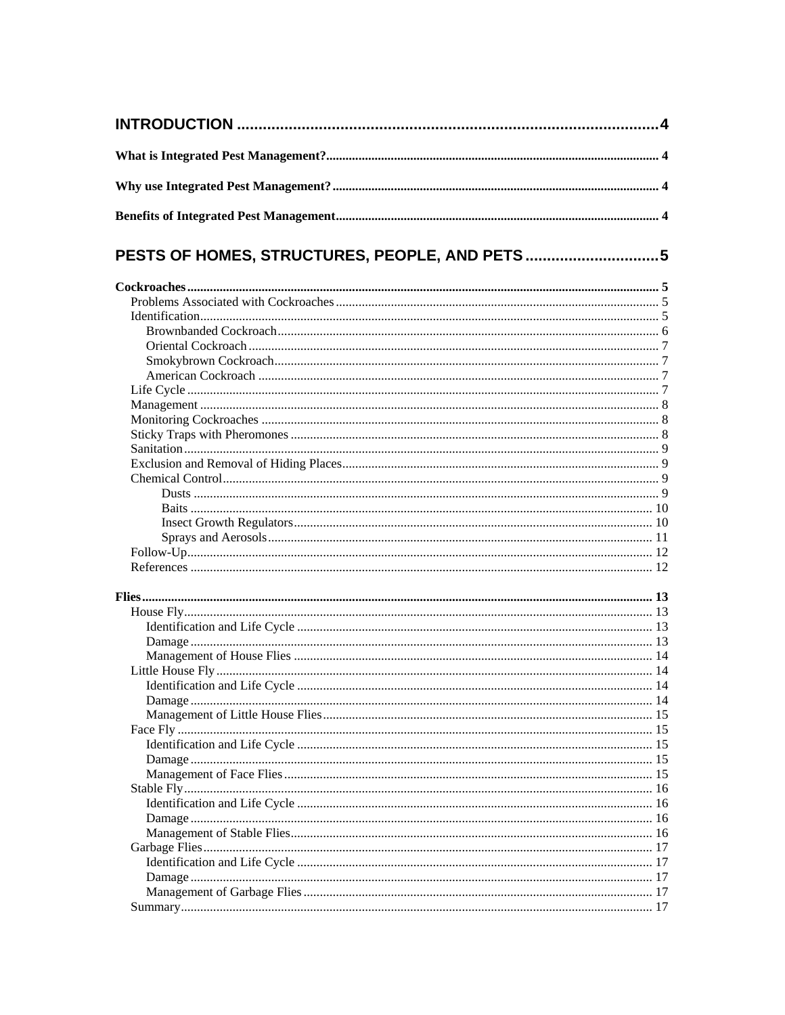| PESTS OF HOMES, STRUCTURES, PEOPLE, AND PETS5 |  |
|-----------------------------------------------|--|
|                                               |  |
|                                               |  |
|                                               |  |
|                                               |  |
|                                               |  |
|                                               |  |
|                                               |  |
|                                               |  |
|                                               |  |
|                                               |  |
|                                               |  |
|                                               |  |
|                                               |  |
|                                               |  |
|                                               |  |
|                                               |  |
|                                               |  |
|                                               |  |
|                                               |  |
|                                               |  |
|                                               |  |
|                                               |  |
|                                               |  |
|                                               |  |
|                                               |  |
|                                               |  |
|                                               |  |
|                                               |  |
|                                               |  |
|                                               |  |
|                                               |  |
|                                               |  |
|                                               |  |
|                                               |  |
|                                               |  |
|                                               |  |
|                                               |  |
|                                               |  |
|                                               |  |
|                                               |  |
|                                               |  |
|                                               |  |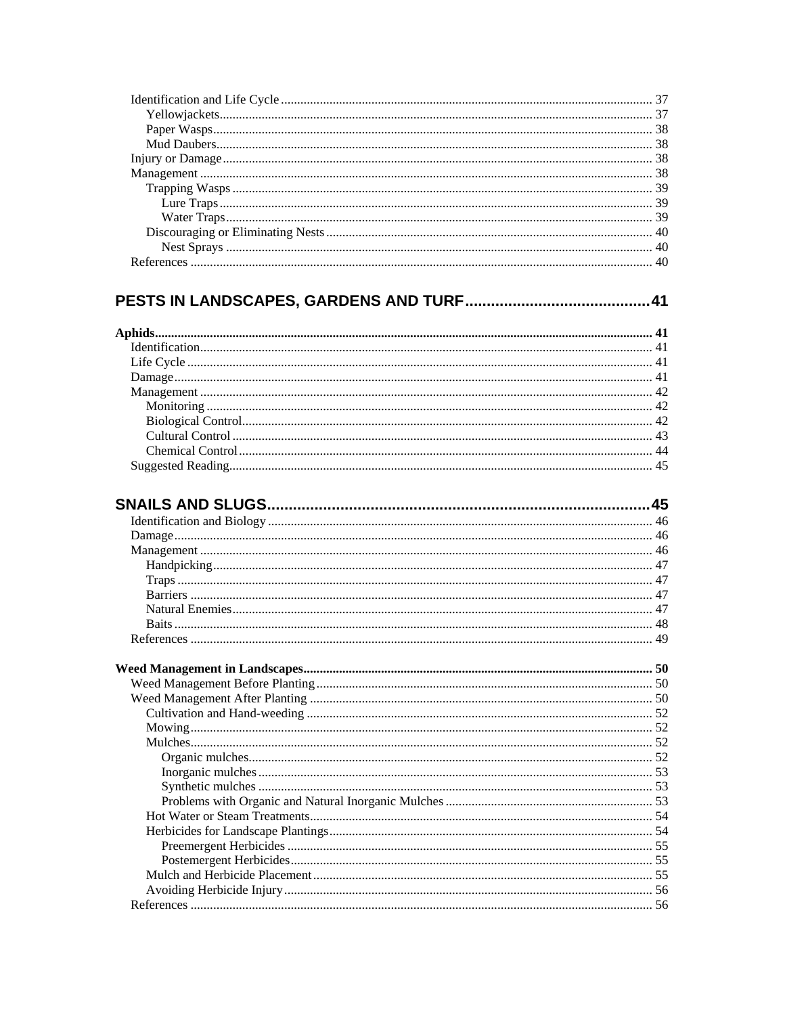#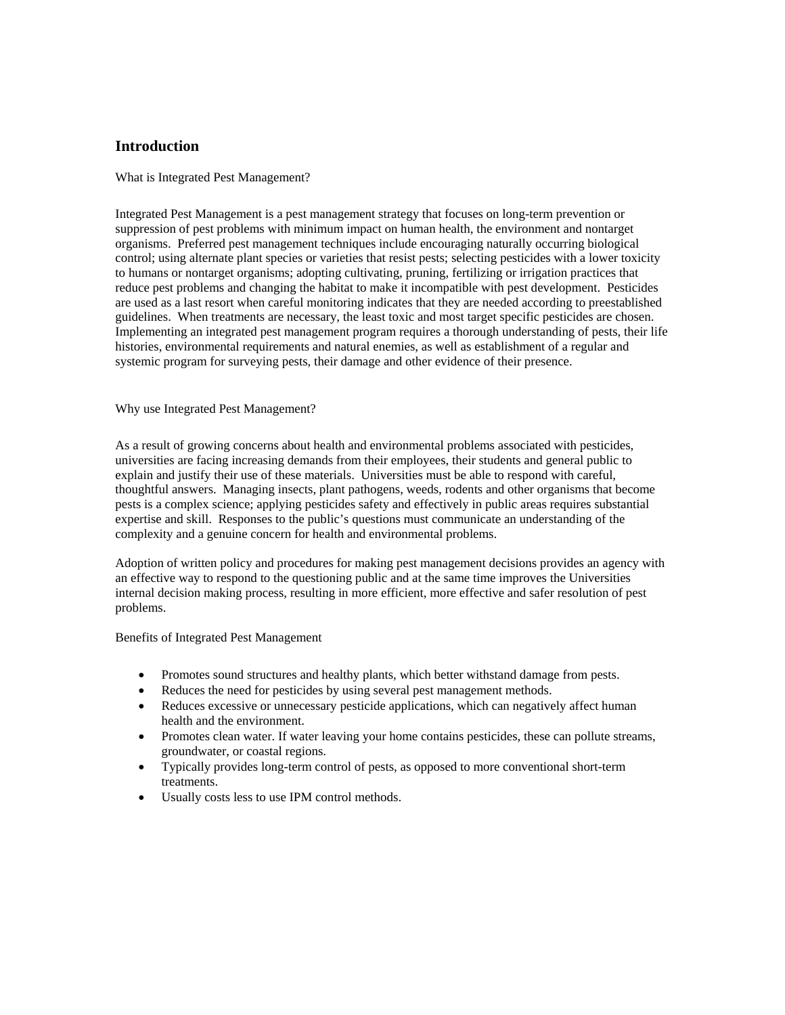## <span id="page-3-0"></span>**Introduction**

What is Integrated Pest Management?

Integrated Pest Management is a pest management strategy that focuses on long-term prevention or suppression of pest problems with minimum impact on human health, the environment and nontarget organisms. Preferred pest management techniques include encouraging naturally occurring biological control; using alternate plant species or varieties that resist pests; selecting pesticides with a lower toxicity to humans or nontarget organisms; adopting cultivating, pruning, fertilizing or irrigation practices that reduce pest problems and changing the habitat to make it incompatible with pest development. Pesticides are used as a last resort when careful monitoring indicates that they are needed according to preestablished guidelines. When treatments are necessary, the least toxic and most target specific pesticides are chosen. Implementing an integrated pest management program requires a thorough understanding of pests, their life histories, environmental requirements and natural enemies, as well as establishment of a regular and systemic program for surveying pests, their damage and other evidence of their presence.

## Why use Integrated Pest Management?

As a result of growing concerns about health and environmental problems associated with pesticides, universities are facing increasing demands from their employees, their students and general public to explain and justify their use of these materials. Universities must be able to respond with careful, thoughtful answers. Managing insects, plant pathogens, weeds, rodents and other organisms that become pests is a complex science; applying pesticides safety and effectively in public areas requires substantial expertise and skill. Responses to the public's questions must communicate an understanding of the complexity and a genuine concern for health and environmental problems.

Adoption of written policy and procedures for making pest management decisions provides an agency with an effective way to respond to the questioning public and at the same time improves the Universities internal decision making process, resulting in more efficient, more effective and safer resolution of pest problems.

Benefits of Integrated Pest Management

- Promotes sound structures and healthy plants, which better withstand damage from pests.
- Reduces the need for pesticides by using several pest management methods.
- Reduces excessive or unnecessary pesticide applications, which can negatively affect human health and the environment.
- Promotes clean water. If water leaving your home contains pesticides, these can pollute streams, groundwater, or coastal regions.
- Typically provides long-term control of pests, as opposed to more conventional short-term treatments.
- Usually costs less to use IPM control methods.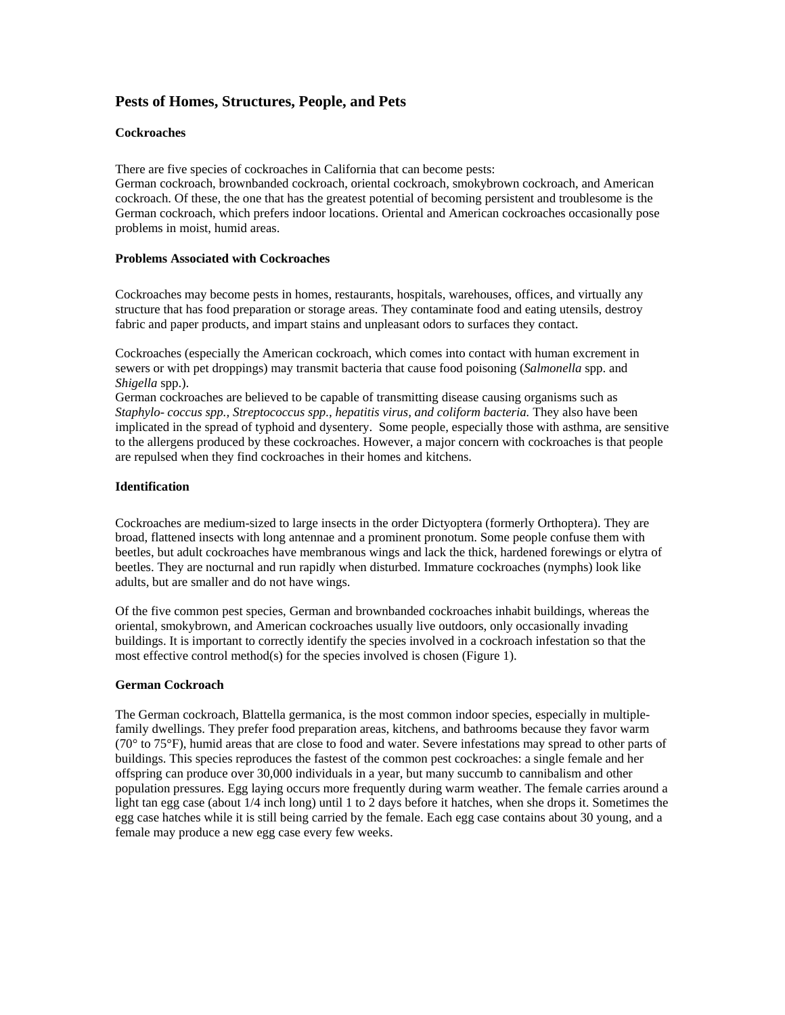# <span id="page-4-0"></span>**Pests of Homes, Structures, People, and Pets**

## **Cockroaches**

There are five species of cockroaches in California that can become pests:

German cockroach, brownbanded cockroach, oriental cockroach, smokybrown cockroach, and American cockroach. Of these, the one that has the greatest potential of becoming persistent and troublesome is the German cockroach, which prefers indoor locations. Oriental and American cockroaches occasionally pose problems in moist, humid areas.

#### **Problems Associated with Cockroaches**

Cockroaches may become pests in homes, restaurants, hospitals, warehouses, offices, and virtually any structure that has food preparation or storage areas. They contaminate food and eating utensils, destroy fabric and paper products, and impart stains and unpleasant odors to surfaces they contact.

Cockroaches (especially the American cockroach, which comes into contact with human excrement in sewers or with pet droppings) may transmit bacteria that cause food poisoning (*Salmonella* spp. and *Shigella* spp.).

German cockroaches are believed to be capable of transmitting disease causing organisms such as *Staphylo- coccus spp., Streptococcus spp., hepatitis virus, and coliform bacteria.* They also have been implicated in the spread of typhoid and dysentery. Some people, especially those with asthma, are sensitive to the allergens produced by these cockroaches. However, a major concern with cockroaches is that people are repulsed when they find cockroaches in their homes and kitchens.

## **Identification**

Cockroaches are medium-sized to large insects in the order Dictyoptera (formerly Orthoptera). They are broad, flattened insects with long antennae and a prominent pronotum. Some people confuse them with beetles, but adult cockroaches have membranous wings and lack the thick, hardened forewings or elytra of beetles. They are nocturnal and run rapidly when disturbed. Immature cockroaches (nymphs) look like adults, but are smaller and do not have wings.

Of the five common pest species, German and brownbanded cockroaches inhabit buildings, whereas the oriental, smokybrown, and American cockroaches usually live outdoors, only occasionally invading buildings. It is important to correctly identify the species involved in a cockroach infestation so that the most effective control method(s) for the species involved is chosen (Figure 1).

## **German Cockroach**

The German cockroach, Blattella germanica, is the most common indoor species, especially in multiplefamily dwellings. They prefer food preparation areas, kitchens, and bathrooms because they favor warm (70° to 75°F), humid areas that are close to food and water. Severe infestations may spread to other parts of buildings. This species reproduces the fastest of the common pest cockroaches: a single female and her offspring can produce over 30,000 individuals in a year, but many succumb to cannibalism and other population pressures. Egg laying occurs more frequently during warm weather. The female carries around a light tan egg case (about  $1/4$  inch long) until 1 to 2 days before it hatches, when she drops it. Sometimes the egg case hatches while it is still being carried by the female. Each egg case contains about 30 young, and a female may produce a new egg case every few weeks.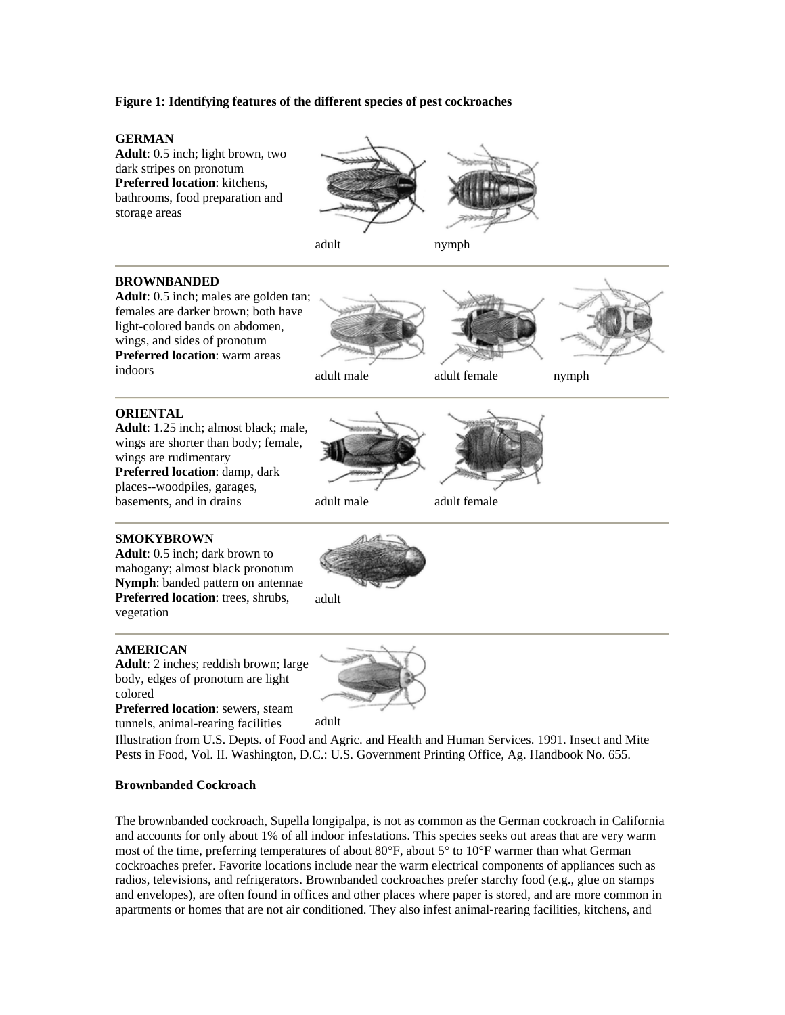## <span id="page-5-0"></span>**Figure 1: Identifying features of the different species of pest cockroaches**

#### **GERMAN**

**Adult**: 0.5 inch; light brown, two dark stripes on pronotum **Preferred location**: kitchens, bathrooms, food preparation and storage areas



## **BROWNBANDED**

**Adult**: 0.5 inch; males are golden tan; females are darker brown; both have light-colored bands on abdomen, wings, and sides of pronotum **Preferred location**: warm areas indoors adult male adult female nymph





adult

#### **ORIENTAL**

**Adult**: 1.25 inch; almost black; male, wings are shorter than body; female, wings are rudimentary **Preferred location**: damp, dark places--woodpiles, garages, basements, and in drains adult male adult female





## **SMOKYBROWN**

**Adult**: 0.5 inch; dark brown to mahogany; almost black pronotum **Nymph**: banded pattern on antennae **Preferred location**: trees, shrubs, vegetation

#### **AMERICAN**

**Adult**: 2 inches; reddish brown; large body, edges of pronotum are light colored

**Preferred location**: sewers, steam tunnels, animal-rearing facilities adult



Illustration from U.S. Depts. of Food and Agric. and Health and Human Services. 1991. Insect and Mite Pests in Food, Vol. II. Washington, D.C.: U.S. Government Printing Office, Ag. Handbook No. 655.

#### **Brownbanded Cockroach**

The brownbanded cockroach, Supella longipalpa, is not as common as the German cockroach in California and accounts for only about 1% of all indoor infestations. This species seeks out areas that are very warm most of the time, preferring temperatures of about  $80^{\circ}$ F, about  $5^{\circ}$  to  $10^{\circ}$ F warmer than what German cockroaches prefer. Favorite locations include near the warm electrical components of appliances such as radios, televisions, and refrigerators. Brownbanded cockroaches prefer starchy food (e.g., glue on stamps and envelopes), are often found in offices and other places where paper is stored, and are more common in apartments or homes that are not air conditioned. They also infest animal-rearing facilities, kitchens, and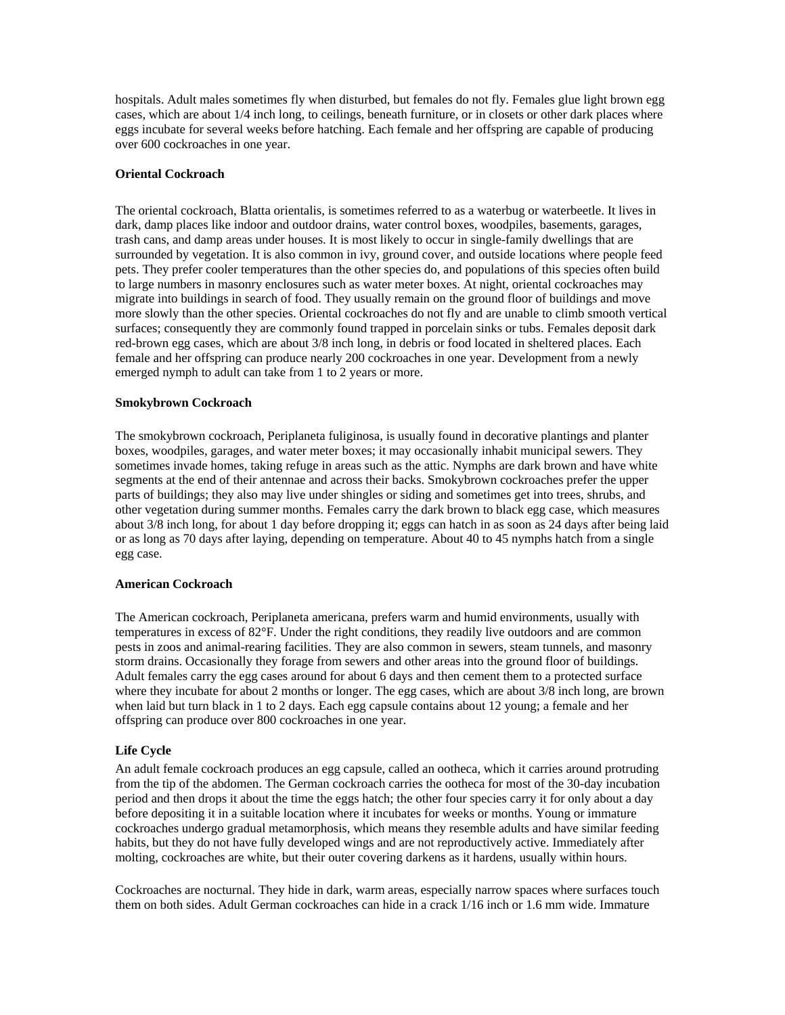<span id="page-6-0"></span>hospitals. Adult males sometimes fly when disturbed, but females do not fly. Females glue light brown egg cases, which are about 1/4 inch long, to ceilings, beneath furniture, or in closets or other dark places where eggs incubate for several weeks before hatching. Each female and her offspring are capable of producing over 600 cockroaches in one year.

#### **Oriental Cockroach**

The oriental cockroach, Blatta orientalis, is sometimes referred to as a waterbug or waterbeetle. It lives in dark, damp places like indoor and outdoor drains, water control boxes, woodpiles, basements, garages, trash cans, and damp areas under houses. It is most likely to occur in single-family dwellings that are surrounded by vegetation. It is also common in ivy, ground cover, and outside locations where people feed pets. They prefer cooler temperatures than the other species do, and populations of this species often build to large numbers in masonry enclosures such as water meter boxes. At night, oriental cockroaches may migrate into buildings in search of food. They usually remain on the ground floor of buildings and move more slowly than the other species. Oriental cockroaches do not fly and are unable to climb smooth vertical surfaces; consequently they are commonly found trapped in porcelain sinks or tubs. Females deposit dark red-brown egg cases, which are about 3/8 inch long, in debris or food located in sheltered places. Each female and her offspring can produce nearly 200 cockroaches in one year. Development from a newly emerged nymph to adult can take from 1 to 2 years or more.

#### **Smokybrown Cockroach**

The smokybrown cockroach, Periplaneta fuliginosa, is usually found in decorative plantings and planter boxes, woodpiles, garages, and water meter boxes; it may occasionally inhabit municipal sewers. They sometimes invade homes, taking refuge in areas such as the attic. Nymphs are dark brown and have white segments at the end of their antennae and across their backs. Smokybrown cockroaches prefer the upper parts of buildings; they also may live under shingles or siding and sometimes get into trees, shrubs, and other vegetation during summer months. Females carry the dark brown to black egg case, which measures about 3/8 inch long, for about 1 day before dropping it; eggs can hatch in as soon as 24 days after being laid or as long as 70 days after laying, depending on temperature. About 40 to 45 nymphs hatch from a single egg case.

#### **American Cockroach**

The American cockroach, Periplaneta americana, prefers warm and humid environments, usually with temperatures in excess of 82°F. Under the right conditions, they readily live outdoors and are common pests in zoos and animal-rearing facilities. They are also common in sewers, steam tunnels, and masonry storm drains. Occasionally they forage from sewers and other areas into the ground floor of buildings. Adult females carry the egg cases around for about 6 days and then cement them to a protected surface where they incubate for about 2 months or longer. The egg cases, which are about  $3/8$  inch long, are brown when laid but turn black in 1 to 2 days. Each egg capsule contains about 12 young; a female and her offspring can produce over 800 cockroaches in one year.

#### **Life Cycle**

An adult female cockroach produces an egg capsule, called an ootheca, which it carries around protruding from the tip of the abdomen. The German cockroach carries the ootheca for most of the 30-day incubation period and then drops it about the time the eggs hatch; the other four species carry it for only about a day before depositing it in a suitable location where it incubates for weeks or months. Young or immature cockroaches undergo gradual metamorphosis, which means they resemble adults and have similar feeding habits, but they do not have fully developed wings and are not reproductively active. Immediately after molting, cockroaches are white, but their outer covering darkens as it hardens, usually within hours.

Cockroaches are nocturnal. They hide in dark, warm areas, especially narrow spaces where surfaces touch them on both sides. Adult German cockroaches can hide in a crack 1/16 inch or 1.6 mm wide. Immature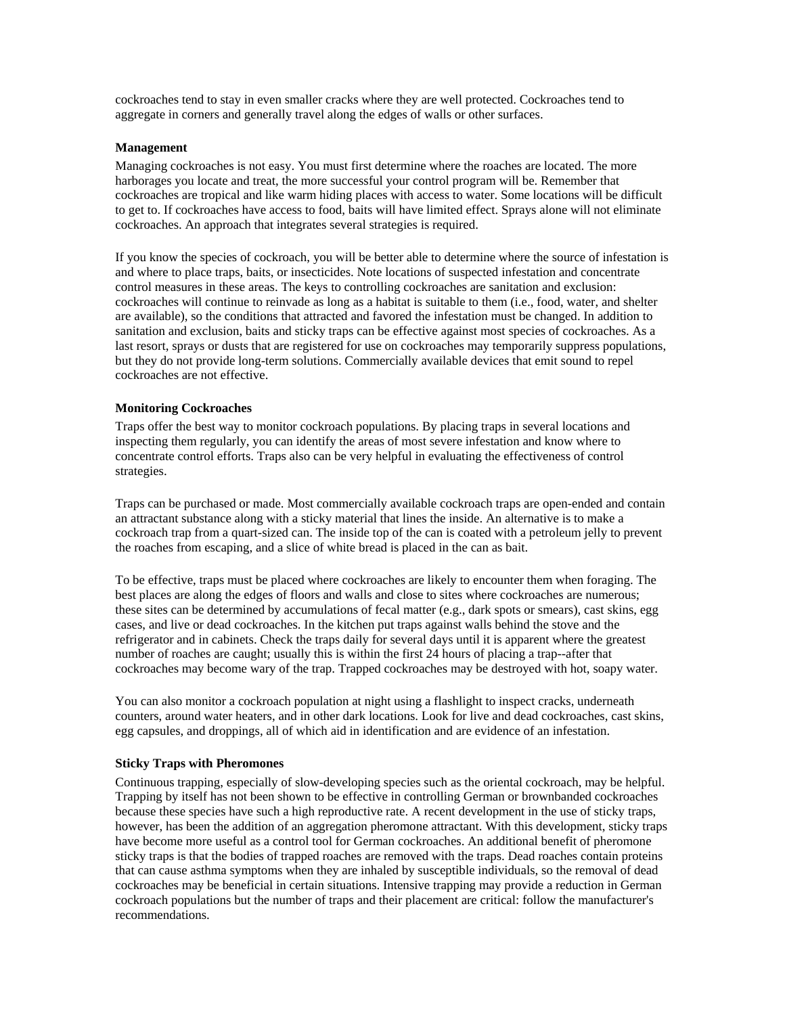<span id="page-7-0"></span>cockroaches tend to stay in even smaller cracks where they are well protected. Cockroaches tend to aggregate in corners and generally travel along the edges of walls or other surfaces.

## **Management**

Managing cockroaches is not easy. You must first determine where the roaches are located. The more harborages you locate and treat, the more successful your control program will be. Remember that cockroaches are tropical and like warm hiding places with access to water. Some locations will be difficult to get to. If cockroaches have access to food, baits will have limited effect. Sprays alone will not eliminate cockroaches. An approach that integrates several strategies is required.

If you know the species of cockroach, you will be better able to determine where the source of infestation is and where to place traps, baits, or insecticides. Note locations of suspected infestation and concentrate control measures in these areas. The keys to controlling cockroaches are sanitation and exclusion: cockroaches will continue to reinvade as long as a habitat is suitable to them (i.e., food, water, and shelter are available), so the conditions that attracted and favored the infestation must be changed. In addition to sanitation and exclusion, baits and sticky traps can be effective against most species of cockroaches. As a last resort, sprays or dusts that are registered for use on cockroaches may temporarily suppress populations, but they do not provide long-term solutions. Commercially available devices that emit sound to repel cockroaches are not effective.

## **Monitoring Cockroaches**

Traps offer the best way to monitor cockroach populations. By placing traps in several locations and inspecting them regularly, you can identify the areas of most severe infestation and know where to concentrate control efforts. Traps also can be very helpful in evaluating the effectiveness of control strategies.

Traps can be purchased or made. Most commercially available cockroach traps are open-ended and contain an attractant substance along with a sticky material that lines the inside. An alternative is to make a cockroach trap from a quart-sized can. The inside top of the can is coated with a petroleum jelly to prevent the roaches from escaping, and a slice of white bread is placed in the can as bait.

To be effective, traps must be placed where cockroaches are likely to encounter them when foraging. The best places are along the edges of floors and walls and close to sites where cockroaches are numerous; these sites can be determined by accumulations of fecal matter (e.g., dark spots or smears), cast skins, egg cases, and live or dead cockroaches. In the kitchen put traps against walls behind the stove and the refrigerator and in cabinets. Check the traps daily for several days until it is apparent where the greatest number of roaches are caught; usually this is within the first 24 hours of placing a trap--after that cockroaches may become wary of the trap. Trapped cockroaches may be destroyed with hot, soapy water.

You can also monitor a cockroach population at night using a flashlight to inspect cracks, underneath counters, around water heaters, and in other dark locations. Look for live and dead cockroaches, cast skins, egg capsules, and droppings, all of which aid in identification and are evidence of an infestation.

#### **Sticky Traps with Pheromones**

Continuous trapping, especially of slow-developing species such as the oriental cockroach, may be helpful. Trapping by itself has not been shown to be effective in controlling German or brownbanded cockroaches because these species have such a high reproductive rate. A recent development in the use of sticky traps, however, has been the addition of an aggregation pheromone attractant. With this development, sticky traps have become more useful as a control tool for German cockroaches. An additional benefit of pheromone sticky traps is that the bodies of trapped roaches are removed with the traps. Dead roaches contain proteins that can cause asthma symptoms when they are inhaled by susceptible individuals, so the removal of dead cockroaches may be beneficial in certain situations. Intensive trapping may provide a reduction in German cockroach populations but the number of traps and their placement are critical: follow the manufacturer's recommendations.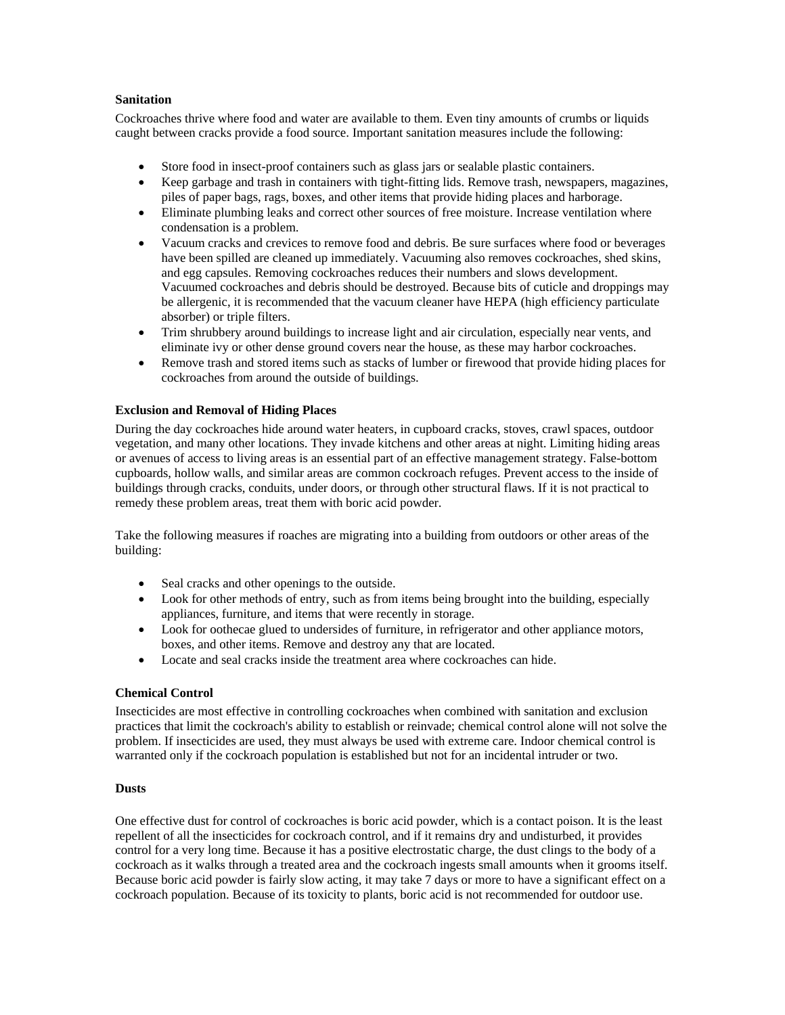## <span id="page-8-0"></span>**Sanitation**

Cockroaches thrive where food and water are available to them. Even tiny amounts of crumbs or liquids caught between cracks provide a food source. Important sanitation measures include the following:

- Store food in insect-proof containers such as glass jars or sealable plastic containers.
- Keep garbage and trash in containers with tight-fitting lids. Remove trash, newspapers, magazines, piles of paper bags, rags, boxes, and other items that provide hiding places and harborage.
- Eliminate plumbing leaks and correct other sources of free moisture. Increase ventilation where condensation is a problem.
- Vacuum cracks and crevices to remove food and debris. Be sure surfaces where food or beverages have been spilled are cleaned up immediately. Vacuuming also removes cockroaches, shed skins, and egg capsules. Removing cockroaches reduces their numbers and slows development. Vacuumed cockroaches and debris should be destroyed. Because bits of cuticle and droppings may be allergenic, it is recommended that the vacuum cleaner have HEPA (high efficiency particulate absorber) or triple filters.
- Trim shrubbery around buildings to increase light and air circulation, especially near vents, and eliminate ivy or other dense ground covers near the house, as these may harbor cockroaches.
- Remove trash and stored items such as stacks of lumber or firewood that provide hiding places for cockroaches from around the outside of buildings.

## **Exclusion and Removal of Hiding Places**

During the day cockroaches hide around water heaters, in cupboard cracks, stoves, crawl spaces, outdoor vegetation, and many other locations. They invade kitchens and other areas at night. Limiting hiding areas or avenues of access to living areas is an essential part of an effective management strategy. False-bottom cupboards, hollow walls, and similar areas are common cockroach refuges. Prevent access to the inside of buildings through cracks, conduits, under doors, or through other structural flaws. If it is not practical to remedy these problem areas, treat them with boric acid powder.

Take the following measures if roaches are migrating into a building from outdoors or other areas of the building:

- Seal cracks and other openings to the outside.
- Look for other methods of entry, such as from items being brought into the building, especially appliances, furniture, and items that were recently in storage.
- Look for oothecae glued to undersides of furniture, in refrigerator and other appliance motors, boxes, and other items. Remove and destroy any that are located.
- Locate and seal cracks inside the treatment area where cockroaches can hide.

#### **Chemical Control**

Insecticides are most effective in controlling cockroaches when combined with sanitation and exclusion practices that limit the cockroach's ability to establish or reinvade; chemical control alone will not solve the problem. If insecticides are used, they must always be used with extreme care. Indoor chemical control is warranted only if the cockroach population is established but not for an incidental intruder or two.

## **Dusts**

One effective dust for control of cockroaches is boric acid powder, which is a contact poison. It is the least repellent of all the insecticides for cockroach control, and if it remains dry and undisturbed, it provides control for a very long time. Because it has a positive electrostatic charge, the dust clings to the body of a cockroach as it walks through a treated area and the cockroach ingests small amounts when it grooms itself. Because boric acid powder is fairly slow acting, it may take 7 days or more to have a significant effect on a cockroach population. Because of its toxicity to plants, boric acid is not recommended for outdoor use.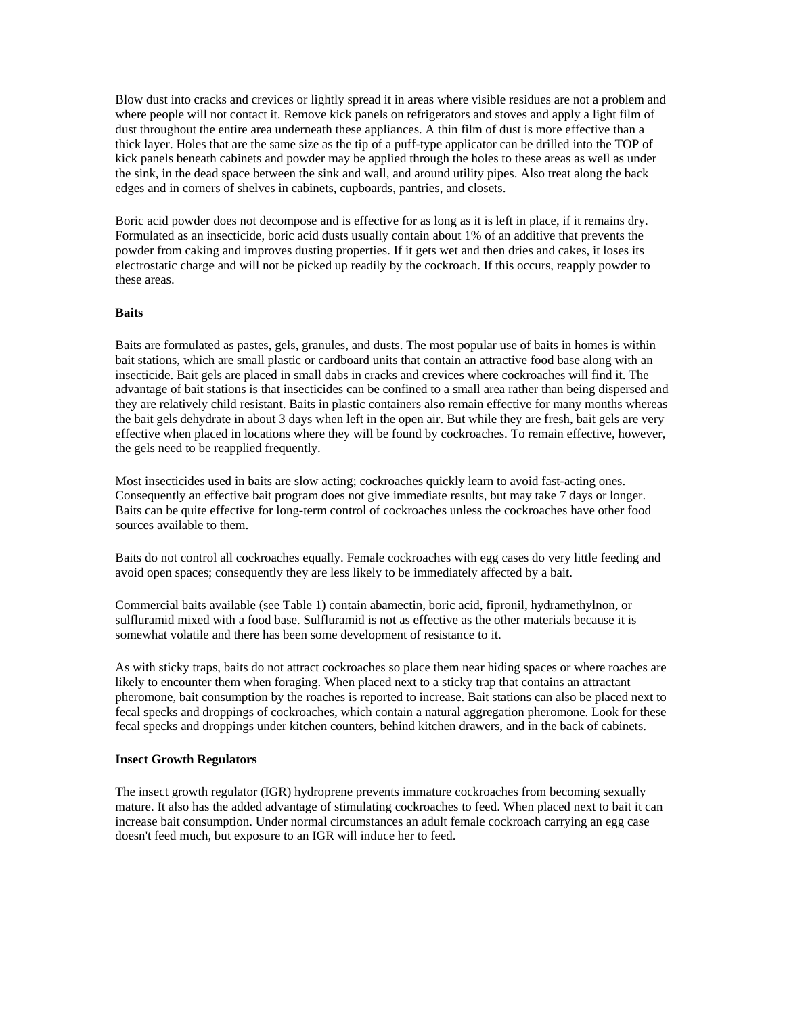<span id="page-9-0"></span>Blow dust into cracks and crevices or lightly spread it in areas where visible residues are not a problem and where people will not contact it. Remove kick panels on refrigerators and stoves and apply a light film of dust throughout the entire area underneath these appliances. A thin film of dust is more effective than a thick layer. Holes that are the same size as the tip of a puff-type applicator can be drilled into the TOP of kick panels beneath cabinets and powder may be applied through the holes to these areas as well as under the sink, in the dead space between the sink and wall, and around utility pipes. Also treat along the back edges and in corners of shelves in cabinets, cupboards, pantries, and closets.

Boric acid powder does not decompose and is effective for as long as it is left in place, if it remains dry. Formulated as an insecticide, boric acid dusts usually contain about 1% of an additive that prevents the powder from caking and improves dusting properties. If it gets wet and then dries and cakes, it loses its electrostatic charge and will not be picked up readily by the cockroach. If this occurs, reapply powder to these areas.

#### **Baits**

Baits are formulated as pastes, gels, granules, and dusts. The most popular use of baits in homes is within bait stations, which are small plastic or cardboard units that contain an attractive food base along with an insecticide. Bait gels are placed in small dabs in cracks and crevices where cockroaches will find it. The advantage of bait stations is that insecticides can be confined to a small area rather than being dispersed and they are relatively child resistant. Baits in plastic containers also remain effective for many months whereas the bait gels dehydrate in about 3 days when left in the open air. But while they are fresh, bait gels are very effective when placed in locations where they will be found by cockroaches. To remain effective, however, the gels need to be reapplied frequently.

Most insecticides used in baits are slow acting; cockroaches quickly learn to avoid fast-acting ones. Consequently an effective bait program does not give immediate results, but may take 7 days or longer. Baits can be quite effective for long-term control of cockroaches unless the cockroaches have other food sources available to them.

Baits do not control all cockroaches equally. Female cockroaches with egg cases do very little feeding and avoid open spaces; consequently they are less likely to be immediately affected by a bait.

Commercial baits available (see Table 1) contain abamectin, boric acid, fipronil, hydramethylnon, or sulfluramid mixed with a food base. Sulfluramid is not as effective as the other materials because it is somewhat volatile and there has been some development of resistance to it.

As with sticky traps, baits do not attract cockroaches so place them near hiding spaces or where roaches are likely to encounter them when foraging. When placed next to a sticky trap that contains an attractant pheromone, bait consumption by the roaches is reported to increase. Bait stations can also be placed next to fecal specks and droppings of cockroaches, which contain a natural aggregation pheromone. Look for these fecal specks and droppings under kitchen counters, behind kitchen drawers, and in the back of cabinets.

#### **Insect Growth Regulators**

The insect growth regulator (IGR) hydroprene prevents immature cockroaches from becoming sexually mature. It also has the added advantage of stimulating cockroaches to feed. When placed next to bait it can increase bait consumption. Under normal circumstances an adult female cockroach carrying an egg case doesn't feed much, but exposure to an IGR will induce her to feed.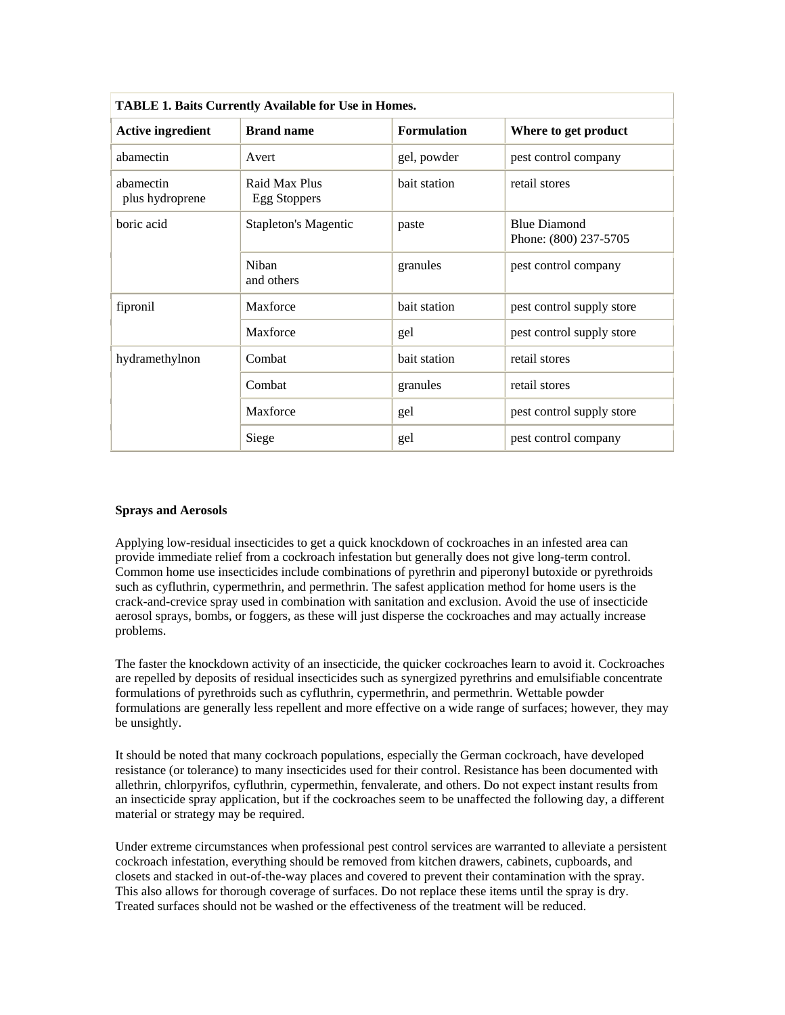<span id="page-10-0"></span>

| <b>TABLE 1. Baits Currently Available for Use in Homes.</b> |                                      |                    |                                              |
|-------------------------------------------------------------|--------------------------------------|--------------------|----------------------------------------------|
| <b>Active ingredient</b>                                    | <b>Brand name</b>                    | <b>Formulation</b> | Where to get product                         |
| abamectin                                                   | Avert                                | gel, powder        | pest control company                         |
| abamectin<br>plus hydroprene                                | Raid Max Plus<br><b>Egg Stoppers</b> | bait station       | retail stores                                |
| boric acid                                                  | <b>Stapleton's Magentic</b>          | paste              | <b>Blue Diamond</b><br>Phone: (800) 237-5705 |
|                                                             | Niban<br>and others                  | granules           | pest control company                         |
| fipronil                                                    | Maxforce                             | bait station       | pest control supply store                    |
|                                                             | Maxforce                             | gel                | pest control supply store                    |
| hydramethylnon                                              | Combat                               | bait station       | retail stores                                |
|                                                             | Combat                               | granules           | retail stores                                |
|                                                             | Maxforce                             | gel                | pest control supply store                    |
|                                                             | Siege                                | gel                | pest control company                         |

| <b>TABLE 1. Baits Currently Available for Use in Homes.</b> |  |
|-------------------------------------------------------------|--|
|                                                             |  |

#### **Sprays and Aerosols**

Applying low-residual insecticides to get a quick knockdown of cockroaches in an infested area can provide immediate relief from a cockroach infestation but generally does not give long-term control. Common home use insecticides include combinations of pyrethrin and piperonyl butoxide or pyrethroids such as cyfluthrin, cypermethrin, and permethrin. The safest application method for home users is the crack-and-crevice spray used in combination with sanitation and exclusion. Avoid the use of insecticide aerosol sprays, bombs, or foggers, as these will just disperse the cockroaches and may actually increase problems.

The faster the knockdown activity of an insecticide, the quicker cockroaches learn to avoid it. Cockroaches are repelled by deposits of residual insecticides such as synergized pyrethrins and emulsifiable concentrate formulations of pyrethroids such as cyfluthrin, cypermethrin, and permethrin. Wettable powder formulations are generally less repellent and more effective on a wide range of surfaces; however, they may be unsightly.

It should be noted that many cockroach populations, especially the German cockroach, have developed resistance (or tolerance) to many insecticides used for their control. Resistance has been documented with allethrin, chlorpyrifos, cyfluthrin, cypermethin, fenvalerate, and others. Do not expect instant results from an insecticide spray application, but if the cockroaches seem to be unaffected the following day, a different material or strategy may be required.

Under extreme circumstances when professional pest control services are warranted to alleviate a persistent cockroach infestation, everything should be removed from kitchen drawers, cabinets, cupboards, and closets and stacked in out-of-the-way places and covered to prevent their contamination with the spray. This also allows for thorough coverage of surfaces. Do not replace these items until the spray is dry. Treated surfaces should not be washed or the effectiveness of the treatment will be reduced.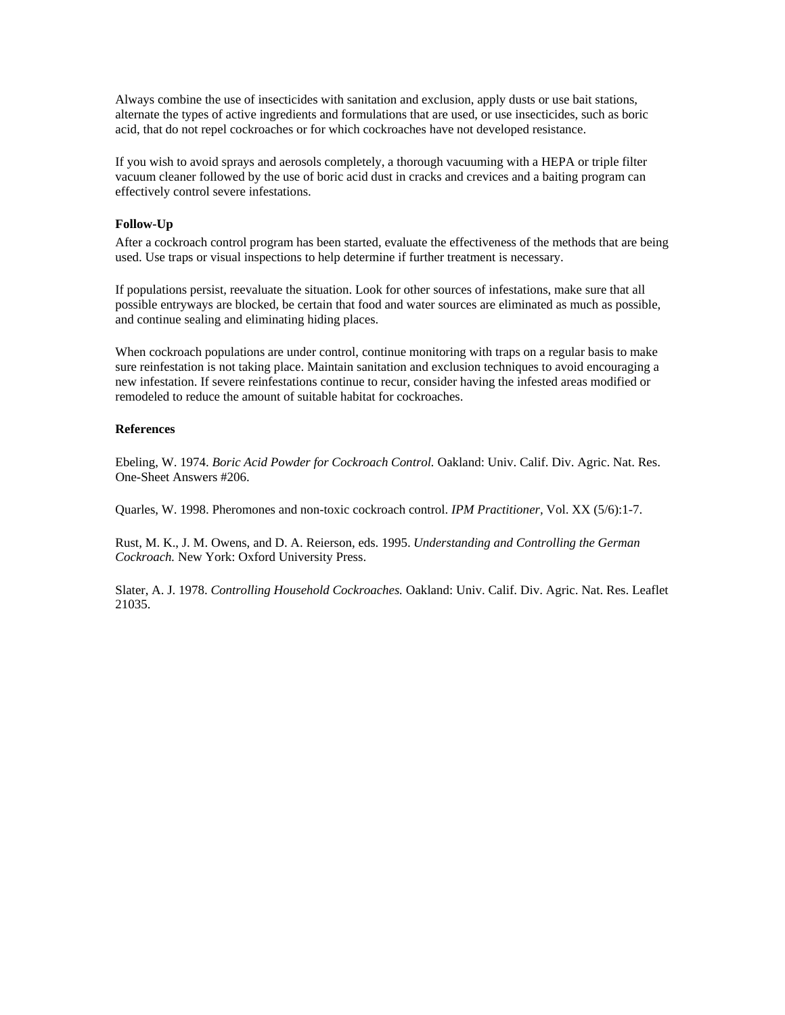<span id="page-11-0"></span>Always combine the use of insecticides with sanitation and exclusion, apply dusts or use bait stations, alternate the types of active ingredients and formulations that are used, or use insecticides, such as boric acid, that do not repel cockroaches or for which cockroaches have not developed resistance.

If you wish to avoid sprays and aerosols completely, a thorough vacuuming with a HEPA or triple filter vacuum cleaner followed by the use of boric acid dust in cracks and crevices and a baiting program can effectively control severe infestations.

#### **Follow-Up**

After a cockroach control program has been started, evaluate the effectiveness of the methods that are being used. Use traps or visual inspections to help determine if further treatment is necessary.

If populations persist, reevaluate the situation. Look for other sources of infestations, make sure that all possible entryways are blocked, be certain that food and water sources are eliminated as much as possible, and continue sealing and eliminating hiding places.

When cockroach populations are under control, continue monitoring with traps on a regular basis to make sure reinfestation is not taking place. Maintain sanitation and exclusion techniques to avoid encouraging a new infestation. If severe reinfestations continue to recur, consider having the infested areas modified or remodeled to reduce the amount of suitable habitat for cockroaches.

#### **References**

Ebeling, W. 1974. *Boric Acid Powder for Cockroach Control.* Oakland: Univ. Calif. Div. Agric. Nat. Res. One-Sheet Answers #206.

Quarles, W. 1998. Pheromones and non-toxic cockroach control. *IPM Practitioner,* Vol. XX (5/6):1-7.

Rust, M. K., J. M. Owens, and D. A. Reierson, eds. 1995. *Understanding and Controlling the German Cockroach.* New York: Oxford University Press.

Slater, A. J. 1978. *Controlling Household Cockroaches.* Oakland: Univ. Calif. Div. Agric. Nat. Res. Leaflet 21035.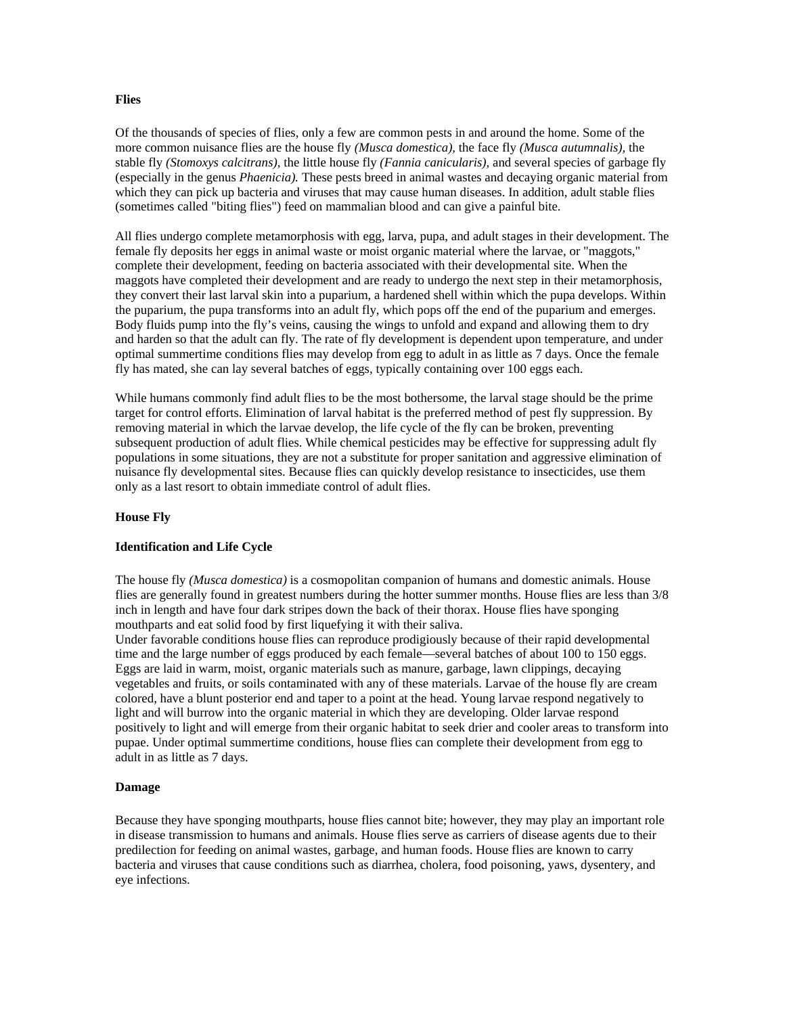#### <span id="page-12-0"></span>**Flies**

Of the thousands of species of flies, only a few are common pests in and around the home. Some of the more common nuisance flies are the house fly *(Musca domestica),* the face fly *(Musca autumnalis),* the stable fly *(Stomoxys calcitrans),* the little house fly *(Fannia canicularis),* and several species of garbage fly (especially in the genus *Phaenicia).* These pests breed in animal wastes and decaying organic material from which they can pick up bacteria and viruses that may cause human diseases. In addition, adult stable flies (sometimes called "biting flies") feed on mammalian blood and can give a painful bite.

All flies undergo complete metamorphosis with egg, larva, pupa, and adult stages in their development. The female fly deposits her eggs in animal waste or moist organic material where the larvae, or "maggots," complete their development, feeding on bacteria associated with their developmental site. When the maggots have completed their development and are ready to undergo the next step in their metamorphosis, they convert their last larval skin into a puparium, a hardened shell within which the pupa develops. Within the puparium, the pupa transforms into an adult fly, which pops off the end of the puparium and emerges. Body fluids pump into the fly's veins, causing the wings to unfold and expand and allowing them to dry and harden so that the adult can fly. The rate of fly development is dependent upon temperature, and under optimal summertime conditions flies may develop from egg to adult in as little as 7 days. Once the female fly has mated, she can lay several batches of eggs, typically containing over 100 eggs each.

While humans commonly find adult flies to be the most bothersome, the larval stage should be the prime target for control efforts. Elimination of larval habitat is the preferred method of pest fly suppression. By removing material in which the larvae develop, the life cycle of the fly can be broken, preventing subsequent production of adult flies. While chemical pesticides may be effective for suppressing adult fly populations in some situations, they are not a substitute for proper sanitation and aggressive elimination of nuisance fly developmental sites. Because flies can quickly develop resistance to insecticides, use them only as a last resort to obtain immediate control of adult flies.

#### **House Fly**

#### **Identification and Life Cycle**

The house fly *(Musca domestica)* is a cosmopolitan companion of humans and domestic animals. House flies are generally found in greatest numbers during the hotter summer months. House flies are less than 3/8 inch in length and have four dark stripes down the back of their thorax. House flies have sponging mouthparts and eat solid food by first liquefying it with their saliva.

Under favorable conditions house flies can reproduce prodigiously because of their rapid developmental time and the large number of eggs produced by each female—several batches of about 100 to 150 eggs. Eggs are laid in warm, moist, organic materials such as manure, garbage, lawn clippings, decaying vegetables and fruits, or soils contaminated with any of these materials. Larvae of the house fly are cream colored, have a blunt posterior end and taper to a point at the head. Young larvae respond negatively to light and will burrow into the organic material in which they are developing. Older larvae respond positively to light and will emerge from their organic habitat to seek drier and cooler areas to transform into pupae. Under optimal summertime conditions, house flies can complete their development from egg to adult in as little as 7 days.

#### **Damage**

Because they have sponging mouthparts, house flies cannot bite; however, they may play an important role in disease transmission to humans and animals. House flies serve as carriers of disease agents due to their predilection for feeding on animal wastes, garbage, and human foods. House flies are known to carry bacteria and viruses that cause conditions such as diarrhea, cholera, food poisoning, yaws, dysentery, and eye infections.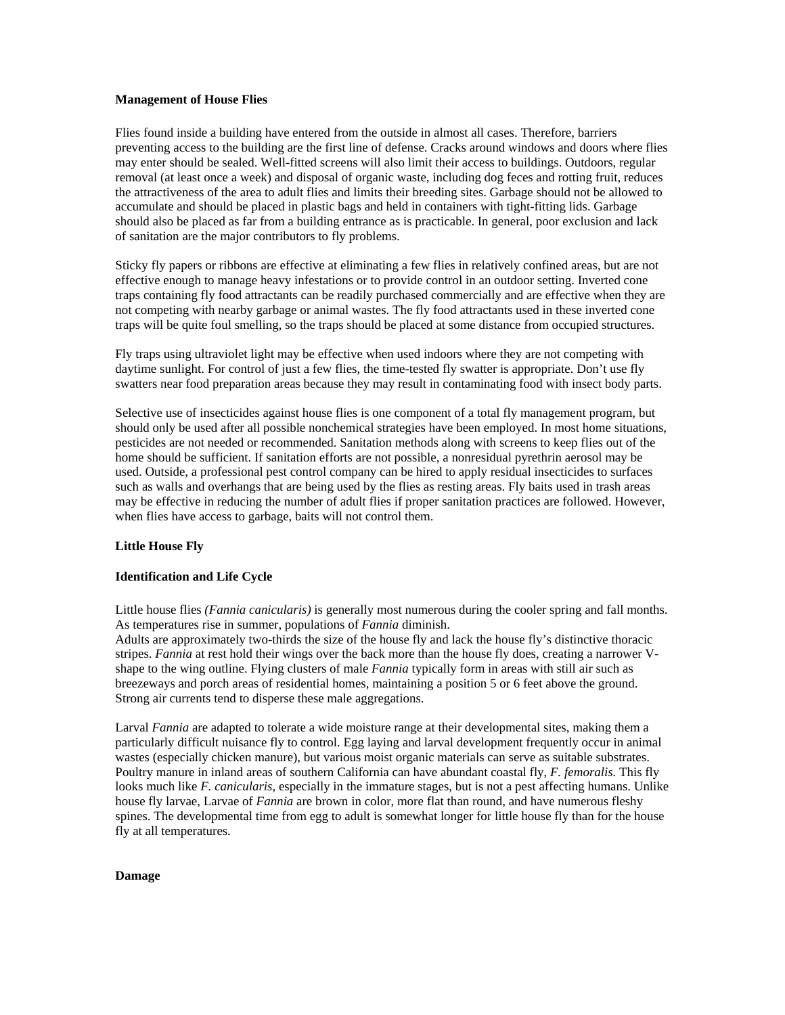#### <span id="page-13-0"></span>**Management of House Flies**

Flies found inside a building have entered from the outside in almost all cases. Therefore, barriers preventing access to the building are the first line of defense. Cracks around windows and doors where flies may enter should be sealed. Well-fitted screens will also limit their access to buildings. Outdoors, regular removal (at least once a week) and disposal of organic waste, including dog feces and rotting fruit, reduces the attractiveness of the area to adult flies and limits their breeding sites. Garbage should not be allowed to accumulate and should be placed in plastic bags and held in containers with tight-fitting lids. Garbage should also be placed as far from a building entrance as is practicable. In general, poor exclusion and lack of sanitation are the major contributors to fly problems.

Sticky fly papers or ribbons are effective at eliminating a few flies in relatively confined areas, but are not effective enough to manage heavy infestations or to provide control in an outdoor setting. Inverted cone traps containing fly food attractants can be readily purchased commercially and are effective when they are not competing with nearby garbage or animal wastes. The fly food attractants used in these inverted cone traps will be quite foul smelling, so the traps should be placed at some distance from occupied structures.

Fly traps using ultraviolet light may be effective when used indoors where they are not competing with daytime sunlight. For control of just a few flies, the time-tested fly swatter is appropriate. Don't use fly swatters near food preparation areas because they may result in contaminating food with insect body parts.

Selective use of insecticides against house flies is one component of a total fly management program, but should only be used after all possible nonchemical strategies have been employed. In most home situations, pesticides are not needed or recommended. Sanitation methods along with screens to keep flies out of the home should be sufficient. If sanitation efforts are not possible, a nonresidual pyrethrin aerosol may be used. Outside, a professional pest control company can be hired to apply residual insecticides to surfaces such as walls and overhangs that are being used by the flies as resting areas. Fly baits used in trash areas may be effective in reducing the number of adult flies if proper sanitation practices are followed. However, when flies have access to garbage, baits will not control them.

#### **Little House Fly**

#### **Identification and Life Cycle**

Little house flies *(Fannia canicularis)* is generally most numerous during the cooler spring and fall months. As temperatures rise in summer, populations of *Fannia* diminish.

Adults are approximately two-thirds the size of the house fly and lack the house fly's distinctive thoracic stripes. *Fannia* at rest hold their wings over the back more than the house fly does, creating a narrower Vshape to the wing outline. Flying clusters of male *Fannia* typically form in areas with still air such as breezeways and porch areas of residential homes, maintaining a position 5 or 6 feet above the ground. Strong air currents tend to disperse these male aggregations.

Larval *Fannia* are adapted to tolerate a wide moisture range at their developmental sites, making them a particularly difficult nuisance fly to control. Egg laying and larval development frequently occur in animal wastes (especially chicken manure), but various moist organic materials can serve as suitable substrates. Poultry manure in inland areas of southern California can have abundant coastal fly, *F. femoralis.* This fly looks much like *F. canicularis,* especially in the immature stages, but is not a pest affecting humans. Unlike house fly larvae, Larvae of *Fannia* are brown in color, more flat than round, and have numerous fleshy spines. The developmental time from egg to adult is somewhat longer for little house fly than for the house fly at all temperatures.

#### **Damage**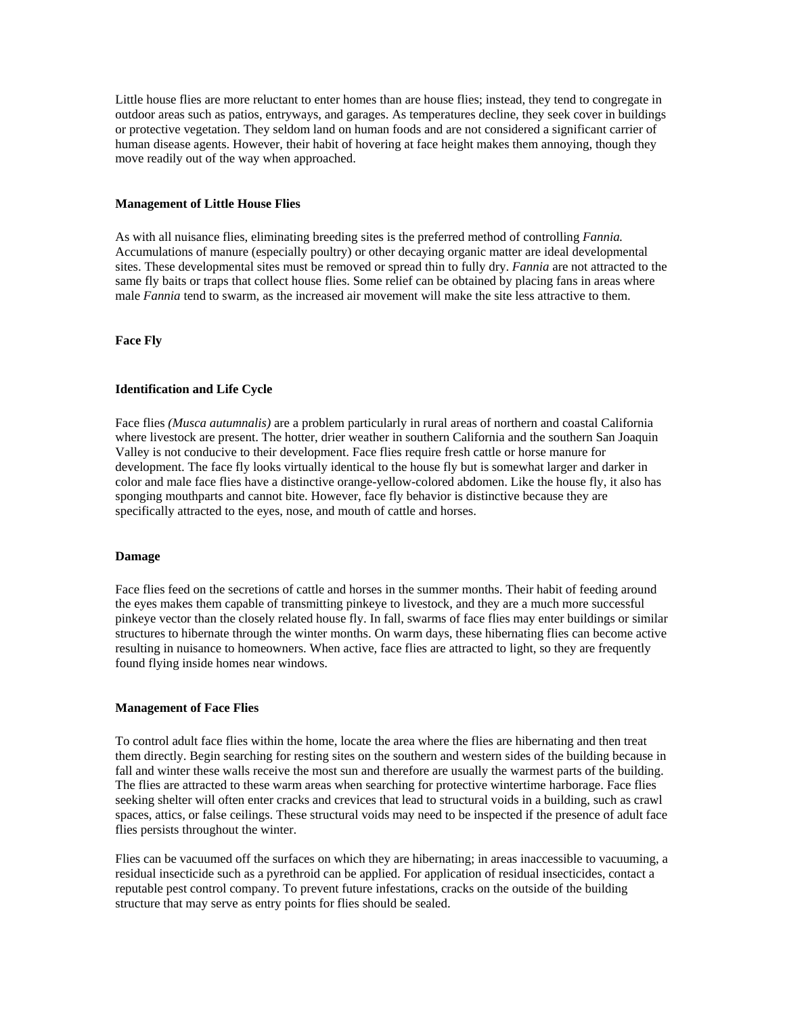<span id="page-14-0"></span>Little house flies are more reluctant to enter homes than are house flies; instead, they tend to congregate in outdoor areas such as patios, entryways, and garages. As temperatures decline, they seek cover in buildings or protective vegetation. They seldom land on human foods and are not considered a significant carrier of human disease agents. However, their habit of hovering at face height makes them annoying, though they move readily out of the way when approached.

#### **Management of Little House Flies**

As with all nuisance flies, eliminating breeding sites is the preferred method of controlling *Fannia.* Accumulations of manure (especially poultry) or other decaying organic matter are ideal developmental sites. These developmental sites must be removed or spread thin to fully dry. *Fannia* are not attracted to the same fly baits or traps that collect house flies. Some relief can be obtained by placing fans in areas where male *Fannia* tend to swarm, as the increased air movement will make the site less attractive to them.

#### **Face Fly**

#### **Identification and Life Cycle**

Face flies *(Musca autumnalis)* are a problem particularly in rural areas of northern and coastal California where livestock are present. The hotter, drier weather in southern California and the southern San Joaquin Valley is not conducive to their development. Face flies require fresh cattle or horse manure for development. The face fly looks virtually identical to the house fly but is somewhat larger and darker in color and male face flies have a distinctive orange-yellow-colored abdomen. Like the house fly, it also has sponging mouthparts and cannot bite. However, face fly behavior is distinctive because they are specifically attracted to the eyes, nose, and mouth of cattle and horses.

## **Damage**

Face flies feed on the secretions of cattle and horses in the summer months. Their habit of feeding around the eyes makes them capable of transmitting pinkeye to livestock, and they are a much more successful pinkeye vector than the closely related house fly. In fall, swarms of face flies may enter buildings or similar structures to hibernate through the winter months. On warm days, these hibernating flies can become active resulting in nuisance to homeowners. When active, face flies are attracted to light, so they are frequently found flying inside homes near windows.

#### **Management of Face Flies**

To control adult face flies within the home, locate the area where the flies are hibernating and then treat them directly. Begin searching for resting sites on the southern and western sides of the building because in fall and winter these walls receive the most sun and therefore are usually the warmest parts of the building. The flies are attracted to these warm areas when searching for protective wintertime harborage. Face flies seeking shelter will often enter cracks and crevices that lead to structural voids in a building, such as crawl spaces, attics, or false ceilings. These structural voids may need to be inspected if the presence of adult face flies persists throughout the winter.

Flies can be vacuumed off the surfaces on which they are hibernating; in areas inaccessible to vacuuming, a residual insecticide such as a pyrethroid can be applied. For application of residual insecticides, contact a reputable pest control company. To prevent future infestations, cracks on the outside of the building structure that may serve as entry points for flies should be sealed.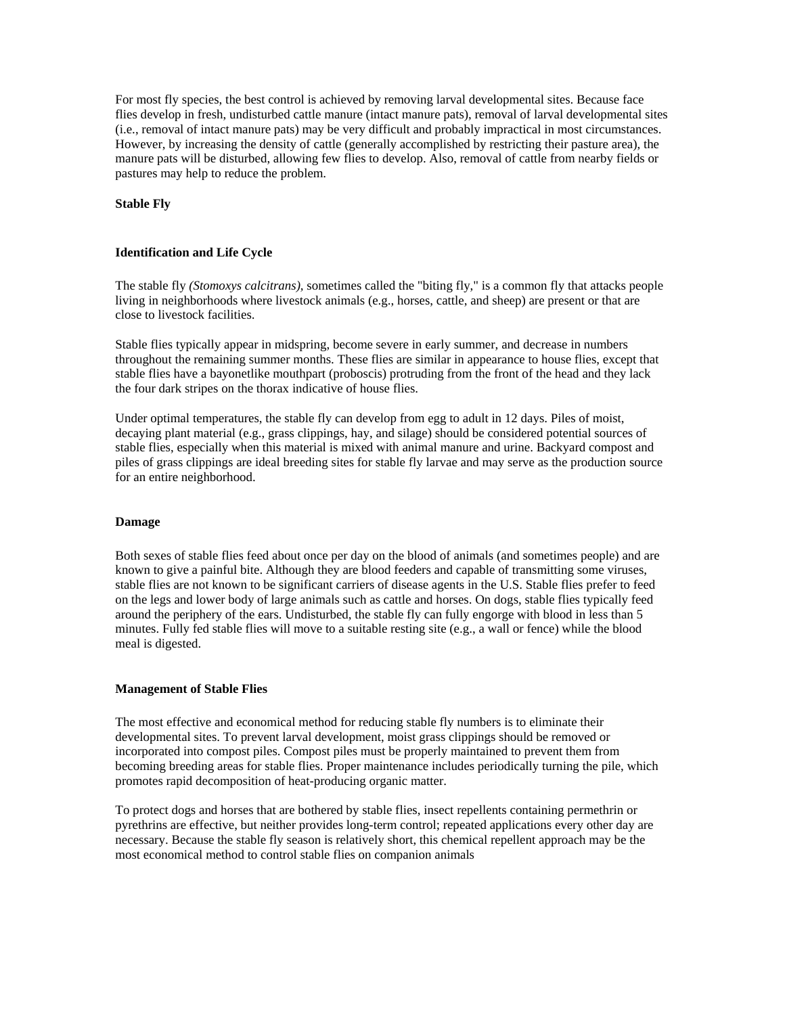<span id="page-15-0"></span>For most fly species, the best control is achieved by removing larval developmental sites. Because face flies develop in fresh, undisturbed cattle manure (intact manure pats), removal of larval developmental sites (i.e., removal of intact manure pats) may be very difficult and probably impractical in most circumstances. However, by increasing the density of cattle (generally accomplished by restricting their pasture area), the manure pats will be disturbed, allowing few flies to develop. Also, removal of cattle from nearby fields or pastures may help to reduce the problem.

## **Stable Fly**

## **Identification and Life Cycle**

The stable fly *(Stomoxys calcitrans),* sometimes called the "biting fly," is a common fly that attacks people living in neighborhoods where livestock animals (e.g., horses, cattle, and sheep) are present or that are close to livestock facilities.

Stable flies typically appear in midspring, become severe in early summer, and decrease in numbers throughout the remaining summer months. These flies are similar in appearance to house flies, except that stable flies have a bayonetlike mouthpart (proboscis) protruding from the front of the head and they lack the four dark stripes on the thorax indicative of house flies.

Under optimal temperatures, the stable fly can develop from egg to adult in 12 days. Piles of moist, decaying plant material (e.g., grass clippings, hay, and silage) should be considered potential sources of stable flies, especially when this material is mixed with animal manure and urine. Backyard compost and piles of grass clippings are ideal breeding sites for stable fly larvae and may serve as the production source for an entire neighborhood.

#### **Damage**

Both sexes of stable flies feed about once per day on the blood of animals (and sometimes people) and are known to give a painful bite. Although they are blood feeders and capable of transmitting some viruses, stable flies are not known to be significant carriers of disease agents in the U.S. Stable flies prefer to feed on the legs and lower body of large animals such as cattle and horses. On dogs, stable flies typically feed around the periphery of the ears. Undisturbed, the stable fly can fully engorge with blood in less than 5 minutes. Fully fed stable flies will move to a suitable resting site (e.g., a wall or fence) while the blood meal is digested.

#### **Management of Stable Flies**

The most effective and economical method for reducing stable fly numbers is to eliminate their developmental sites. To prevent larval development, moist grass clippings should be removed or incorporated into compost piles. Compost piles must be properly maintained to prevent them from becoming breeding areas for stable flies. Proper maintenance includes periodically turning the pile, which promotes rapid decomposition of heat-producing organic matter.

To protect dogs and horses that are bothered by stable flies, insect repellents containing permethrin or pyrethrins are effective, but neither provides long-term control; repeated applications every other day are necessary. Because the stable fly season is relatively short, this chemical repellent approach may be the most economical method to control stable flies on companion animals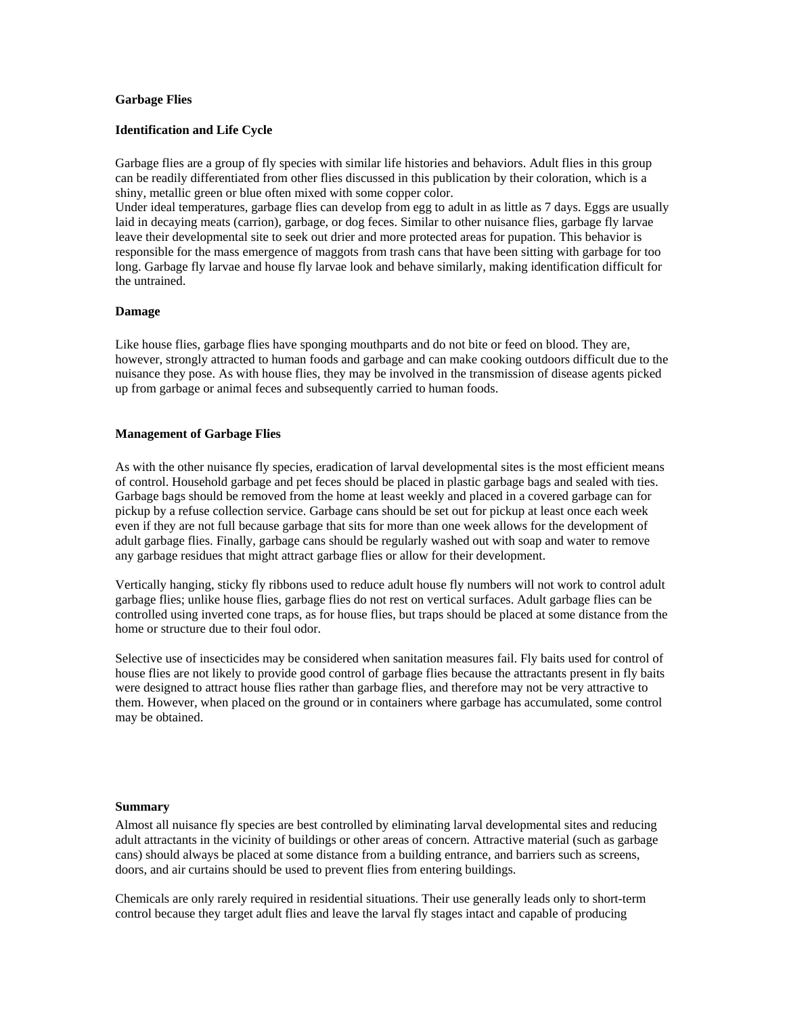## <span id="page-16-0"></span>**Garbage Flies**

## **Identification and Life Cycle**

Garbage flies are a group of fly species with similar life histories and behaviors. Adult flies in this group can be readily differentiated from other flies discussed in this publication by their coloration, which is a shiny, metallic green or blue often mixed with some copper color.

Under ideal temperatures, garbage flies can develop from egg to adult in as little as 7 days. Eggs are usually laid in decaying meats (carrion), garbage, or dog feces. Similar to other nuisance flies, garbage fly larvae leave their developmental site to seek out drier and more protected areas for pupation. This behavior is responsible for the mass emergence of maggots from trash cans that have been sitting with garbage for too long. Garbage fly larvae and house fly larvae look and behave similarly, making identification difficult for the untrained.

#### **Damage**

Like house flies, garbage flies have sponging mouthparts and do not bite or feed on blood. They are, however, strongly attracted to human foods and garbage and can make cooking outdoors difficult due to the nuisance they pose. As with house flies, they may be involved in the transmission of disease agents picked up from garbage or animal feces and subsequently carried to human foods.

## **Management of Garbage Flies**

As with the other nuisance fly species, eradication of larval developmental sites is the most efficient means of control. Household garbage and pet feces should be placed in plastic garbage bags and sealed with ties. Garbage bags should be removed from the home at least weekly and placed in a covered garbage can for pickup by a refuse collection service. Garbage cans should be set out for pickup at least once each week even if they are not full because garbage that sits for more than one week allows for the development of adult garbage flies. Finally, garbage cans should be regularly washed out with soap and water to remove any garbage residues that might attract garbage flies or allow for their development.

Vertically hanging, sticky fly ribbons used to reduce adult house fly numbers will not work to control adult garbage flies; unlike house flies, garbage flies do not rest on vertical surfaces. Adult garbage flies can be controlled using inverted cone traps, as for house flies, but traps should be placed at some distance from the home or structure due to their foul odor.

Selective use of insecticides may be considered when sanitation measures fail. Fly baits used for control of house flies are not likely to provide good control of garbage flies because the attractants present in fly baits were designed to attract house flies rather than garbage flies, and therefore may not be very attractive to them. However, when placed on the ground or in containers where garbage has accumulated, some control may be obtained.

#### **Summary**

Almost all nuisance fly species are best controlled by eliminating larval developmental sites and reducing adult attractants in the vicinity of buildings or other areas of concern. Attractive material (such as garbage cans) should always be placed at some distance from a building entrance, and barriers such as screens, doors, and air curtains should be used to prevent flies from entering buildings.

Chemicals are only rarely required in residential situations. Their use generally leads only to short-term control because they target adult flies and leave the larval fly stages intact and capable of producing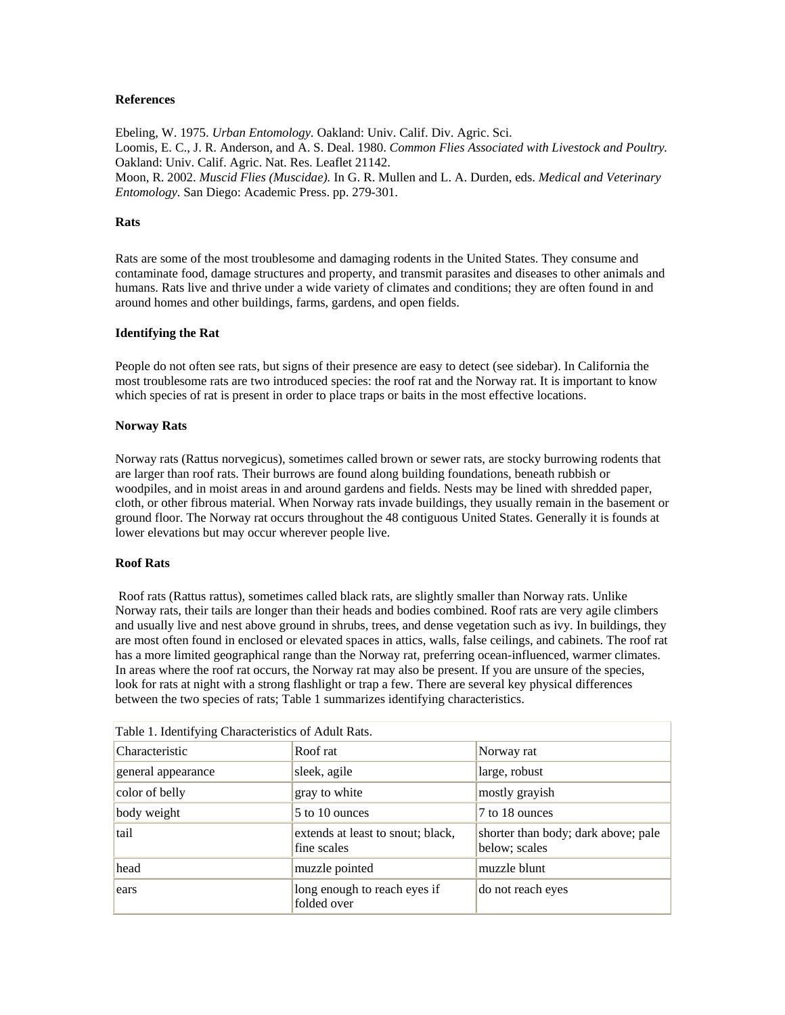## <span id="page-17-0"></span>**References**

Ebeling, W. 1975. *Urban Entomology.* Oakland: Univ. Calif. Div. Agric. Sci. Loomis, E. C., J. R. Anderson, and A. S. Deal. 1980. *Common Flies Associated with Livestock and Poultry.* Oakland: Univ. Calif. Agric. Nat. Res. Leaflet 21142. Moon, R. 2002. *Muscid Flies (Muscidae).* In G. R. Mullen and L. A. Durden, eds. *Medical and Veterinary Entomology.* San Diego: Academic Press. pp. 279-301.

## **Rats**

Rats are some of the most troublesome and damaging rodents in the United States. They consume and contaminate food, damage structures and property, and transmit parasites and diseases to other animals and humans. Rats live and thrive under a wide variety of climates and conditions; they are often found in and around homes and other buildings, farms, gardens, and open fields.

## **Identifying the Rat**

People do not often see rats, but signs of their presence are easy to detect (see sidebar). In California the most troublesome rats are two introduced species: the roof rat and the Norway rat. It is important to know which species of rat is present in order to place traps or baits in the most effective locations.

#### **Norway Rats**

Norway rats (Rattus norvegicus), sometimes called brown or sewer rats, are stocky burrowing rodents that are larger than roof rats. Their burrows are found along building foundations, beneath rubbish or woodpiles, and in moist areas in and around gardens and fields. Nests may be lined with shredded paper, cloth, or other fibrous material. When Norway rats invade buildings, they usually remain in the basement or ground floor. The Norway rat occurs throughout the 48 contiguous United States. Generally it is founds at lower elevations but may occur wherever people live.

#### **Roof Rats**

 Roof rats (Rattus rattus), sometimes called black rats, are slightly smaller than Norway rats. Unlike Norway rats, their tails are longer than their heads and bodies combined. Roof rats are very agile climbers and usually live and nest above ground in shrubs, trees, and dense vegetation such as ivy. In buildings, they are most often found in enclosed or elevated spaces in attics, walls, false ceilings, and cabinets. The roof rat has a more limited geographical range than the Norway rat, preferring ocean-influenced, warmer climates. In areas where the roof rat occurs, the Norway rat may also be present. If you are unsure of the species, look for rats at night with a strong flashlight or trap a few. There are several key physical differences between the two species of rats; Table 1 summarizes identifying characteristics.

| Table 1. Identifying Characteristics of Adult Rats. |                                                  |                                                      |  |
|-----------------------------------------------------|--------------------------------------------------|------------------------------------------------------|--|
| Characteristic                                      | Roof rat                                         | Norway rat                                           |  |
| general appearance                                  | sleek, agile                                     | large, robust                                        |  |
| color of belly                                      | gray to white                                    | mostly grayish                                       |  |
| body weight                                         | 5 to 10 ounces                                   | 7 to 18 ounces                                       |  |
| tail                                                | extends at least to snout; black,<br>fine scales | shorter than body; dark above; pale<br>below; scales |  |
| head                                                | muzzle pointed                                   | muzzle blunt                                         |  |
| ears                                                | long enough to reach eyes if<br>folded over      | do not reach eyes                                    |  |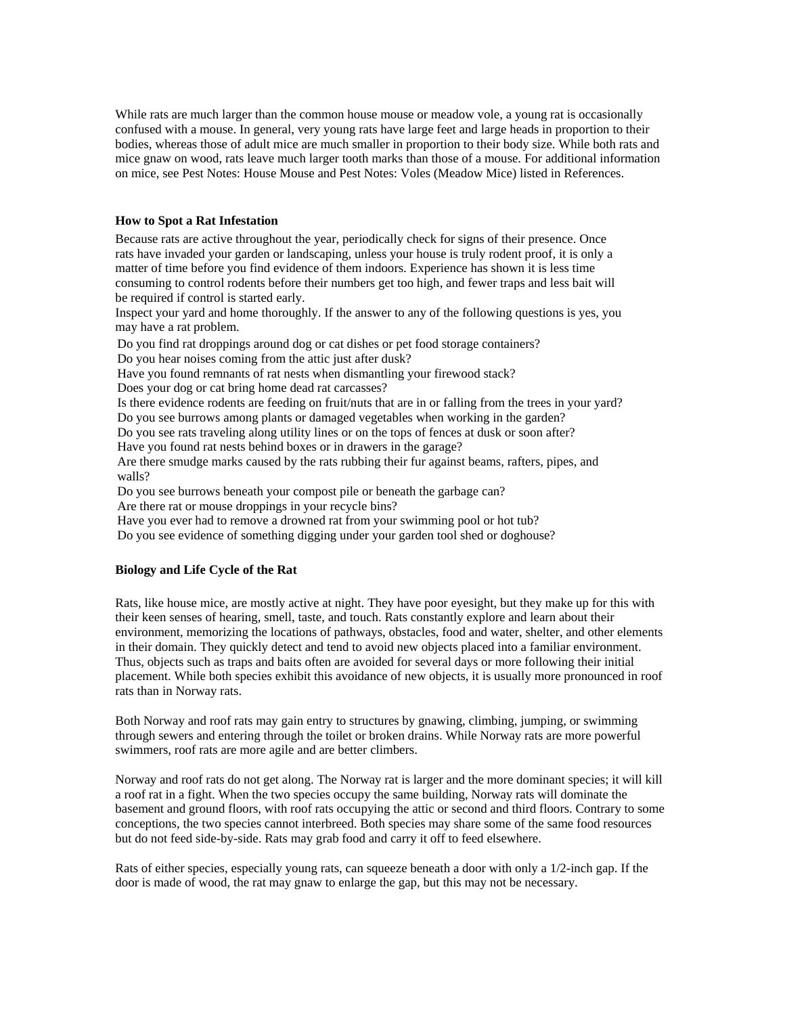<span id="page-18-0"></span>While rats are much larger than the common house mouse or meadow vole, a young rat is occasionally confused with a mouse. In general, very young rats have large feet and large heads in proportion to their bodies, whereas those of adult mice are much smaller in proportion to their body size. While both rats and mice gnaw on wood, rats leave much larger tooth marks than those of a mouse. For additional information on mice, see Pest Notes: House Mouse and Pest Notes: Voles (Meadow Mice) listed in References.

## **How to Spot a Rat Infestation**

Because rats are active throughout the year, periodically check for signs of their presence. Once rats have invaded your garden or landscaping, unless your house is truly rodent proof, it is only a matter of time before you find evidence of them indoors. Experience has shown it is less time consuming to control rodents before their numbers get too high, and fewer traps and less bait will be required if control is started early.

Inspect your yard and home thoroughly. If the answer to any of the following questions is yes, you may have a rat problem.

Do you find rat droppings around dog or cat dishes or pet food storage containers?

Do you hear noises coming from the attic just after dusk?

Have you found remnants of rat nests when dismantling your firewood stack?

Does your dog or cat bring home dead rat carcasses?

Is there evidence rodents are feeding on fruit/nuts that are in or falling from the trees in your yard? Do you see burrows among plants or damaged vegetables when working in the garden?

Do you see rats traveling along utility lines or on the tops of fences at dusk or soon after?

Have you found rat nests behind boxes or in drawers in the garage?

Are there smudge marks caused by the rats rubbing their fur against beams, rafters, pipes, and walls?

Do you see burrows beneath your compost pile or beneath the garbage can? Are there rat or mouse droppings in your recycle bins?

Have you ever had to remove a drowned rat from your swimming pool or hot tub?

Do you see evidence of something digging under your garden tool shed or doghouse?

## **Biology and Life Cycle of the Rat**

Rats, like house mice, are mostly active at night. They have poor eyesight, but they make up for this with their keen senses of hearing, smell, taste, and touch. Rats constantly explore and learn about their environment, memorizing the locations of pathways, obstacles, food and water, shelter, and other elements in their domain. They quickly detect and tend to avoid new objects placed into a familiar environment. Thus, objects such as traps and baits often are avoided for several days or more following their initial placement. While both species exhibit this avoidance of new objects, it is usually more pronounced in roof rats than in Norway rats.

Both Norway and roof rats may gain entry to structures by gnawing, climbing, jumping, or swimming through sewers and entering through the toilet or broken drains. While Norway rats are more powerful swimmers, roof rats are more agile and are better climbers.

Norway and roof rats do not get along. The Norway rat is larger and the more dominant species; it will kill a roof rat in a fight. When the two species occupy the same building, Norway rats will dominate the basement and ground floors, with roof rats occupying the attic or second and third floors. Contrary to some conceptions, the two species cannot interbreed. Both species may share some of the same food resources but do not feed side-by-side. Rats may grab food and carry it off to feed elsewhere.

Rats of either species, especially young rats, can squeeze beneath a door with only a 1/2-inch gap. If the door is made of wood, the rat may gnaw to enlarge the gap, but this may not be necessary.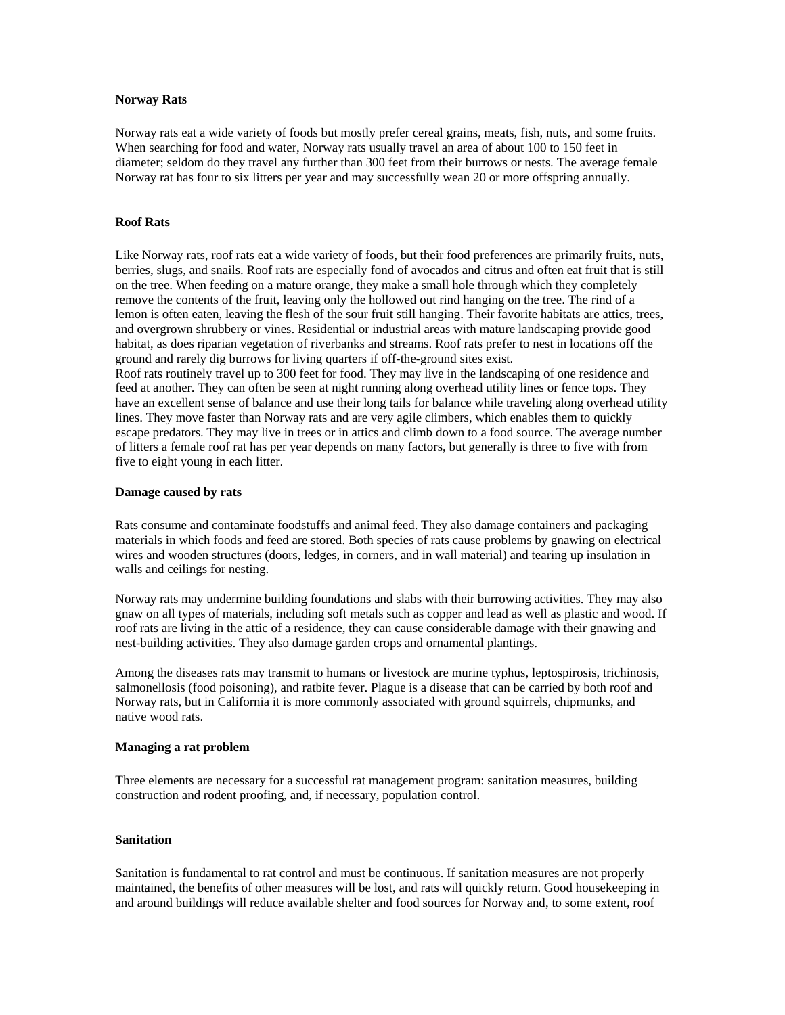#### <span id="page-19-0"></span>**Norway Rats**

Norway rats eat a wide variety of foods but mostly prefer cereal grains, meats, fish, nuts, and some fruits. When searching for food and water, Norway rats usually travel an area of about 100 to 150 feet in diameter; seldom do they travel any further than 300 feet from their burrows or nests. The average female Norway rat has four to six litters per year and may successfully wean 20 or more offspring annually.

## **Roof Rats**

Like Norway rats, roof rats eat a wide variety of foods, but their food preferences are primarily fruits, nuts, berries, slugs, and snails. Roof rats are especially fond of avocados and citrus and often eat fruit that is still on the tree. When feeding on a mature orange, they make a small hole through which they completely remove the contents of the fruit, leaving only the hollowed out rind hanging on the tree. The rind of a lemon is often eaten, leaving the flesh of the sour fruit still hanging. Their favorite habitats are attics, trees, and overgrown shrubbery or vines. Residential or industrial areas with mature landscaping provide good habitat, as does riparian vegetation of riverbanks and streams. Roof rats prefer to nest in locations off the ground and rarely dig burrows for living quarters if off-the-ground sites exist.

Roof rats routinely travel up to 300 feet for food. They may live in the landscaping of one residence and feed at another. They can often be seen at night running along overhead utility lines or fence tops. They have an excellent sense of balance and use their long tails for balance while traveling along overhead utility lines. They move faster than Norway rats and are very agile climbers, which enables them to quickly escape predators. They may live in trees or in attics and climb down to a food source. The average number of litters a female roof rat has per year depends on many factors, but generally is three to five with from five to eight young in each litter.

#### **Damage caused by rats**

Rats consume and contaminate foodstuffs and animal feed. They also damage containers and packaging materials in which foods and feed are stored. Both species of rats cause problems by gnawing on electrical wires and wooden structures (doors, ledges, in corners, and in wall material) and tearing up insulation in walls and ceilings for nesting.

Norway rats may undermine building foundations and slabs with their burrowing activities. They may also gnaw on all types of materials, including soft metals such as copper and lead as well as plastic and wood. If roof rats are living in the attic of a residence, they can cause considerable damage with their gnawing and nest-building activities. They also damage garden crops and ornamental plantings.

Among the diseases rats may transmit to humans or livestock are murine typhus, leptospirosis, trichinosis, salmonellosis (food poisoning), and ratbite fever. Plague is a disease that can be carried by both roof and Norway rats, but in California it is more commonly associated with ground squirrels, chipmunks, and native wood rats.

#### **Managing a rat problem**

Three elements are necessary for a successful rat management program: sanitation measures, building construction and rodent proofing, and, if necessary, population control.

## **Sanitation**

Sanitation is fundamental to rat control and must be continuous. If sanitation measures are not properly maintained, the benefits of other measures will be lost, and rats will quickly return. Good housekeeping in and around buildings will reduce available shelter and food sources for Norway and, to some extent, roof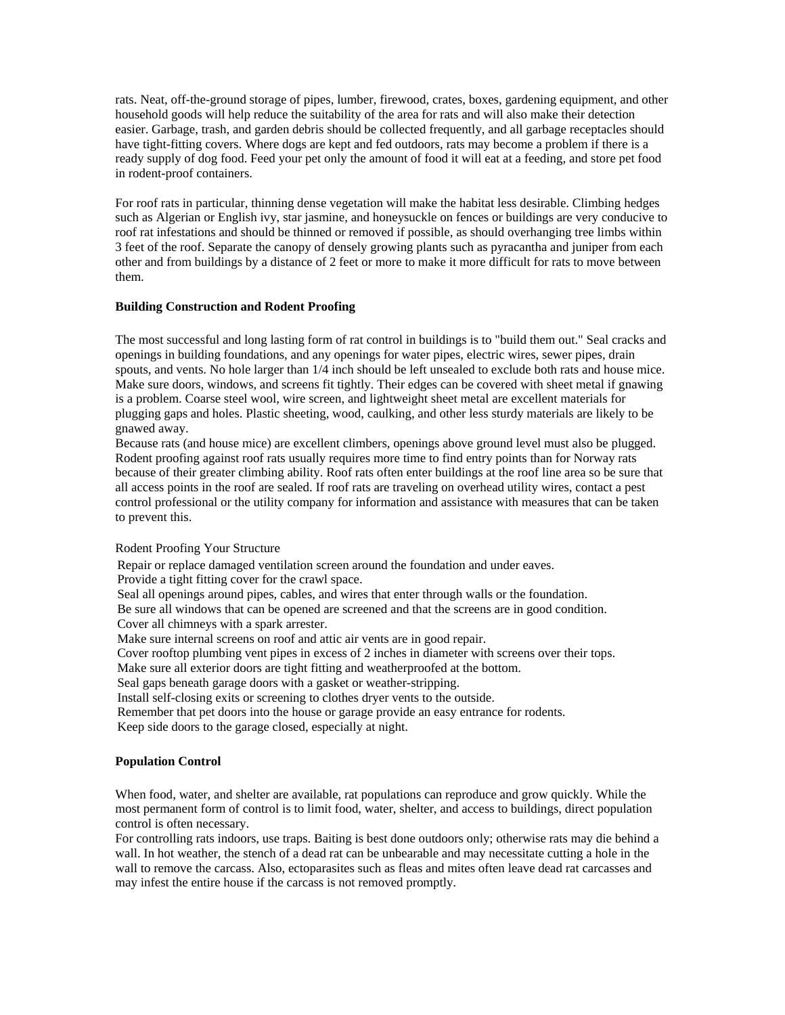<span id="page-20-0"></span>rats. Neat, off-the-ground storage of pipes, lumber, firewood, crates, boxes, gardening equipment, and other household goods will help reduce the suitability of the area for rats and will also make their detection easier. Garbage, trash, and garden debris should be collected frequently, and all garbage receptacles should have tight-fitting covers. Where dogs are kept and fed outdoors, rats may become a problem if there is a ready supply of dog food. Feed your pet only the amount of food it will eat at a feeding, and store pet food in rodent-proof containers.

For roof rats in particular, thinning dense vegetation will make the habitat less desirable. Climbing hedges such as Algerian or English ivy, star jasmine, and honeysuckle on fences or buildings are very conducive to roof rat infestations and should be thinned or removed if possible, as should overhanging tree limbs within 3 feet of the roof. Separate the canopy of densely growing plants such as pyracantha and juniper from each other and from buildings by a distance of 2 feet or more to make it more difficult for rats to move between them.

#### **Building Construction and Rodent Proofing**

The most successful and long lasting form of rat control in buildings is to "build them out." Seal cracks and openings in building foundations, and any openings for water pipes, electric wires, sewer pipes, drain spouts, and vents. No hole larger than 1/4 inch should be left unsealed to exclude both rats and house mice. Make sure doors, windows, and screens fit tightly. Their edges can be covered with sheet metal if gnawing is a problem. Coarse steel wool, wire screen, and lightweight sheet metal are excellent materials for plugging gaps and holes. Plastic sheeting, wood, caulking, and other less sturdy materials are likely to be gnawed away.

Because rats (and house mice) are excellent climbers, openings above ground level must also be plugged. Rodent proofing against roof rats usually requires more time to find entry points than for Norway rats because of their greater climbing ability. Roof rats often enter buildings at the roof line area so be sure that all access points in the roof are sealed. If roof rats are traveling on overhead utility wires, contact a pest control professional or the utility company for information and assistance with measures that can be taken to prevent this.

## Rodent Proofing Your Structure

Repair or replace damaged ventilation screen around the foundation and under eaves.

Provide a tight fitting cover for the crawl space.

Seal all openings around pipes, cables, and wires that enter through walls or the foundation.

Be sure all windows that can be opened are screened and that the screens are in good condition. Cover all chimneys with a spark arrester.

Make sure internal screens on roof and attic air vents are in good repair.

Cover rooftop plumbing vent pipes in excess of 2 inches in diameter with screens over their tops.

Make sure all exterior doors are tight fitting and weatherproofed at the bottom.

Seal gaps beneath garage doors with a gasket or weather-stripping.

Install self-closing exits or screening to clothes dryer vents to the outside.

Remember that pet doors into the house or garage provide an easy entrance for rodents. Keep side doors to the garage closed, especially at night.

#### **Population Control**

When food, water, and shelter are available, rat populations can reproduce and grow quickly. While the most permanent form of control is to limit food, water, shelter, and access to buildings, direct population control is often necessary.

For controlling rats indoors, use traps. Baiting is best done outdoors only; otherwise rats may die behind a wall. In hot weather, the stench of a dead rat can be unbearable and may necessitate cutting a hole in the wall to remove the carcass. Also, ectoparasites such as fleas and mites often leave dead rat carcasses and may infest the entire house if the carcass is not removed promptly.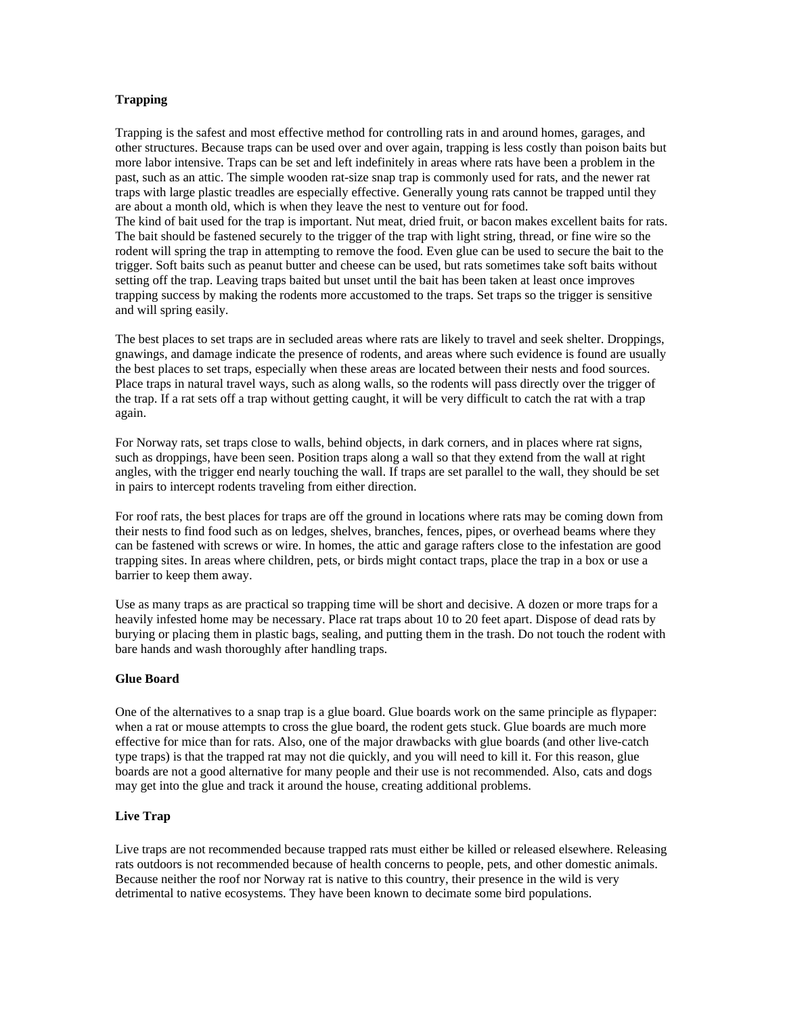## <span id="page-21-0"></span>**Trapping**

Trapping is the safest and most effective method for controlling rats in and around homes, garages, and other structures. Because traps can be used over and over again, trapping is less costly than poison baits but more labor intensive. Traps can be set and left indefinitely in areas where rats have been a problem in the past, such as an attic. The simple wooden rat-size snap trap is commonly used for rats, and the newer rat traps with large plastic treadles are especially effective. Generally young rats cannot be trapped until they are about a month old, which is when they leave the nest to venture out for food. The kind of bait used for the trap is important. Nut meat, dried fruit, or bacon makes excellent baits for rats. The bait should be fastened securely to the trigger of the trap with light string, thread, or fine wire so the rodent will spring the trap in attempting to remove the food. Even glue can be used to secure the bait to the trigger. Soft baits such as peanut butter and cheese can be used, but rats sometimes take soft baits without setting off the trap. Leaving traps baited but unset until the bait has been taken at least once improves trapping success by making the rodents more accustomed to the traps. Set traps so the trigger is sensitive

and will spring easily.

The best places to set traps are in secluded areas where rats are likely to travel and seek shelter. Droppings, gnawings, and damage indicate the presence of rodents, and areas where such evidence is found are usually the best places to set traps, especially when these areas are located between their nests and food sources. Place traps in natural travel ways, such as along walls, so the rodents will pass directly over the trigger of the trap. If a rat sets off a trap without getting caught, it will be very difficult to catch the rat with a trap again.

For Norway rats, set traps close to walls, behind objects, in dark corners, and in places where rat signs, such as droppings, have been seen. Position traps along a wall so that they extend from the wall at right angles, with the trigger end nearly touching the wall. If traps are set parallel to the wall, they should be set in pairs to intercept rodents traveling from either direction.

For roof rats, the best places for traps are off the ground in locations where rats may be coming down from their nests to find food such as on ledges, shelves, branches, fences, pipes, or overhead beams where they can be fastened with screws or wire. In homes, the attic and garage rafters close to the infestation are good trapping sites. In areas where children, pets, or birds might contact traps, place the trap in a box or use a barrier to keep them away.

Use as many traps as are practical so trapping time will be short and decisive. A dozen or more traps for a heavily infested home may be necessary. Place rat traps about 10 to 20 feet apart. Dispose of dead rats by burying or placing them in plastic bags, sealing, and putting them in the trash. Do not touch the rodent with bare hands and wash thoroughly after handling traps.

#### **Glue Board**

One of the alternatives to a snap trap is a glue board. Glue boards work on the same principle as flypaper: when a rat or mouse attempts to cross the glue board, the rodent gets stuck. Glue boards are much more effective for mice than for rats. Also, one of the major drawbacks with glue boards (and other live-catch type traps) is that the trapped rat may not die quickly, and you will need to kill it. For this reason, glue boards are not a good alternative for many people and their use is not recommended. Also, cats and dogs may get into the glue and track it around the house, creating additional problems.

#### **Live Trap**

Live traps are not recommended because trapped rats must either be killed or released elsewhere. Releasing rats outdoors is not recommended because of health concerns to people, pets, and other domestic animals. Because neither the roof nor Norway rat is native to this country, their presence in the wild is very detrimental to native ecosystems. They have been known to decimate some bird populations.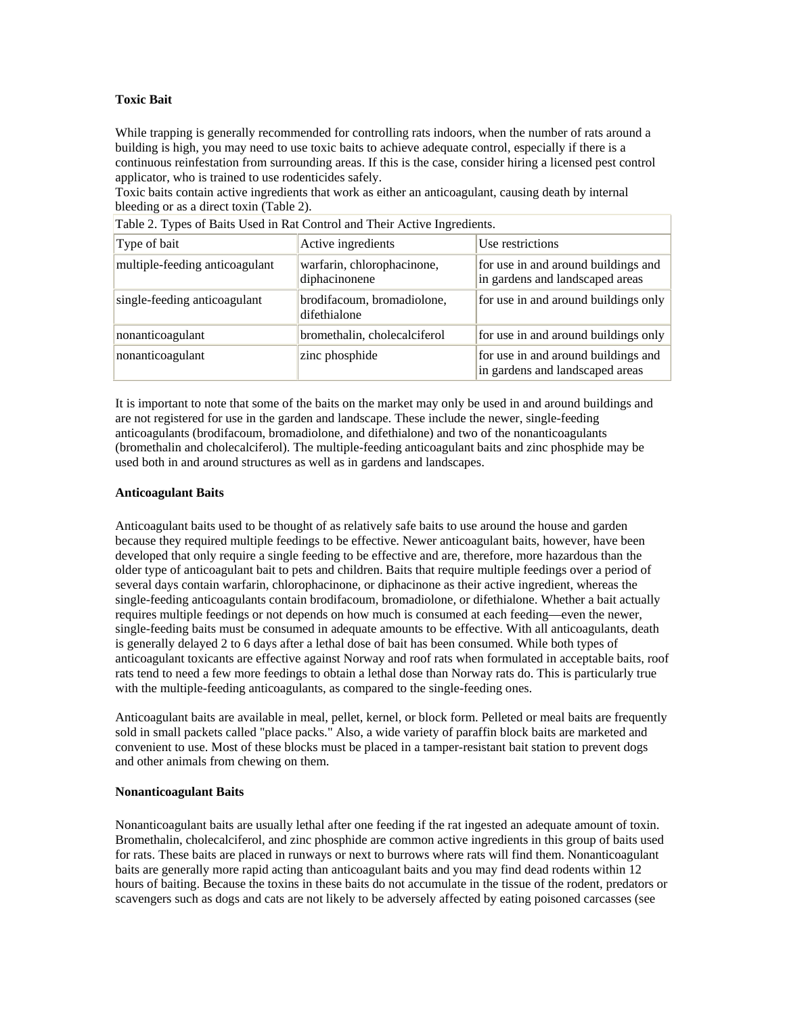## <span id="page-22-0"></span>**Toxic Bait**

While trapping is generally recommended for controlling rats indoors, when the number of rats around a building is high, you may need to use toxic baits to achieve adequate control, especially if there is a continuous reinfestation from surrounding areas. If this is the case, consider hiring a licensed pest control applicator, who is trained to use rodenticides safely.

Toxic baits contain active ingredients that work as either an anticoagulant, causing death by internal bleeding or as a direct toxin (Table 2).

| Table 2. Types of Baits Osed in Kat Control and Their Active Ingredients. |                                             |                                                                        |
|---------------------------------------------------------------------------|---------------------------------------------|------------------------------------------------------------------------|
| Type of bait                                                              | Active ingredients                          | Use restrictions                                                       |
| multiple-feeding anticoagulant                                            | warfarin, chlorophacinone,<br>diphacinonene | for use in and around buildings and<br>in gardens and landscaped areas |
| single-feeding anticoagulant                                              | brodifacoum, bromadiolone,<br>difethialone  | for use in and around buildings only                                   |
| nonanticoagulant                                                          | bromethalin, cholecalciferol                | for use in and around buildings only                                   |
| nonanticoagulant                                                          | zinc phosphide                              | for use in and around buildings and<br>in gardens and landscaped areas |

Table 2. Types of Baits Used in Rat Control and Their Active Ingredients.

It is important to note that some of the baits on the market may only be used in and around buildings and are not registered for use in the garden and landscape. These include the newer, single-feeding anticoagulants (brodifacoum, bromadiolone, and difethialone) and two of the nonanticoagulants (bromethalin and cholecalciferol). The multiple-feeding anticoagulant baits and zinc phosphide may be used both in and around structures as well as in gardens and landscapes.

#### **Anticoagulant Baits**

Anticoagulant baits used to be thought of as relatively safe baits to use around the house and garden because they required multiple feedings to be effective. Newer anticoagulant baits, however, have been developed that only require a single feeding to be effective and are, therefore, more hazardous than the older type of anticoagulant bait to pets and children. Baits that require multiple feedings over a period of several days contain warfarin, chlorophacinone, or diphacinone as their active ingredient, whereas the single-feeding anticoagulants contain brodifacoum, bromadiolone, or difethialone. Whether a bait actually requires multiple feedings or not depends on how much is consumed at each feeding—even the newer, single-feeding baits must be consumed in adequate amounts to be effective. With all anticoagulants, death is generally delayed 2 to 6 days after a lethal dose of bait has been consumed. While both types of anticoagulant toxicants are effective against Norway and roof rats when formulated in acceptable baits, roof rats tend to need a few more feedings to obtain a lethal dose than Norway rats do. This is particularly true with the multiple-feeding anticoagulants, as compared to the single-feeding ones.

Anticoagulant baits are available in meal, pellet, kernel, or block form. Pelleted or meal baits are frequently sold in small packets called "place packs." Also, a wide variety of paraffin block baits are marketed and convenient to use. Most of these blocks must be placed in a tamper-resistant bait station to prevent dogs and other animals from chewing on them.

#### **Nonanticoagulant Baits**

Nonanticoagulant baits are usually lethal after one feeding if the rat ingested an adequate amount of toxin. Bromethalin, cholecalciferol, and zinc phosphide are common active ingredients in this group of baits used for rats. These baits are placed in runways or next to burrows where rats will find them. Nonanticoagulant baits are generally more rapid acting than anticoagulant baits and you may find dead rodents within 12 hours of baiting. Because the toxins in these baits do not accumulate in the tissue of the rodent, predators or scavengers such as dogs and cats are not likely to be adversely affected by eating poisoned carcasses (see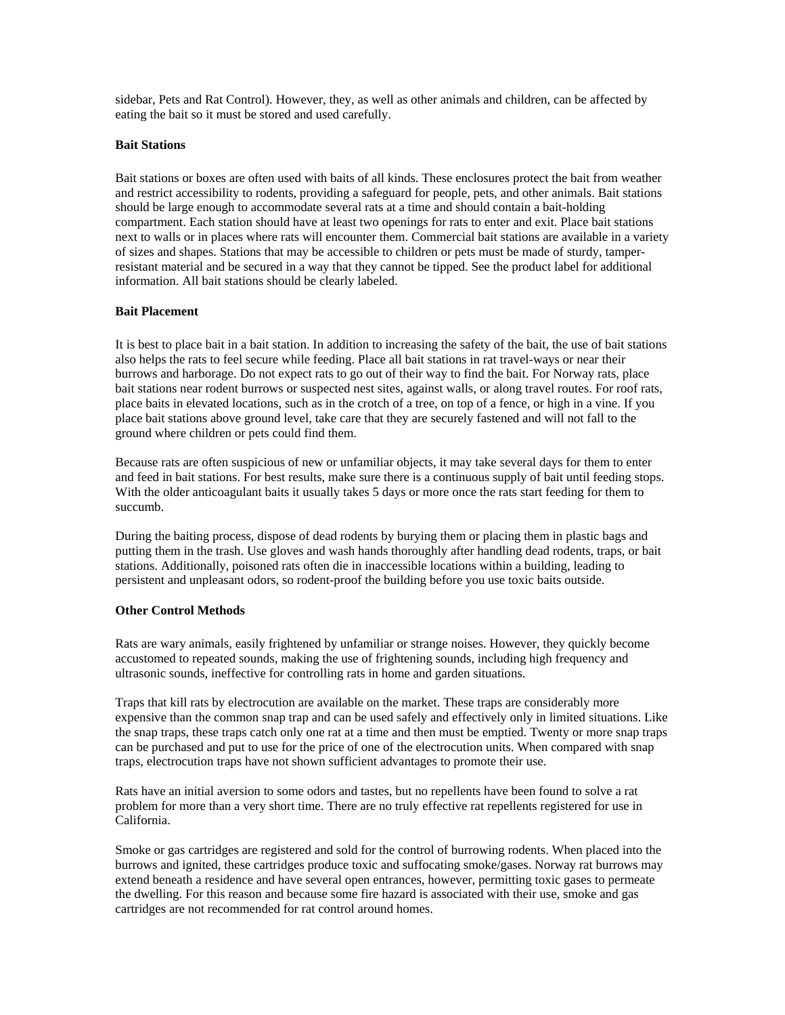<span id="page-23-0"></span>sidebar, Pets and Rat Control). However, they, as well as other animals and children, can be affected by eating the bait so it must be stored and used carefully.

#### **Bait Stations**

Bait stations or boxes are often used with baits of all kinds. These enclosures protect the bait from weather and restrict accessibility to rodents, providing a safeguard for people, pets, and other animals. Bait stations should be large enough to accommodate several rats at a time and should contain a bait-holding compartment. Each station should have at least two openings for rats to enter and exit. Place bait stations next to walls or in places where rats will encounter them. Commercial bait stations are available in a variety of sizes and shapes. Stations that may be accessible to children or pets must be made of sturdy, tamperresistant material and be secured in a way that they cannot be tipped. See the product label for additional information. All bait stations should be clearly labeled.

#### **Bait Placement**

It is best to place bait in a bait station. In addition to increasing the safety of the bait, the use of bait stations also helps the rats to feel secure while feeding. Place all bait stations in rat travel-ways or near their burrows and harborage. Do not expect rats to go out of their way to find the bait. For Norway rats, place bait stations near rodent burrows or suspected nest sites, against walls, or along travel routes. For roof rats, place baits in elevated locations, such as in the crotch of a tree, on top of a fence, or high in a vine. If you place bait stations above ground level, take care that they are securely fastened and will not fall to the ground where children or pets could find them.

Because rats are often suspicious of new or unfamiliar objects, it may take several days for them to enter and feed in bait stations. For best results, make sure there is a continuous supply of bait until feeding stops. With the older anticoagulant baits it usually takes 5 days or more once the rats start feeding for them to succumb.

During the baiting process, dispose of dead rodents by burying them or placing them in plastic bags and putting them in the trash. Use gloves and wash hands thoroughly after handling dead rodents, traps, or bait stations. Additionally, poisoned rats often die in inaccessible locations within a building, leading to persistent and unpleasant odors, so rodent-proof the building before you use toxic baits outside.

#### **Other Control Methods**

Rats are wary animals, easily frightened by unfamiliar or strange noises. However, they quickly become accustomed to repeated sounds, making the use of frightening sounds, including high frequency and ultrasonic sounds, ineffective for controlling rats in home and garden situations.

Traps that kill rats by electrocution are available on the market. These traps are considerably more expensive than the common snap trap and can be used safely and effectively only in limited situations. Like the snap traps, these traps catch only one rat at a time and then must be emptied. Twenty or more snap traps can be purchased and put to use for the price of one of the electrocution units. When compared with snap traps, electrocution traps have not shown sufficient advantages to promote their use.

Rats have an initial aversion to some odors and tastes, but no repellents have been found to solve a rat problem for more than a very short time. There are no truly effective rat repellents registered for use in California.

Smoke or gas cartridges are registered and sold for the control of burrowing rodents. When placed into the burrows and ignited, these cartridges produce toxic and suffocating smoke/gases. Norway rat burrows may extend beneath a residence and have several open entrances, however, permitting toxic gases to permeate the dwelling. For this reason and because some fire hazard is associated with their use, smoke and gas cartridges are not recommended for rat control around homes.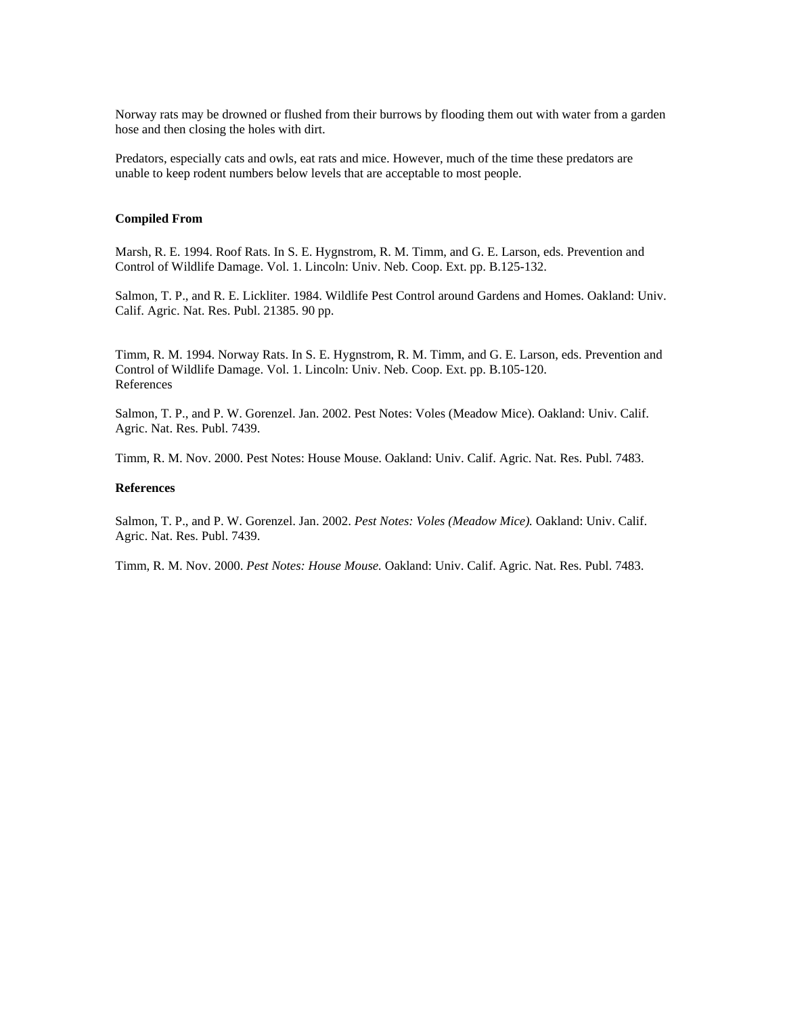<span id="page-24-0"></span>Norway rats may be drowned or flushed from their burrows by flooding them out with water from a garden hose and then closing the holes with dirt.

Predators, especially cats and owls, eat rats and mice. However, much of the time these predators are unable to keep rodent numbers below levels that are acceptable to most people.

## **Compiled From**

Marsh, R. E. 1994. Roof Rats. In S. E. Hygnstrom, R. M. Timm, and G. E. Larson, eds. Prevention and Control of Wildlife Damage. Vol. 1. Lincoln: Univ. Neb. Coop. Ext. pp. B.125-132.

Salmon, T. P., and R. E. Lickliter. 1984. Wildlife Pest Control around Gardens and Homes. Oakland: Univ. Calif. Agric. Nat. Res. Publ. 21385. 90 pp.

Timm, R. M. 1994. Norway Rats. In S. E. Hygnstrom, R. M. Timm, and G. E. Larson, eds. Prevention and Control of Wildlife Damage. Vol. 1. Lincoln: Univ. Neb. Coop. Ext. pp. B.105-120. References

Salmon, T. P., and P. W. Gorenzel. Jan. 2002. Pest Notes: Voles (Meadow Mice). Oakland: Univ. Calif. Agric. Nat. Res. Publ. 7439.

Timm, R. M. Nov. 2000. Pest Notes: House Mouse. Oakland: Univ. Calif. Agric. Nat. Res. Publ. 7483.

#### **References**

Salmon, T. P., and P. W. Gorenzel. Jan. 2002. *Pest Notes: Voles (Meadow Mice).* Oakland: Univ. Calif. Agric. Nat. Res. Publ. 7439.

Timm, R. M. Nov. 2000. *Pest Notes: House Mouse.* Oakland: Univ. Calif. Agric. Nat. Res. Publ. 7483.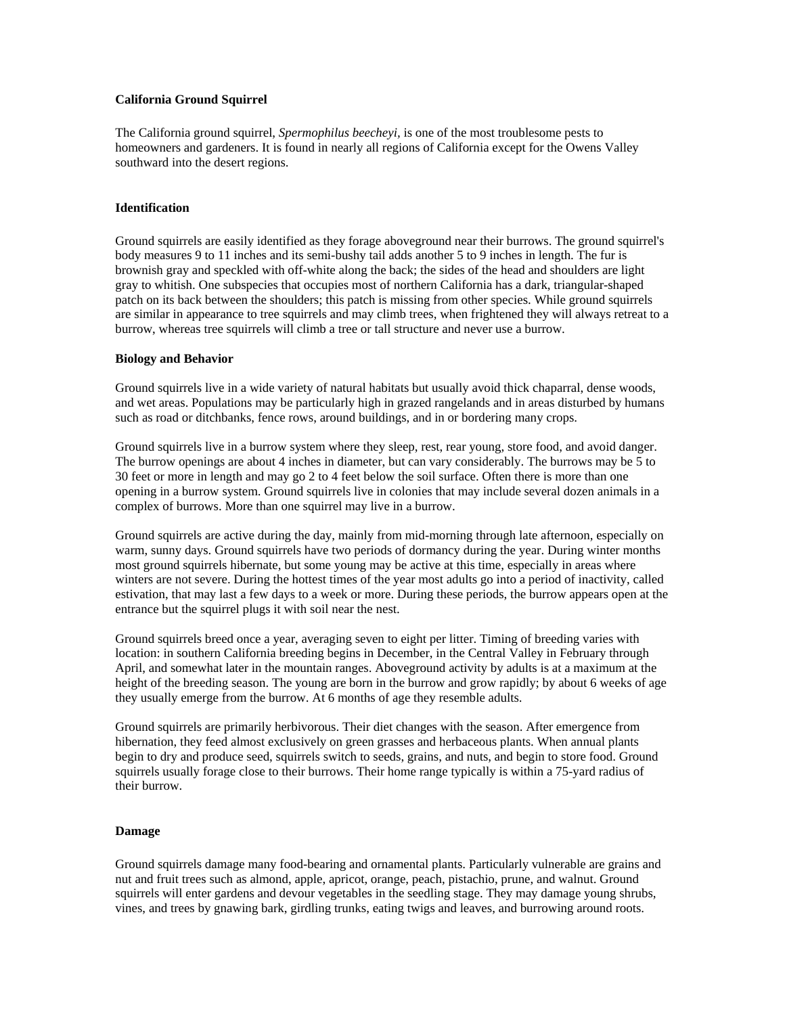## <span id="page-25-0"></span>**California Ground Squirrel**

The California ground squirrel, *Spermophilus beecheyi,* is one of the most troublesome pests to homeowners and gardeners. It is found in nearly all regions of California except for the Owens Valley southward into the desert regions.

## **Identification**

Ground squirrels are easily identified as they forage aboveground near their burrows. The ground squirrel's body measures 9 to 11 inches and its semi-bushy tail adds another 5 to 9 inches in length. The fur is brownish gray and speckled with off-white along the back; the sides of the head and shoulders are light gray to whitish. One subspecies that occupies most of northern California has a dark, triangular-shaped patch on its back between the shoulders; this patch is missing from other species. While ground squirrels are similar in appearance to tree squirrels and may climb trees, when frightened they will always retreat to a burrow, whereas tree squirrels will climb a tree or tall structure and never use a burrow.

#### **Biology and Behavior**

Ground squirrels live in a wide variety of natural habitats but usually avoid thick chaparral, dense woods, and wet areas. Populations may be particularly high in grazed rangelands and in areas disturbed by humans such as road or ditchbanks, fence rows, around buildings, and in or bordering many crops.

Ground squirrels live in a burrow system where they sleep, rest, rear young, store food, and avoid danger. The burrow openings are about 4 inches in diameter, but can vary considerably. The burrows may be 5 to 30 feet or more in length and may go 2 to 4 feet below the soil surface. Often there is more than one opening in a burrow system. Ground squirrels live in colonies that may include several dozen animals in a complex of burrows. More than one squirrel may live in a burrow.

Ground squirrels are active during the day, mainly from mid-morning through late afternoon, especially on warm, sunny days. Ground squirrels have two periods of dormancy during the year. During winter months most ground squirrels hibernate, but some young may be active at this time, especially in areas where winters are not severe. During the hottest times of the year most adults go into a period of inactivity, called estivation, that may last a few days to a week or more. During these periods, the burrow appears open at the entrance but the squirrel plugs it with soil near the nest.

Ground squirrels breed once a year, averaging seven to eight per litter. Timing of breeding varies with location: in southern California breeding begins in December, in the Central Valley in February through April, and somewhat later in the mountain ranges. Aboveground activity by adults is at a maximum at the height of the breeding season. The young are born in the burrow and grow rapidly; by about 6 weeks of age they usually emerge from the burrow. At 6 months of age they resemble adults.

Ground squirrels are primarily herbivorous. Their diet changes with the season. After emergence from hibernation, they feed almost exclusively on green grasses and herbaceous plants. When annual plants begin to dry and produce seed, squirrels switch to seeds, grains, and nuts, and begin to store food. Ground squirrels usually forage close to their burrows. Their home range typically is within a 75-yard radius of their burrow.

#### **Damage**

Ground squirrels damage many food-bearing and ornamental plants. Particularly vulnerable are grains and nut and fruit trees such as almond, apple, apricot, orange, peach, pistachio, prune, and walnut. Ground squirrels will enter gardens and devour vegetables in the seedling stage. They may damage young shrubs, vines, and trees by gnawing bark, girdling trunks, eating twigs and leaves, and burrowing around roots.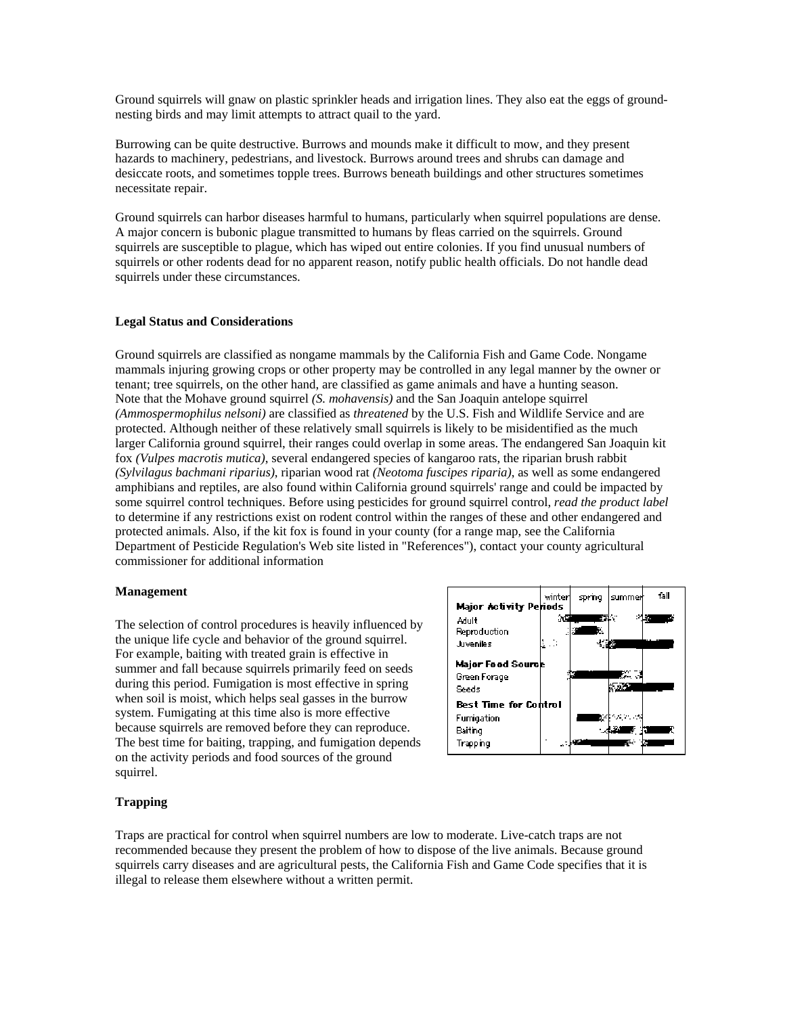<span id="page-26-0"></span>Ground squirrels will gnaw on plastic sprinkler heads and irrigation lines. They also eat the eggs of groundnesting birds and may limit attempts to attract quail to the yard.

Burrowing can be quite destructive. Burrows and mounds make it difficult to mow, and they present hazards to machinery, pedestrians, and livestock. Burrows around trees and shrubs can damage and desiccate roots, and sometimes topple trees. Burrows beneath buildings and other structures sometimes necessitate repair.

Ground squirrels can harbor diseases harmful to humans, particularly when squirrel populations are dense. A major concern is bubonic plague transmitted to humans by fleas carried on the squirrels. Ground squirrels are susceptible to plague, which has wiped out entire colonies. If you find unusual numbers of squirrels or other rodents dead for no apparent reason, notify public health officials. Do not handle dead squirrels under these circumstances.

#### **Legal Status and Considerations**

Ground squirrels are classified as nongame mammals by the California Fish and Game Code. Nongame mammals injuring growing crops or other property may be controlled in any legal manner by the owner or tenant; tree squirrels, on the other hand, are classified as game animals and have a hunting season. Note that the Mohave ground squirrel *(S. mohavensis)* and the San Joaquin antelope squirrel *(Ammospermophilus nelsoni)* are classified as *threatened* by the U.S. Fish and Wildlife Service and are protected. Although neither of these relatively small squirrels is likely to be misidentified as the much larger California ground squirrel, their ranges could overlap in some areas. The endangered San Joaquin kit fox *(Vulpes macrotis mutica)*, several endangered species of kangaroo rats, the riparian brush rabbit *(Sylvilagus bachmani riparius)*, riparian wood rat *(Neotoma fuscipes riparia)*, as well as some endangered amphibians and reptiles, are also found within California ground squirrels' range and could be impacted by some squirrel control techniques. Before using pesticides for ground squirrel control, *read the product label* to determine if any restrictions exist on rodent control within the ranges of these and other endangered and protected animals. Also, if the kit fox is found in your county (for a range map, see the California Department of Pesticide Regulation's Web site listed in "References"), contact your county agricultural commissioner for additional information

#### **Management**

The selection of control procedures is heavily influenced by the unique life cycle and behavior of the ground squirrel. For example, baiting with treated grain is effective in summer and fall because squirrels primarily feed on seeds during this period. Fumigation is most effective in spring when soil is moist, which helps seal gasses in the burrow system. Fumigating at this time also is more effective because squirrels are removed before they can reproduce. The best time for baiting, trapping, and fumigation depends on the activity periods and food sources of the ground squirrel.



## **Trapping**

Traps are practical for control when squirrel numbers are low to moderate. Live-catch traps are not recommended because they present the problem of how to dispose of the live animals. Because ground squirrels carry diseases and are agricultural pests, the California Fish and Game Code specifies that it is illegal to release them elsewhere without a written permit.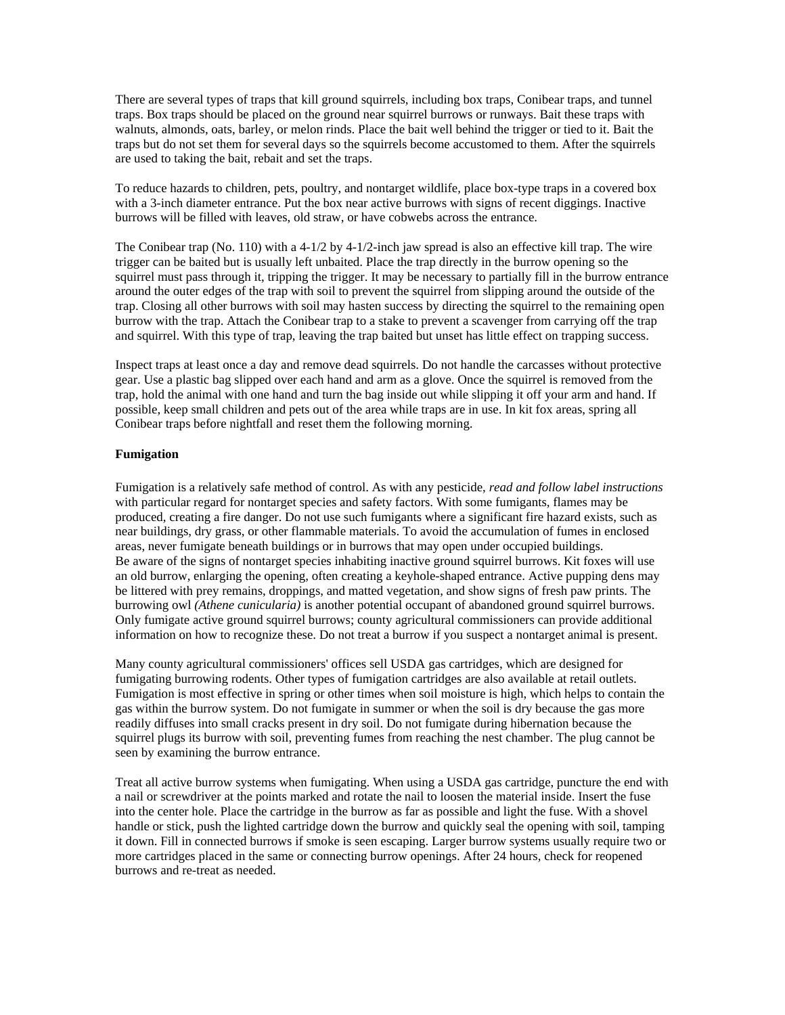<span id="page-27-0"></span>There are several types of traps that kill ground squirrels, including box traps, Conibear traps, and tunnel traps. Box traps should be placed on the ground near squirrel burrows or runways. Bait these traps with walnuts, almonds, oats, barley, or melon rinds. Place the bait well behind the trigger or tied to it. Bait the traps but do not set them for several days so the squirrels become accustomed to them. After the squirrels are used to taking the bait, rebait and set the traps.

To reduce hazards to children, pets, poultry, and nontarget wildlife, place box-type traps in a covered box with a 3-inch diameter entrance. Put the box near active burrows with signs of recent diggings. Inactive burrows will be filled with leaves, old straw, or have cobwebs across the entrance.

The Conibear trap (No. 110) with a 4-1/2 by 4-1/2-inch jaw spread is also an effective kill trap. The wire trigger can be baited but is usually left unbaited. Place the trap directly in the burrow opening so the squirrel must pass through it, tripping the trigger. It may be necessary to partially fill in the burrow entrance around the outer edges of the trap with soil to prevent the squirrel from slipping around the outside of the trap. Closing all other burrows with soil may hasten success by directing the squirrel to the remaining open burrow with the trap. Attach the Conibear trap to a stake to prevent a scavenger from carrying off the trap and squirrel. With this type of trap, leaving the trap baited but unset has little effect on trapping success.

Inspect traps at least once a day and remove dead squirrels. Do not handle the carcasses without protective gear. Use a plastic bag slipped over each hand and arm as a glove. Once the squirrel is removed from the trap, hold the animal with one hand and turn the bag inside out while slipping it off your arm and hand. If possible, keep small children and pets out of the area while traps are in use. In kit fox areas, spring all Conibear traps before nightfall and reset them the following morning.

#### **Fumigation**

Fumigation is a relatively safe method of control. As with any pesticide, *read and follow label instructions* with particular regard for nontarget species and safety factors. With some fumigants, flames may be produced, creating a fire danger. Do not use such fumigants where a significant fire hazard exists, such as near buildings, dry grass, or other flammable materials. To avoid the accumulation of fumes in enclosed areas, never fumigate beneath buildings or in burrows that may open under occupied buildings. Be aware of the signs of nontarget species inhabiting inactive ground squirrel burrows. Kit foxes will use an old burrow, enlarging the opening, often creating a keyhole-shaped entrance. Active pupping dens may be littered with prey remains, droppings, and matted vegetation, and show signs of fresh paw prints. The burrowing owl *(Athene cunicularia)* is another potential occupant of abandoned ground squirrel burrows. Only fumigate active ground squirrel burrows; county agricultural commissioners can provide additional information on how to recognize these. Do not treat a burrow if you suspect a nontarget animal is present.

Many county agricultural commissioners' offices sell USDA gas cartridges, which are designed for fumigating burrowing rodents. Other types of fumigation cartridges are also available at retail outlets. Fumigation is most effective in spring or other times when soil moisture is high, which helps to contain the gas within the burrow system. Do not fumigate in summer or when the soil is dry because the gas more readily diffuses into small cracks present in dry soil. Do not fumigate during hibernation because the squirrel plugs its burrow with soil, preventing fumes from reaching the nest chamber. The plug cannot be seen by examining the burrow entrance.

Treat all active burrow systems when fumigating. When using a USDA gas cartridge, puncture the end with a nail or screwdriver at the points marked and rotate the nail to loosen the material inside. Insert the fuse into the center hole. Place the cartridge in the burrow as far as possible and light the fuse. With a shovel handle or stick, push the lighted cartridge down the burrow and quickly seal the opening with soil, tamping it down. Fill in connected burrows if smoke is seen escaping. Larger burrow systems usually require two or more cartridges placed in the same or connecting burrow openings. After 24 hours, check for reopened burrows and re-treat as needed.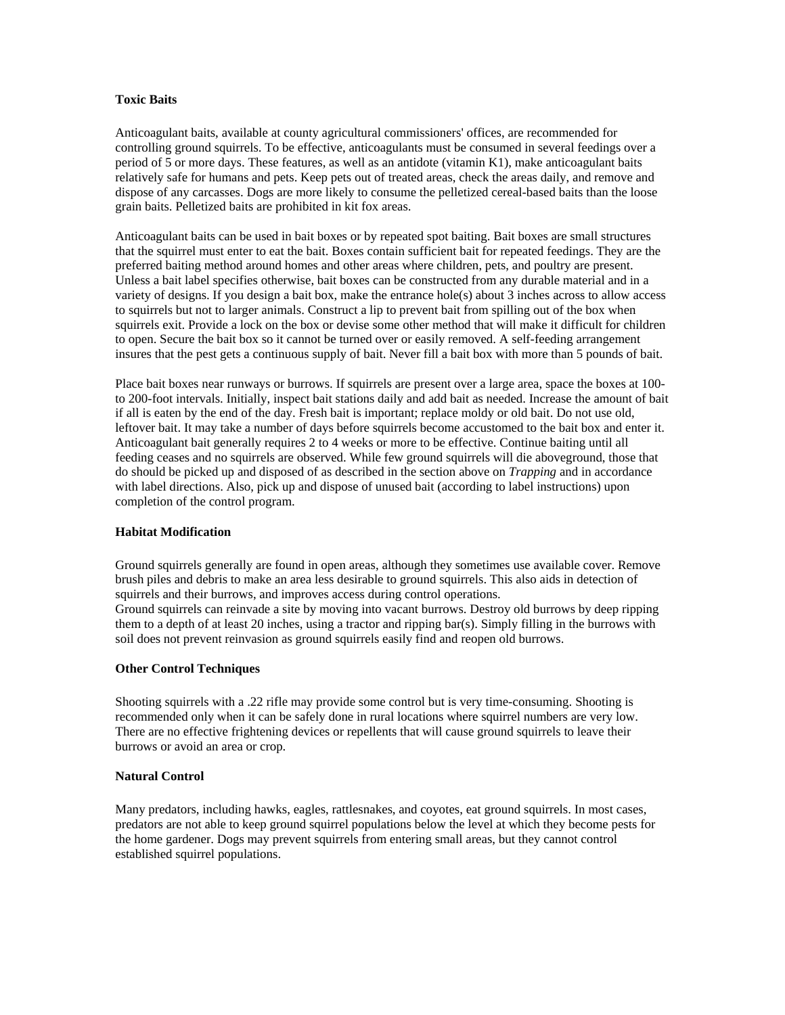## <span id="page-28-0"></span>**Toxic Baits**

Anticoagulant baits, available at county agricultural commissioners' offices, are recommended for controlling ground squirrels. To be effective, anticoagulants must be consumed in several feedings over a period of 5 or more days. These features, as well as an antidote (vitamin K1), make anticoagulant baits relatively safe for humans and pets. Keep pets out of treated areas, check the areas daily, and remove and dispose of any carcasses. Dogs are more likely to consume the pelletized cereal-based baits than the loose grain baits. Pelletized baits are prohibited in kit fox areas.

Anticoagulant baits can be used in bait boxes or by repeated spot baiting. Bait boxes are small structures that the squirrel must enter to eat the bait. Boxes contain sufficient bait for repeated feedings. They are the preferred baiting method around homes and other areas where children, pets, and poultry are present. Unless a bait label specifies otherwise, bait boxes can be constructed from any durable material and in a variety of designs. If you design a bait box, make the entrance hole(s) about 3 inches across to allow access to squirrels but not to larger animals. Construct a lip to prevent bait from spilling out of the box when squirrels exit. Provide a lock on the box or devise some other method that will make it difficult for children to open. Secure the bait box so it cannot be turned over or easily removed. A self-feeding arrangement insures that the pest gets a continuous supply of bait. Never fill a bait box with more than 5 pounds of bait.

Place bait boxes near runways or burrows. If squirrels are present over a large area, space the boxes at 100 to 200-foot intervals. Initially, inspect bait stations daily and add bait as needed. Increase the amount of bait if all is eaten by the end of the day. Fresh bait is important; replace moldy or old bait. Do not use old, leftover bait. It may take a number of days before squirrels become accustomed to the bait box and enter it. Anticoagulant bait generally requires 2 to 4 weeks or more to be effective. Continue baiting until all feeding ceases and no squirrels are observed. While few ground squirrels will die aboveground, those that do should be picked up and disposed of as described in the section above on *Trapping* and in accordance with label directions. Also, pick up and dispose of unused bait (according to label instructions) upon completion of the control program.

## **Habitat Modification**

Ground squirrels generally are found in open areas, although they sometimes use available cover. Remove brush piles and debris to make an area less desirable to ground squirrels. This also aids in detection of squirrels and their burrows, and improves access during control operations. Ground squirrels can reinvade a site by moving into vacant burrows. Destroy old burrows by deep ripping them to a depth of at least 20 inches, using a tractor and ripping bar(s). Simply filling in the burrows with soil does not prevent reinvasion as ground squirrels easily find and reopen old burrows.

#### **Other Control Techniques**

Shooting squirrels with a .22 rifle may provide some control but is very time-consuming. Shooting is recommended only when it can be safely done in rural locations where squirrel numbers are very low. There are no effective frightening devices or repellents that will cause ground squirrels to leave their burrows or avoid an area or crop.

#### **Natural Control**

Many predators, including hawks, eagles, rattlesnakes, and coyotes, eat ground squirrels. In most cases, predators are not able to keep ground squirrel populations below the level at which they become pests for the home gardener. Dogs may prevent squirrels from entering small areas, but they cannot control established squirrel populations.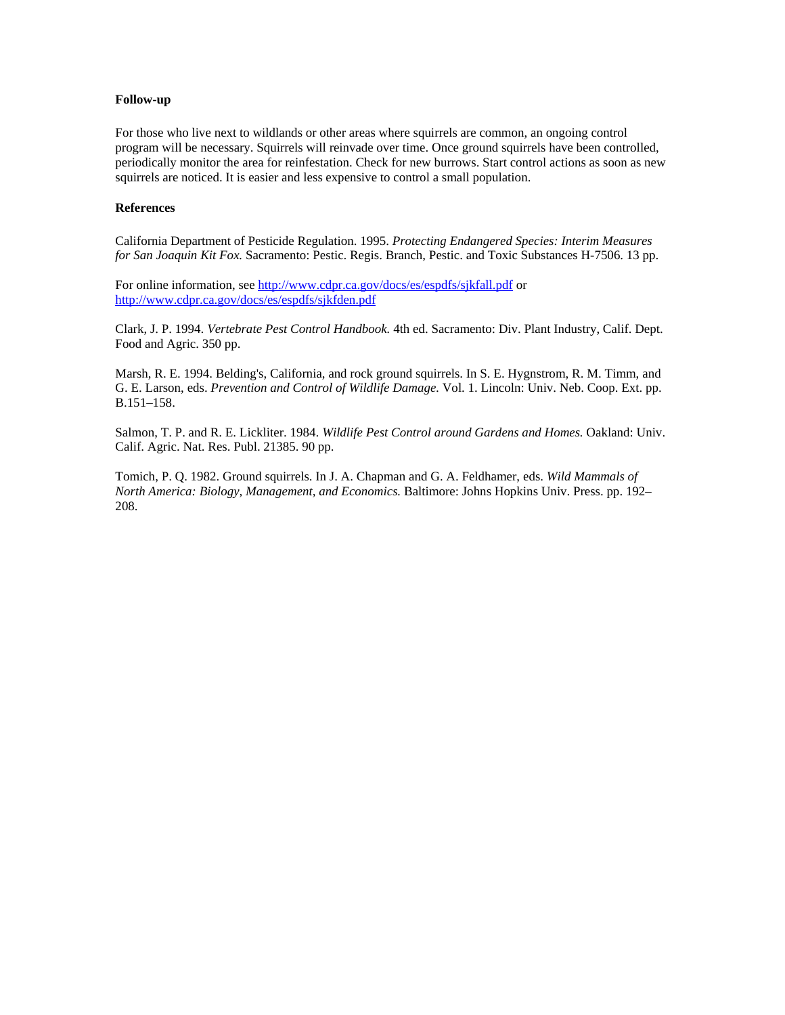#### <span id="page-29-0"></span>**Follow-up**

For those who live next to wildlands or other areas where squirrels are common, an ongoing control program will be necessary. Squirrels will reinvade over time. Once ground squirrels have been controlled, periodically monitor the area for reinfestation. Check for new burrows. Start control actions as soon as new squirrels are noticed. It is easier and less expensive to control a small population.

## **References**

California Department of Pesticide Regulation. 1995. *Protecting Endangered Species: Interim Measures for San Joaquin Kit Fox.* Sacramento: Pestic. Regis. Branch, Pestic. and Toxic Substances H-7506. 13 pp.

For online information, see<http://www.cdpr.ca.gov/docs/es/espdfs/sjkfall.pdf> or <http://www.cdpr.ca.gov/docs/es/espdfs/sjkfden.pdf>

Clark, J. P. 1994. *Vertebrate Pest Control Handbook.* 4th ed. Sacramento: Div. Plant Industry, Calif. Dept. Food and Agric. 350 pp.

Marsh, R. E. 1994. Belding's, California, and rock ground squirrels. In S. E. Hygnstrom, R. M. Timm, and G. E. Larson, eds. *Prevention and Control of Wildlife Damage.* Vol. 1. Lincoln: Univ. Neb. Coop. Ext. pp. B.151–158.

Salmon, T. P. and R. E. Lickliter. 1984. *Wildlife Pest Control around Gardens and Homes.* Oakland: Univ. Calif. Agric. Nat. Res. Publ. 21385. 90 pp.

Tomich, P. Q. 1982. Ground squirrels. In J. A. Chapman and G. A. Feldhamer, eds. *Wild Mammals of North America: Biology, Management, and Economics.* Baltimore: Johns Hopkins Univ. Press. pp. 192– 208.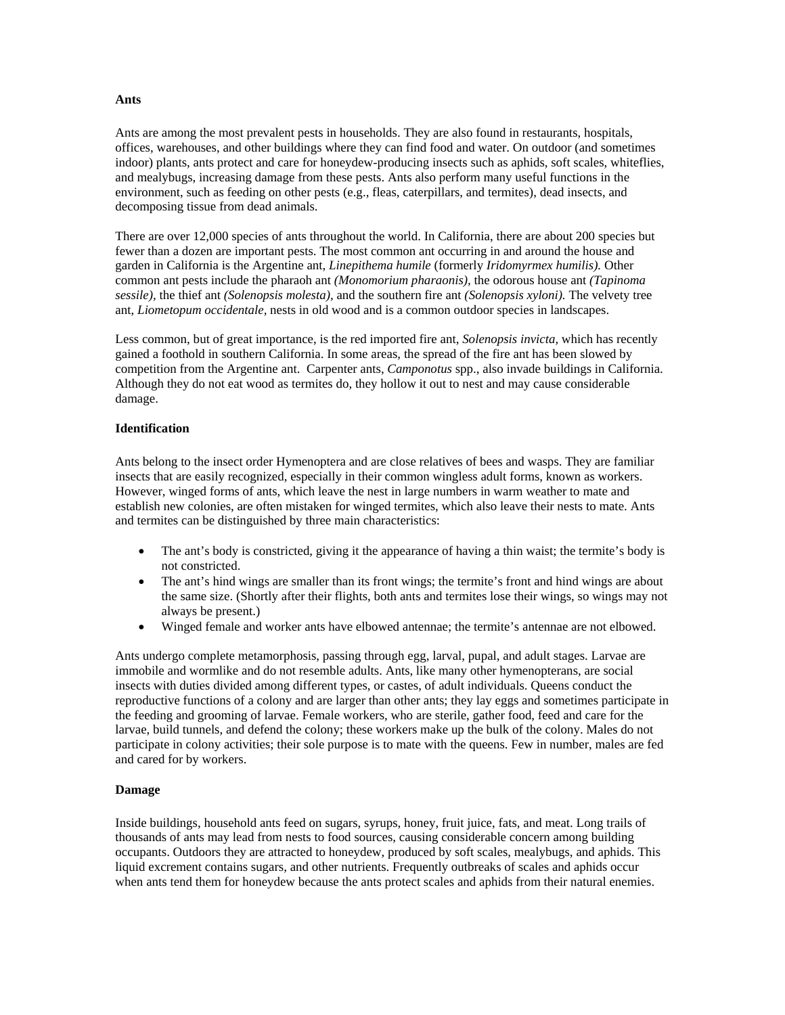#### <span id="page-30-0"></span>**Ants**

Ants are among the most prevalent pests in households. They are also found in restaurants, hospitals, offices, warehouses, and other buildings where they can find food and water. On outdoor (and sometimes indoor) plants, ants protect and care for honeydew-producing insects such as aphids, soft scales, whiteflies, and mealybugs, increasing damage from these pests. Ants also perform many useful functions in the environment, such as feeding on other pests (e.g., fleas, caterpillars, and termites), dead insects, and decomposing tissue from dead animals.

There are over 12,000 species of ants throughout the world. In California, there are about 200 species but fewer than a dozen are important pests. The most common ant occurring in and around the house and garden in California is the Argentine ant, *Linepithema humile* (formerly *Iridomyrmex humilis).* Other common ant pests include the pharaoh ant *(Monomorium pharaonis),* the odorous house ant *(Tapinoma sessile),* the thief ant *(Solenopsis molesta),* and the southern fire ant *(Solenopsis xyloni).* The velvety tree ant, *Liometopum occidentale,* nests in old wood and is a common outdoor species in landscapes.

Less common, but of great importance, is the red imported fire ant, *Solenopsis invicta,* which has recently gained a foothold in southern California. In some areas, the spread of the fire ant has been slowed by competition from the Argentine ant. Carpenter ants, *Camponotus* spp., also invade buildings in California. Although they do not eat wood as termites do, they hollow it out to nest and may cause considerable damage.

#### **Identification**

Ants belong to the insect order Hymenoptera and are close relatives of bees and wasps. They are familiar insects that are easily recognized, especially in their common wingless adult forms, known as workers. However, winged forms of ants, which leave the nest in large numbers in warm weather to mate and establish new colonies, are often mistaken for winged termites, which also leave their nests to mate. Ants and termites can be distinguished by three main characteristics:

- The ant's body is constricted, giving it the appearance of having a thin waist; the termite's body is not constricted.
- The ant's hind wings are smaller than its front wings; the termite's front and hind wings are about the same size. (Shortly after their flights, both ants and termites lose their wings, so wings may not always be present.)
- Winged female and worker ants have elbowed antennae; the termite's antennae are not elbowed.

Ants undergo complete metamorphosis, passing through egg, larval, pupal, and adult stages. Larvae are immobile and wormlike and do not resemble adults. Ants, like many other hymenopterans, are social insects with duties divided among different types, or castes, of adult individuals. Queens conduct the reproductive functions of a colony and are larger than other ants; they lay eggs and sometimes participate in the feeding and grooming of larvae. Female workers, who are sterile, gather food, feed and care for the larvae, build tunnels, and defend the colony; these workers make up the bulk of the colony. Males do not participate in colony activities; their sole purpose is to mate with the queens. Few in number, males are fed and cared for by workers.

## **Damage**

Inside buildings, household ants feed on sugars, syrups, honey, fruit juice, fats, and meat. Long trails of thousands of ants may lead from nests to food sources, causing considerable concern among building occupants. Outdoors they are attracted to honeydew, produced by soft scales, mealybugs, and aphids. This liquid excrement contains sugars, and other nutrients. Frequently outbreaks of scales and aphids occur when ants tend them for honeydew because the ants protect scales and aphids from their natural enemies.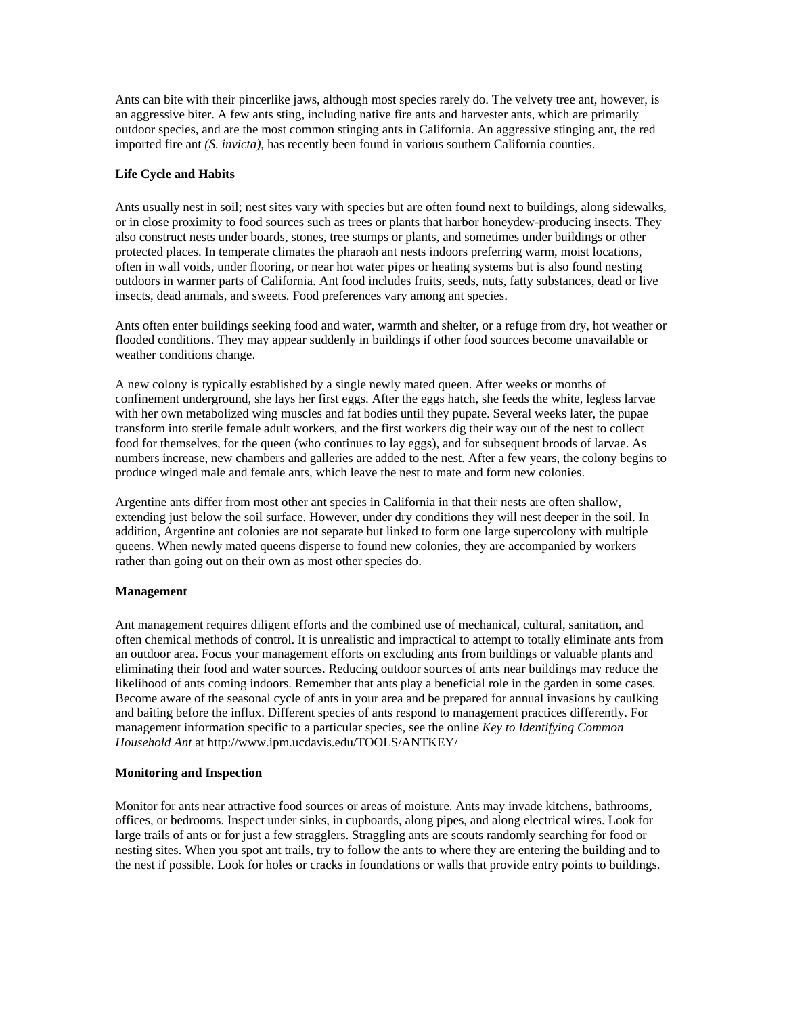<span id="page-31-0"></span>Ants can bite with their pincerlike jaws, although most species rarely do. The velvety tree ant, however, is an aggressive biter. A few ants sting, including native fire ants and harvester ants, which are primarily outdoor species, and are the most common stinging ants in California. An aggressive stinging ant, the red imported fire ant *(S. invicta),* has recently been found in various southern California counties.

## **Life Cycle and Habits**

Ants usually nest in soil; nest sites vary with species but are often found next to buildings, along sidewalks, or in close proximity to food sources such as trees or plants that harbor honeydew-producing insects. They also construct nests under boards, stones, tree stumps or plants, and sometimes under buildings or other protected places. In temperate climates the pharaoh ant nests indoors preferring warm, moist locations, often in wall voids, under flooring, or near hot water pipes or heating systems but is also found nesting outdoors in warmer parts of California. Ant food includes fruits, seeds, nuts, fatty substances, dead or live insects, dead animals, and sweets. Food preferences vary among ant species.

Ants often enter buildings seeking food and water, warmth and shelter, or a refuge from dry, hot weather or flooded conditions. They may appear suddenly in buildings if other food sources become unavailable or weather conditions change.

A new colony is typically established by a single newly mated queen. After weeks or months of confinement underground, she lays her first eggs. After the eggs hatch, she feeds the white, legless larvae with her own metabolized wing muscles and fat bodies until they pupate. Several weeks later, the pupae transform into sterile female adult workers, and the first workers dig their way out of the nest to collect food for themselves, for the queen (who continues to lay eggs), and for subsequent broods of larvae. As numbers increase, new chambers and galleries are added to the nest. After a few years, the colony begins to produce winged male and female ants, which leave the nest to mate and form new colonies.

Argentine ants differ from most other ant species in California in that their nests are often shallow, extending just below the soil surface. However, under dry conditions they will nest deeper in the soil. In addition, Argentine ant colonies are not separate but linked to form one large supercolony with multiple queens. When newly mated queens disperse to found new colonies, they are accompanied by workers rather than going out on their own as most other species do.

#### **Management**

Ant management requires diligent efforts and the combined use of mechanical, cultural, sanitation, and often chemical methods of control. It is unrealistic and impractical to attempt to totally eliminate ants from an outdoor area. Focus your management efforts on excluding ants from buildings or valuable plants and eliminating their food and water sources. Reducing outdoor sources of ants near buildings may reduce the likelihood of ants coming indoors. Remember that ants play a beneficial role in the garden in some cases. Become aware of the seasonal cycle of ants in your area and be prepared for annual invasions by caulking and baiting before the influx. Different species of ants respond to management practices differently. For management information specific to a particular species, see the online *Key to Identifying Common Household Ant* at http://www.ipm.ucdavis.edu/TOOLS/ANTKEY/

#### **Monitoring and Inspection**

Monitor for ants near attractive food sources or areas of moisture. Ants may invade kitchens, bathrooms, offices, or bedrooms. Inspect under sinks, in cupboards, along pipes, and along electrical wires. Look for large trails of ants or for just a few stragglers. Straggling ants are scouts randomly searching for food or nesting sites. When you spot ant trails, try to follow the ants to where they are entering the building and to the nest if possible. Look for holes or cracks in foundations or walls that provide entry points to buildings.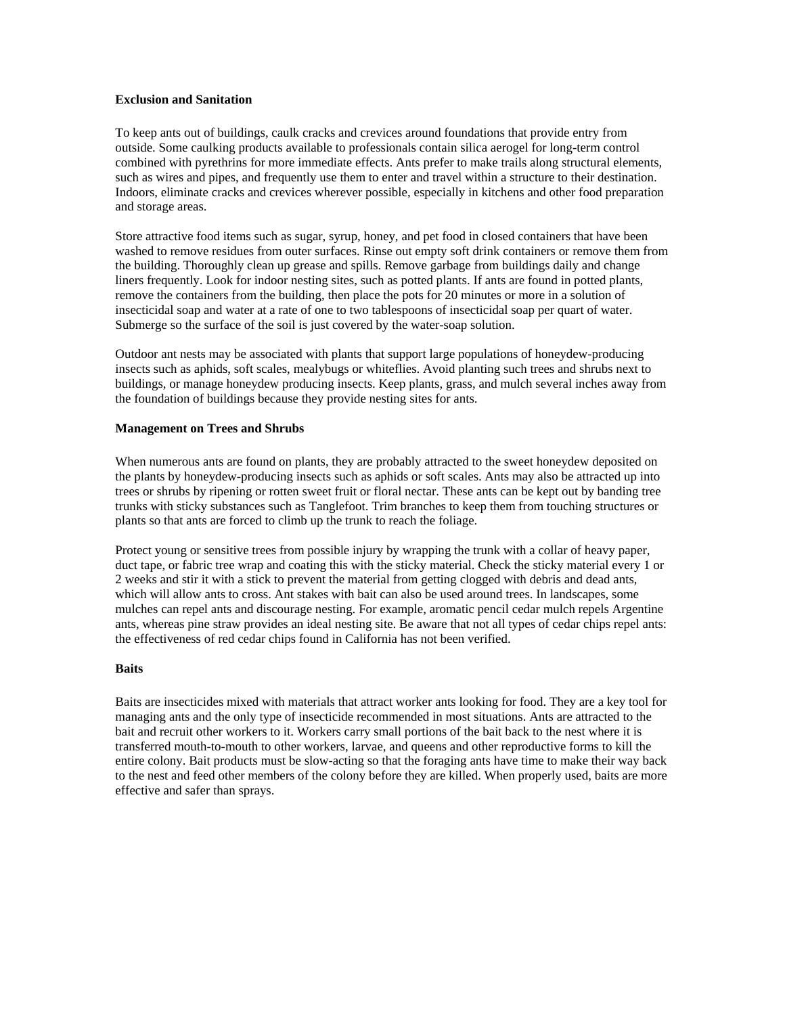## <span id="page-32-0"></span>**Exclusion and Sanitation**

To keep ants out of buildings, caulk cracks and crevices around foundations that provide entry from outside. Some caulking products available to professionals contain silica aerogel for long-term control combined with pyrethrins for more immediate effects. Ants prefer to make trails along structural elements, such as wires and pipes, and frequently use them to enter and travel within a structure to their destination. Indoors, eliminate cracks and crevices wherever possible, especially in kitchens and other food preparation and storage areas.

Store attractive food items such as sugar, syrup, honey, and pet food in closed containers that have been washed to remove residues from outer surfaces. Rinse out empty soft drink containers or remove them from the building. Thoroughly clean up grease and spills. Remove garbage from buildings daily and change liners frequently. Look for indoor nesting sites, such as potted plants. If ants are found in potted plants, remove the containers from the building, then place the pots for 20 minutes or more in a solution of insecticidal soap and water at a rate of one to two tablespoons of insecticidal soap per quart of water. Submerge so the surface of the soil is just covered by the water-soap solution.

Outdoor ant nests may be associated with plants that support large populations of honeydew-producing insects such as aphids, soft scales, mealybugs or whiteflies. Avoid planting such trees and shrubs next to buildings, or manage honeydew producing insects. Keep plants, grass, and mulch several inches away from the foundation of buildings because they provide nesting sites for ants.

#### **Management on Trees and Shrubs**

When numerous ants are found on plants, they are probably attracted to the sweet honeydew deposited on the plants by honeydew-producing insects such as aphids or soft scales. Ants may also be attracted up into trees or shrubs by ripening or rotten sweet fruit or floral nectar. These ants can be kept out by banding tree trunks with sticky substances such as Tanglefoot. Trim branches to keep them from touching structures or plants so that ants are forced to climb up the trunk to reach the foliage.

Protect young or sensitive trees from possible injury by wrapping the trunk with a collar of heavy paper, duct tape, or fabric tree wrap and coating this with the sticky material. Check the sticky material every 1 or 2 weeks and stir it with a stick to prevent the material from getting clogged with debris and dead ants, which will allow ants to cross. Ant stakes with bait can also be used around trees. In landscapes, some mulches can repel ants and discourage nesting. For example, aromatic pencil cedar mulch repels Argentine ants, whereas pine straw provides an ideal nesting site. Be aware that not all types of cedar chips repel ants: the effectiveness of red cedar chips found in California has not been verified.

#### **Baits**

Baits are insecticides mixed with materials that attract worker ants looking for food. They are a key tool for managing ants and the only type of insecticide recommended in most situations. Ants are attracted to the bait and recruit other workers to it. Workers carry small portions of the bait back to the nest where it is transferred mouth-to-mouth to other workers, larvae, and queens and other reproductive forms to kill the entire colony. Bait products must be slow-acting so that the foraging ants have time to make their way back to the nest and feed other members of the colony before they are killed. When properly used, baits are more effective and safer than sprays.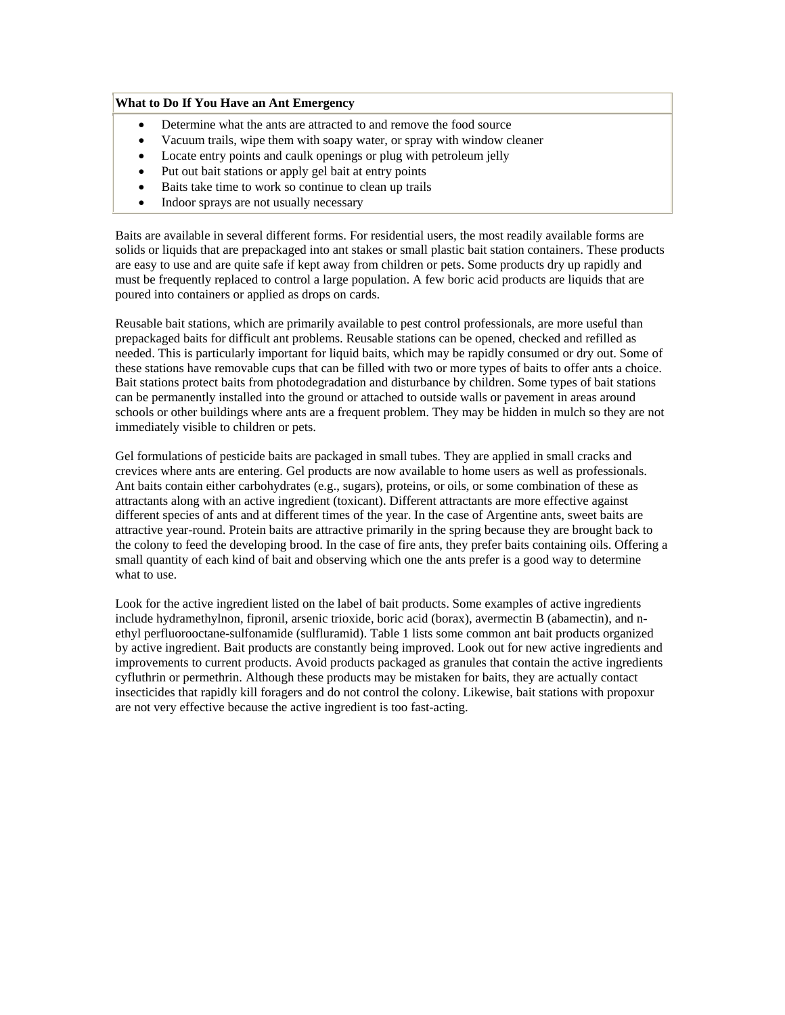#### **What to Do If You Have an Ant Emergency**

- Determine what the ants are attracted to and remove the food source
- Vacuum trails, wipe them with soapy water, or spray with window cleaner
- Locate entry points and caulk openings or plug with petroleum jelly
- Put out bait stations or apply gel bait at entry points
- Baits take time to work so continue to clean up trails
- Indoor sprays are not usually necessary

Baits are available in several different forms. For residential users, the most readily available forms are solids or liquids that are prepackaged into ant stakes or small plastic bait station containers. These products are easy to use and are quite safe if kept away from children or pets. Some products dry up rapidly and must be frequently replaced to control a large population. A few boric acid products are liquids that are poured into containers or applied as drops on cards.

Reusable bait stations, which are primarily available to pest control professionals, are more useful than prepackaged baits for difficult ant problems. Reusable stations can be opened, checked and refilled as needed. This is particularly important for liquid baits, which may be rapidly consumed or dry out. Some of these stations have removable cups that can be filled with two or more types of baits to offer ants a choice. Bait stations protect baits from photodegradation and disturbance by children. Some types of bait stations can be permanently installed into the ground or attached to outside walls or pavement in areas around schools or other buildings where ants are a frequent problem. They may be hidden in mulch so they are not immediately visible to children or pets.

Gel formulations of pesticide baits are packaged in small tubes. They are applied in small cracks and crevices where ants are entering. Gel products are now available to home users as well as professionals. Ant baits contain either carbohydrates (e.g., sugars), proteins, or oils, or some combination of these as attractants along with an active ingredient (toxicant). Different attractants are more effective against different species of ants and at different times of the year. In the case of Argentine ants, sweet baits are attractive year-round. Protein baits are attractive primarily in the spring because they are brought back to the colony to feed the developing brood. In the case of fire ants, they prefer baits containing oils. Offering a small quantity of each kind of bait and observing which one the ants prefer is a good way to determine what to use.

Look for the active ingredient listed on the label of bait products. Some examples of active ingredients include hydramethylnon, fipronil, arsenic trioxide, boric acid (borax), avermectin B (abamectin), and nethyl perfluorooctane-sulfonamide (sulfluramid). Table 1 lists some common ant bait products organized by active ingredient. Bait products are constantly being improved. Look out for new active ingredients and improvements to current products. Avoid products packaged as granules that contain the active ingredients cyfluthrin or permethrin. Although these products may be mistaken for baits, they are actually contact insecticides that rapidly kill foragers and do not control the colony. Likewise, bait stations with propoxur are not very effective because the active ingredient is too fast-acting.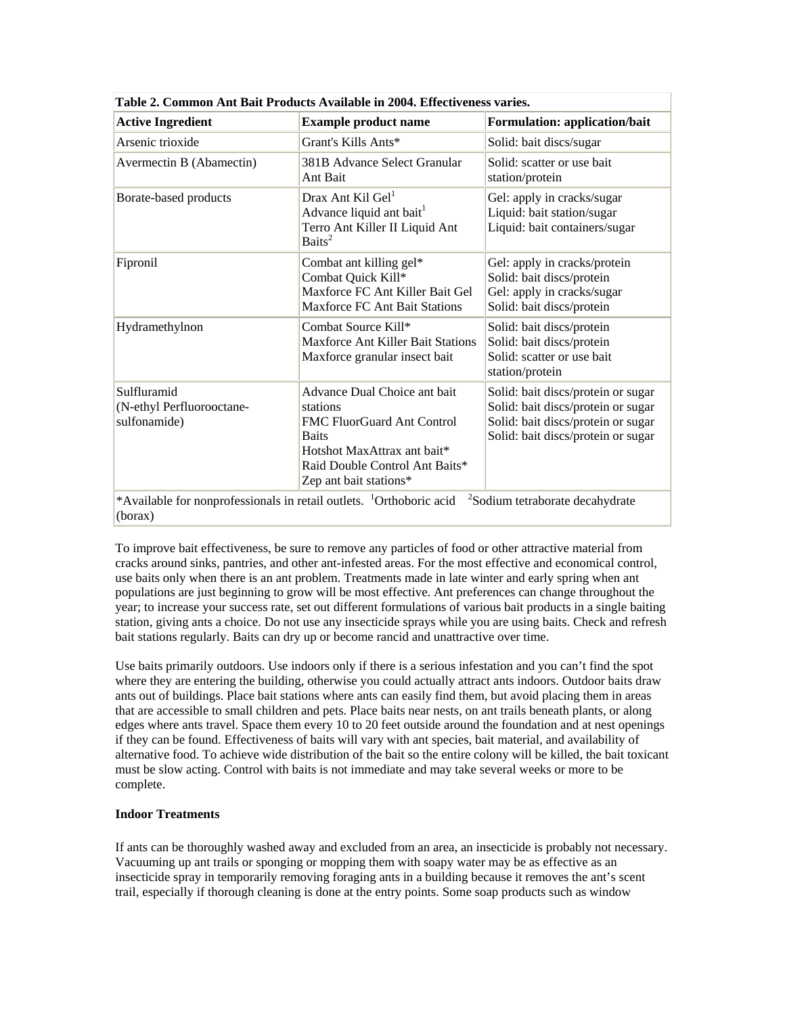| <b>Active Ingredient</b>                                 | <b>Example product name</b>                                                                                                                                                              | <b>Formulation: application/bait</b>                                                                                                                 |
|----------------------------------------------------------|------------------------------------------------------------------------------------------------------------------------------------------------------------------------------------------|------------------------------------------------------------------------------------------------------------------------------------------------------|
| Arsenic trioxide                                         | Grant's Kills Ants*                                                                                                                                                                      | Solid: bait discs/sugar                                                                                                                              |
| Avermectin B (Abamectin)                                 | 381B Advance Select Granular<br>Ant Bait                                                                                                                                                 | Solid: scatter or use bait<br>station/protein                                                                                                        |
| Borate-based products                                    | Drax Ant Kil Gel <sup>1</sup><br>Advance liquid ant bait <sup>1</sup><br>Terro Ant Killer II Liquid Ant<br>Baits <sup>2</sup>                                                            | Gel: apply in cracks/sugar<br>Liquid: bait station/sugar<br>Liquid: bait containers/sugar                                                            |
| Fipronil                                                 | Combat ant killing gel*<br>Combat Quick Kill*<br>Maxforce FC Ant Killer Bait Gel<br><b>Maxforce FC Ant Bait Stations</b>                                                                 | Gel: apply in cracks/protein<br>Solid: bait discs/protein<br>Gel: apply in cracks/sugar<br>Solid: bait discs/protein                                 |
| Hydramethylnon                                           | Combat Source Kill*<br><b>Maxforce Ant Killer Bait Stations</b><br>Maxforce granular insect bait                                                                                         | Solid: bait discs/protein<br>Solid: bait discs/protein<br>Solid: scatter or use bait<br>station/protein                                              |
| Sulfluramid<br>(N-ethyl Perfluorooctane-<br>sulfonamide) | Advance Dual Choice ant bait<br>stations<br><b>FMC FluorGuard Ant Control</b><br><b>Baits</b><br>Hotshot MaxAttrax ant bait*<br>Raid Double Control Ant Baits*<br>Zep ant bait stations* | Solid: bait discs/protein or sugar<br>Solid: bait discs/protein or sugar<br>Solid: bait discs/protein or sugar<br>Solid: bait discs/protein or sugar |

<span id="page-34-0"></span>**Table 2. Common Ant Bait Products Available in 2004. Effectiveness varies.** 

To improve bait effectiveness, be sure to remove any particles of food or other attractive material from cracks around sinks, pantries, and other ant-infested areas. For the most effective and economical control, use baits only when there is an ant problem. Treatments made in late winter and early spring when ant populations are just beginning to grow will be most effective. Ant preferences can change throughout the year; to increase your success rate, set out different formulations of various bait products in a single baiting station, giving ants a choice. Do not use any insecticide sprays while you are using baits. Check and refresh bait stations regularly. Baits can dry up or become rancid and unattractive over time.

Use baits primarily outdoors. Use indoors only if there is a serious infestation and you can't find the spot where they are entering the building, otherwise you could actually attract ants indoors. Outdoor baits draw ants out of buildings. Place bait stations where ants can easily find them, but avoid placing them in areas that are accessible to small children and pets. Place baits near nests, on ant trails beneath plants, or along edges where ants travel. Space them every 10 to 20 feet outside around the foundation and at nest openings if they can be found. Effectiveness of baits will vary with ant species, bait material, and availability of alternative food. To achieve wide distribution of the bait so the entire colony will be killed, the bait toxicant must be slow acting. Control with baits is not immediate and may take several weeks or more to be complete.

#### **Indoor Treatments**

If ants can be thoroughly washed away and excluded from an area, an insecticide is probably not necessary. Vacuuming up ant trails or sponging or mopping them with soapy water may be as effective as an insecticide spray in temporarily removing foraging ants in a building because it removes the ant's scent trail, especially if thorough cleaning is done at the entry points. Some soap products such as window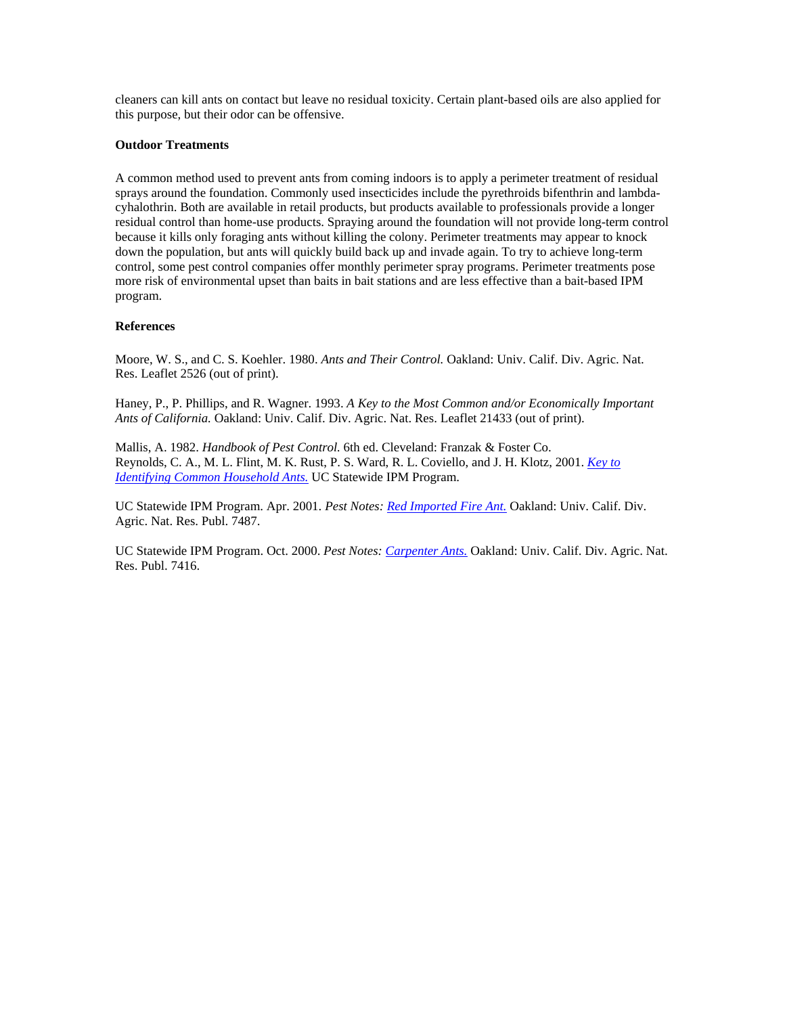<span id="page-35-0"></span>cleaners can kill ants on contact but leave no residual toxicity. Certain plant-based oils are also applied for this purpose, but their odor can be offensive.

#### **Outdoor Treatments**

A common method used to prevent ants from coming indoors is to apply a perimeter treatment of residual sprays around the foundation. Commonly used insecticides include the pyrethroids bifenthrin and lambdacyhalothrin. Both are available in retail products, but products available to professionals provide a longer residual control than home-use products. Spraying around the foundation will not provide long-term control because it kills only foraging ants without killing the colony. Perimeter treatments may appear to knock down the population, but ants will quickly build back up and invade again. To try to achieve long-term control, some pest control companies offer monthly perimeter spray programs. Perimeter treatments pose more risk of environmental upset than baits in bait stations and are less effective than a bait-based IPM program.

#### **References**

Moore, W. S., and C. S. Koehler. 1980. *Ants and Their Control.* Oakland: Univ. Calif. Div. Agric. Nat. Res. Leaflet 2526 (out of print).

Haney, P., P. Phillips, and R. Wagner. 1993. *A Key to the Most Common and/or Economically Important Ants of California.* Oakland: Univ. Calif. Div. Agric. Nat. Res. Leaflet 21433 (out of print).

Mallis, A. 1982. *Handbook of Pest Control.* 6th ed. Cleveland: Franzak & Foster Co. Reynolds, C. A., M. L. Flint, M. K. Rust, P. S. Ward, R. L. Coviello, and J. H. Klotz, 2001. *[Key to](http://www.ipm.ucdavis.edu/TOOLS/ANTKEY/)  [Identifying Common Household Ants.](http://www.ipm.ucdavis.edu/TOOLS/ANTKEY/)* UC Statewide IPM Program.

UC Statewide IPM Program. Apr. 2001. *Pest Notes: [Red Imported Fire Ant.](http://www.ipm.ucdavis.edu/PMG/PESTNOTES/pn7487.html)* Oakland: Univ. Calif. Div. Agric. Nat. Res. Publ. 7487.

UC Statewide IPM Program. Oct. 2000. *Pest Notes: [Carpenter Ants.](http://www.ipm.ucdavis.edu/PMG/PESTNOTES/pn7416.html)* Oakland: Univ. Calif. Div. Agric. Nat. Res. Publ. 7416.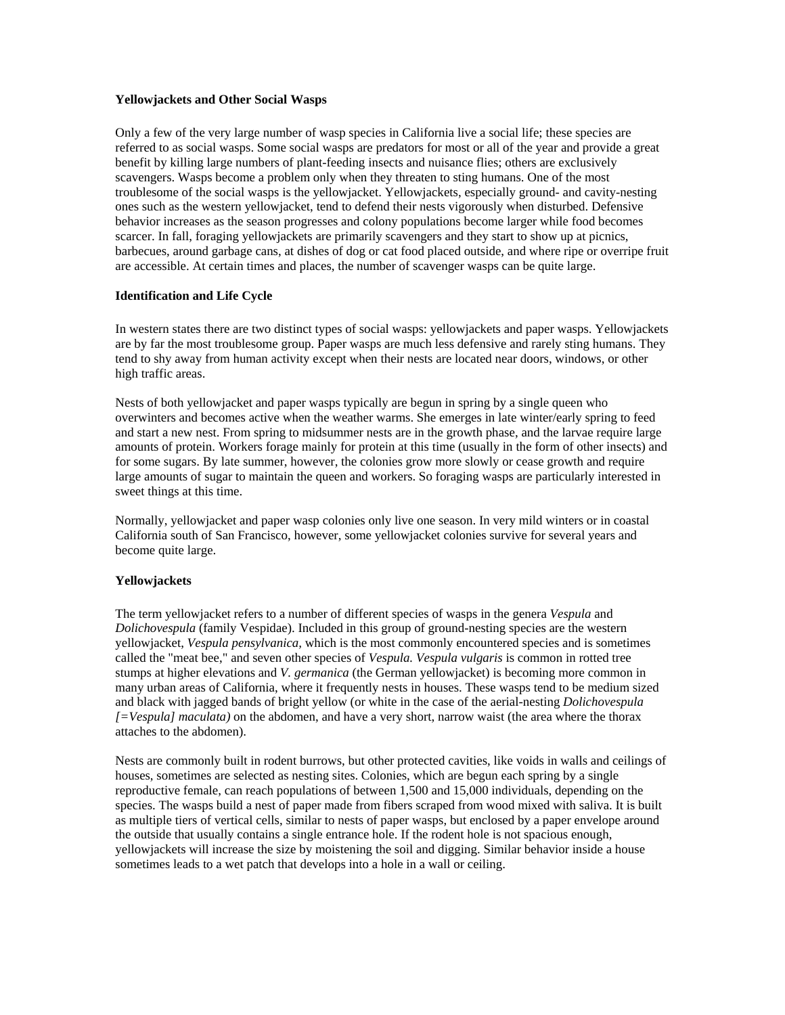## <span id="page-36-0"></span>**Yellowjackets and Other Social Wasps**

Only a few of the very large number of wasp species in California live a social life; these species are referred to as social wasps. Some social wasps are predators for most or all of the year and provide a great benefit by killing large numbers of plant-feeding insects and nuisance flies; others are exclusively scavengers. Wasps become a problem only when they threaten to sting humans. One of the most troublesome of the social wasps is the yellowjacket. Yellowjackets, especially ground- and cavity-nesting ones such as the western yellowjacket, tend to defend their nests vigorously when disturbed. Defensive behavior increases as the season progresses and colony populations become larger while food becomes scarcer. In fall, foraging yellowjackets are primarily scavengers and they start to show up at picnics, barbecues, around garbage cans, at dishes of dog or cat food placed outside, and where ripe or overripe fruit are accessible. At certain times and places, the number of scavenger wasps can be quite large.

## **Identification and Life Cycle**

In western states there are two distinct types of social wasps: yellowjackets and paper wasps. Yellowjackets are by far the most troublesome group. Paper wasps are much less defensive and rarely sting humans. They tend to shy away from human activity except when their nests are located near doors, windows, or other high traffic areas.

Nests of both yellowjacket and paper wasps typically are begun in spring by a single queen who overwinters and becomes active when the weather warms. She emerges in late winter/early spring to feed and start a new nest. From spring to midsummer nests are in the growth phase, and the larvae require large amounts of protein. Workers forage mainly for protein at this time (usually in the form of other insects) and for some sugars. By late summer, however, the colonies grow more slowly or cease growth and require large amounts of sugar to maintain the queen and workers. So foraging wasps are particularly interested in sweet things at this time.

Normally, yellowjacket and paper wasp colonies only live one season. In very mild winters or in coastal California south of San Francisco, however, some yellowjacket colonies survive for several years and become quite large.

## **Yellowjackets**

The term yellowjacket refers to a number of different species of wasps in the genera *Vespula* and *Dolichovespula* (family Vespidae). Included in this group of ground-nesting species are the western yellowjacket, *Vespula pensylvanica,* which is the most commonly encountered species and is sometimes called the "meat bee," and seven other species of *Vespula. Vespula vulgaris* is common in rotted tree stumps at higher elevations and *V. germanica* (the German yellowjacket) is becoming more common in many urban areas of California, where it frequently nests in houses. These wasps tend to be medium sized and black with jagged bands of bright yellow (or white in the case of the aerial-nesting *Dolichovespula [=Vespula] maculata)* on the abdomen, and have a very short, narrow waist (the area where the thorax attaches to the abdomen).

Nests are commonly built in rodent burrows, but other protected cavities, like voids in walls and ceilings of houses, sometimes are selected as nesting sites. Colonies, which are begun each spring by a single reproductive female, can reach populations of between 1,500 and 15,000 individuals, depending on the species. The wasps build a nest of paper made from fibers scraped from wood mixed with saliva. It is built as multiple tiers of vertical cells, similar to nests of paper wasps, but enclosed by a paper envelope around the outside that usually contains a single entrance hole. If the rodent hole is not spacious enough, yellowjackets will increase the size by moistening the soil and digging. Similar behavior inside a house sometimes leads to a wet patch that develops into a hole in a wall or ceiling.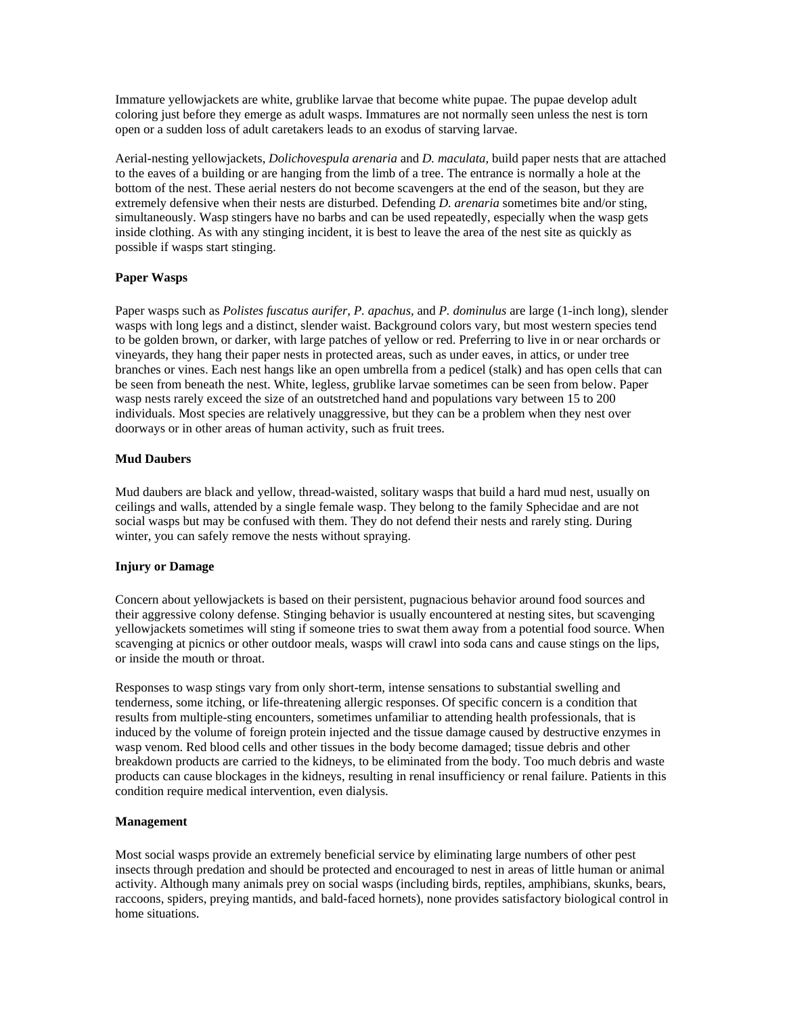<span id="page-37-0"></span>Immature yellowjackets are white, grublike larvae that become white pupae. The pupae develop adult coloring just before they emerge as adult wasps. Immatures are not normally seen unless the nest is torn open or a sudden loss of adult caretakers leads to an exodus of starving larvae.

Aerial-nesting yellowjackets, *Dolichovespula arenaria* and *D. maculata,* build paper nests that are attached to the eaves of a building or are hanging from the limb of a tree. The entrance is normally a hole at the bottom of the nest. These aerial nesters do not become scavengers at the end of the season, but they are extremely defensive when their nests are disturbed. Defending *D. arenaria* sometimes bite and/or sting, simultaneously. Wasp stingers have no barbs and can be used repeatedly, especially when the wasp gets inside clothing. As with any stinging incident, it is best to leave the area of the nest site as quickly as possible if wasps start stinging.

## **Paper Wasps**

Paper wasps such as *Polistes fuscatus aurifer, P. apachus,* and *P. dominulus* are large (1-inch long), slender wasps with long legs and a distinct, slender waist. Background colors vary, but most western species tend to be golden brown, or darker, with large patches of yellow or red. Preferring to live in or near orchards or vineyards, they hang their paper nests in protected areas, such as under eaves, in attics, or under tree branches or vines. Each nest hangs like an open umbrella from a pedicel (stalk) and has open cells that can be seen from beneath the nest. White, legless, grublike larvae sometimes can be seen from below. Paper wasp nests rarely exceed the size of an outstretched hand and populations vary between 15 to 200 individuals. Most species are relatively unaggressive, but they can be a problem when they nest over doorways or in other areas of human activity, such as fruit trees.

## **Mud Daubers**

Mud daubers are black and yellow, thread-waisted, solitary wasps that build a hard mud nest, usually on ceilings and walls, attended by a single female wasp. They belong to the family Sphecidae and are not social wasps but may be confused with them. They do not defend their nests and rarely sting. During winter, you can safely remove the nests without spraying.

#### **Injury or Damage**

Concern about yellowjackets is based on their persistent, pugnacious behavior around food sources and their aggressive colony defense. Stinging behavior is usually encountered at nesting sites, but scavenging yellowjackets sometimes will sting if someone tries to swat them away from a potential food source. When scavenging at picnics or other outdoor meals, wasps will crawl into soda cans and cause stings on the lips, or inside the mouth or throat.

Responses to wasp stings vary from only short-term, intense sensations to substantial swelling and tenderness, some itching, or life-threatening allergic responses. Of specific concern is a condition that results from multiple-sting encounters, sometimes unfamiliar to attending health professionals, that is induced by the volume of foreign protein injected and the tissue damage caused by destructive enzymes in wasp venom. Red blood cells and other tissues in the body become damaged; tissue debris and other breakdown products are carried to the kidneys, to be eliminated from the body. Too much debris and waste products can cause blockages in the kidneys, resulting in renal insufficiency or renal failure. Patients in this condition require medical intervention, even dialysis.

#### **Management**

Most social wasps provide an extremely beneficial service by eliminating large numbers of other pest insects through predation and should be protected and encouraged to nest in areas of little human or animal activity. Although many animals prey on social wasps (including birds, reptiles, amphibians, skunks, bears, raccoons, spiders, preying mantids, and bald-faced hornets), none provides satisfactory biological control in home situations.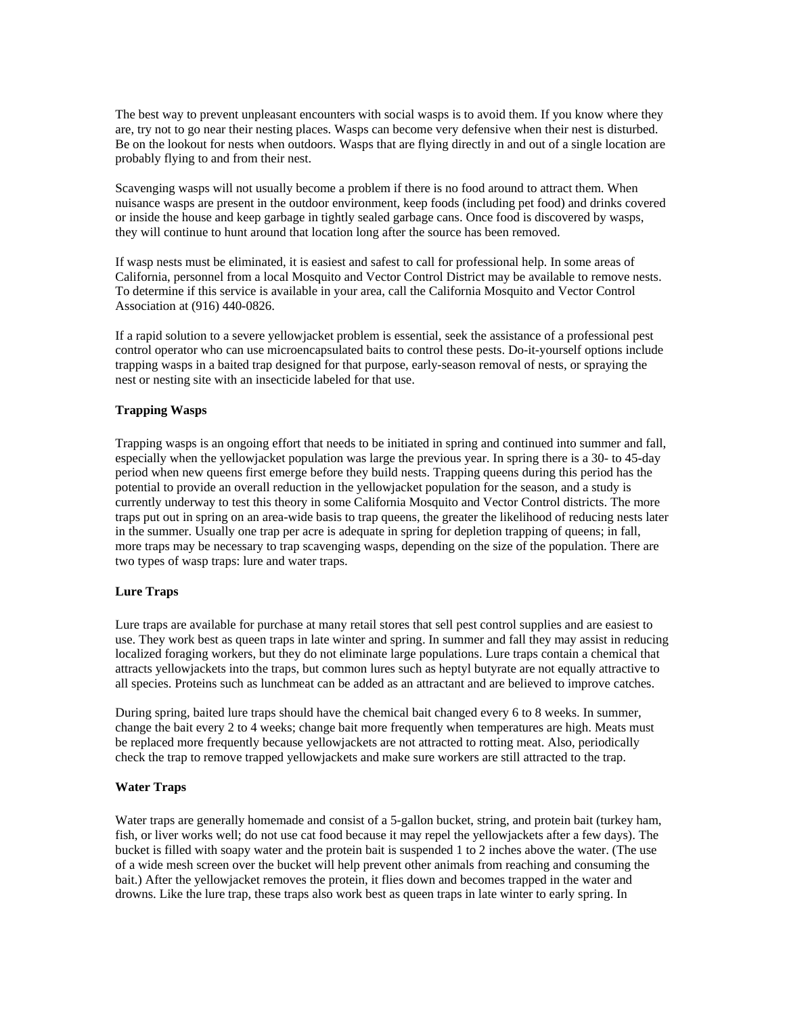<span id="page-38-0"></span>The best way to prevent unpleasant encounters with social wasps is to avoid them. If you know where they are, try not to go near their nesting places. Wasps can become very defensive when their nest is disturbed. Be on the lookout for nests when outdoors. Wasps that are flying directly in and out of a single location are probably flying to and from their nest.

Scavenging wasps will not usually become a problem if there is no food around to attract them. When nuisance wasps are present in the outdoor environment, keep foods (including pet food) and drinks covered or inside the house and keep garbage in tightly sealed garbage cans. Once food is discovered by wasps, they will continue to hunt around that location long after the source has been removed.

If wasp nests must be eliminated, it is easiest and safest to call for professional help. In some areas of California, personnel from a local Mosquito and Vector Control District may be available to remove nests. To determine if this service is available in your area, call the California Mosquito and Vector Control Association at (916) 440-0826.

If a rapid solution to a severe yellowjacket problem is essential, seek the assistance of a professional pest control operator who can use microencapsulated baits to control these pests. Do-it-yourself options include trapping wasps in a baited trap designed for that purpose, early-season removal of nests, or spraying the nest or nesting site with an insecticide labeled for that use.

## **Trapping Wasps**

Trapping wasps is an ongoing effort that needs to be initiated in spring and continued into summer and fall, especially when the yellowjacket population was large the previous year. In spring there is a 30- to 45-day period when new queens first emerge before they build nests. Trapping queens during this period has the potential to provide an overall reduction in the yellowjacket population for the season, and a study is currently underway to test this theory in some California Mosquito and Vector Control districts. The more traps put out in spring on an area-wide basis to trap queens, the greater the likelihood of reducing nests later in the summer. Usually one trap per acre is adequate in spring for depletion trapping of queens; in fall, more traps may be necessary to trap scavenging wasps, depending on the size of the population. There are two types of wasp traps: lure and water traps.

#### **Lure Traps**

Lure traps are available for purchase at many retail stores that sell pest control supplies and are easiest to use. They work best as queen traps in late winter and spring. In summer and fall they may assist in reducing localized foraging workers, but they do not eliminate large populations. Lure traps contain a chemical that attracts yellowjackets into the traps, but common lures such as heptyl butyrate are not equally attractive to all species. Proteins such as lunchmeat can be added as an attractant and are believed to improve catches.

During spring, baited lure traps should have the chemical bait changed every 6 to 8 weeks. In summer, change the bait every 2 to 4 weeks; change bait more frequently when temperatures are high. Meats must be replaced more frequently because yellowjackets are not attracted to rotting meat. Also, periodically check the trap to remove trapped yellowjackets and make sure workers are still attracted to the trap.

#### **Water Traps**

Water traps are generally homemade and consist of a 5-gallon bucket, string, and protein bait (turkey ham, fish, or liver works well; do not use cat food because it may repel the yellowjackets after a few days). The bucket is filled with soapy water and the protein bait is suspended 1 to 2 inches above the water. (The use of a wide mesh screen over the bucket will help prevent other animals from reaching and consuming the bait.) After the yellowjacket removes the protein, it flies down and becomes trapped in the water and drowns. Like the lure trap, these traps also work best as queen traps in late winter to early spring. In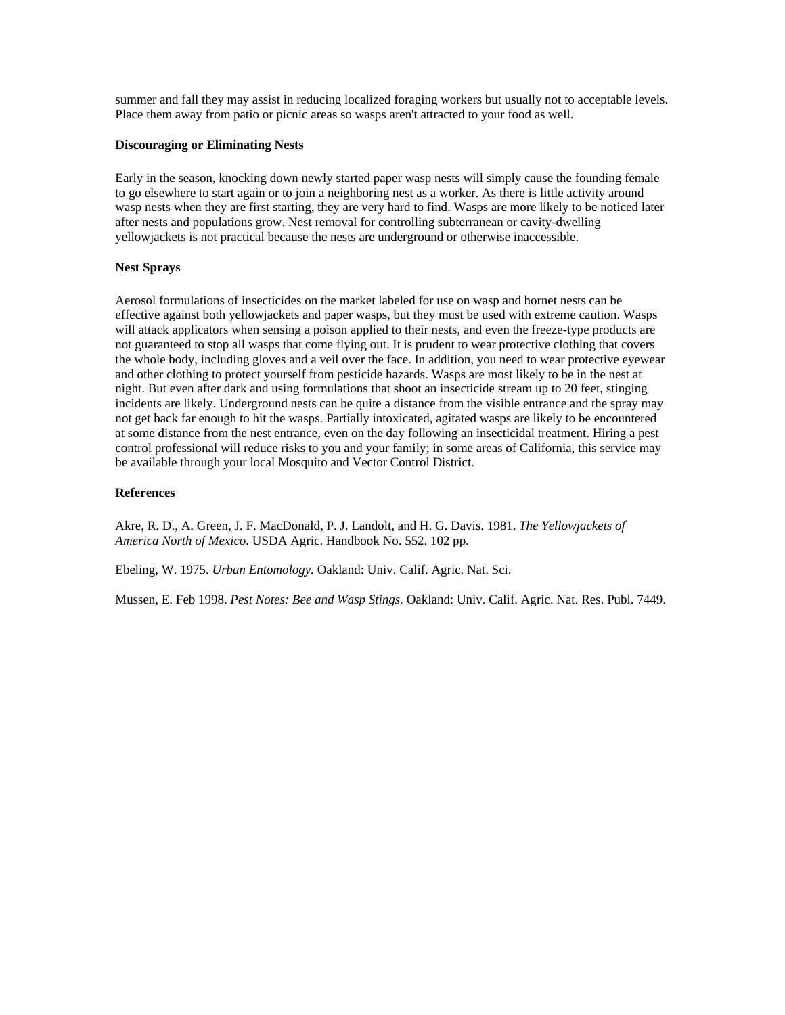<span id="page-39-0"></span>summer and fall they may assist in reducing localized foraging workers but usually not to acceptable levels. Place them away from patio or picnic areas so wasps aren't attracted to your food as well.

#### **Discouraging or Eliminating Nests**

Early in the season, knocking down newly started paper wasp nests will simply cause the founding female to go elsewhere to start again or to join a neighboring nest as a worker. As there is little activity around wasp nests when they are first starting, they are very hard to find. Wasps are more likely to be noticed later after nests and populations grow. Nest removal for controlling subterranean or cavity-dwelling yellowjackets is not practical because the nests are underground or otherwise inaccessible.

## **Nest Sprays**

Aerosol formulations of insecticides on the market labeled for use on wasp and hornet nests can be effective against both yellowjackets and paper wasps, but they must be used with extreme caution. Wasps will attack applicators when sensing a poison applied to their nests, and even the freeze-type products are not guaranteed to stop all wasps that come flying out. It is prudent to wear protective clothing that covers the whole body, including gloves and a veil over the face. In addition, you need to wear protective eyewear and other clothing to protect yourself from pesticide hazards. Wasps are most likely to be in the nest at night. But even after dark and using formulations that shoot an insecticide stream up to 20 feet, stinging incidents are likely. Underground nests can be quite a distance from the visible entrance and the spray may not get back far enough to hit the wasps. Partially intoxicated, agitated wasps are likely to be encountered at some distance from the nest entrance, even on the day following an insecticidal treatment. Hiring a pest control professional will reduce risks to you and your family; in some areas of California, this service may be available through your local Mosquito and Vector Control District.

## **References**

Akre, R. D., A. Green, J. F. MacDonald, P. J. Landolt, and H. G. Davis. 1981. *The Yellowjackets of America North of Mexico.* USDA Agric. Handbook No. 552. 102 pp.

Ebeling, W. 1975. *Urban Entomology.* Oakland: Univ. Calif. Agric. Nat. Sci.

Mussen, E. Feb 1998. *Pest Notes: Bee and Wasp Stings.* Oakland: Univ. Calif. Agric. Nat. Res. Publ. 7449.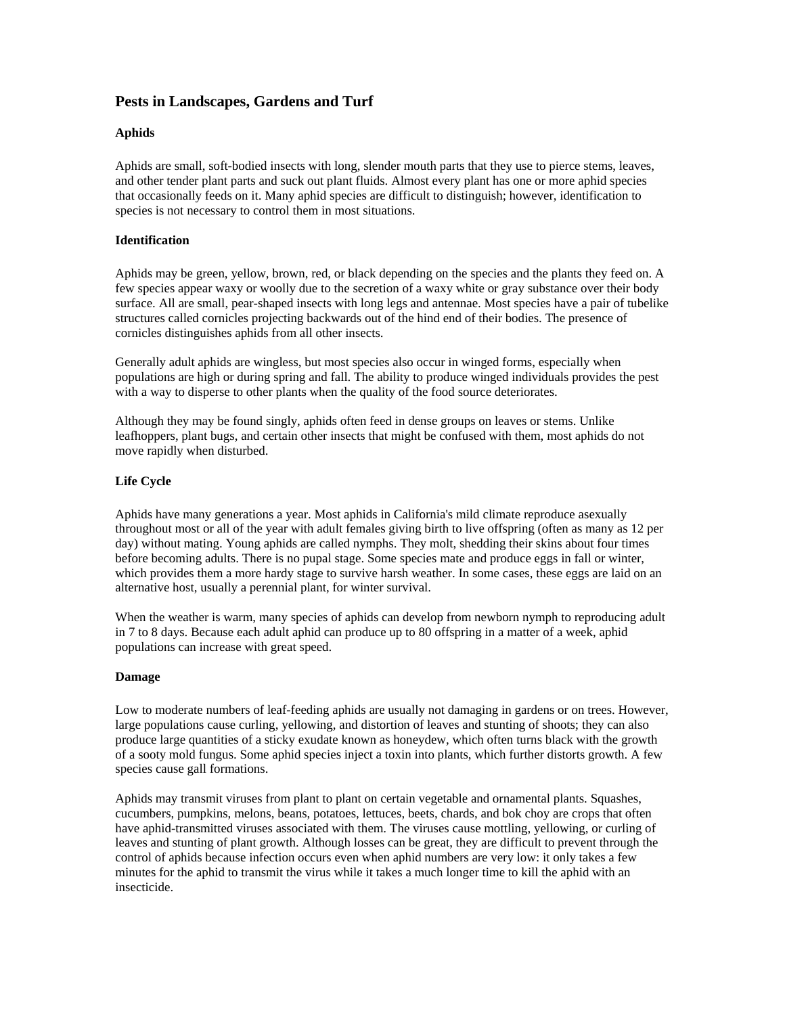# <span id="page-40-0"></span>**Pests in Landscapes, Gardens and Turf**

## **Aphids**

Aphids are small, soft-bodied insects with long, slender mouth parts that they use to pierce stems, leaves, and other tender plant parts and suck out plant fluids. Almost every plant has one or more aphid species that occasionally feeds on it. Many aphid species are difficult to distinguish; however, identification to species is not necessary to control them in most situations.

## **Identification**

Aphids may be green, yellow, brown, red, or black depending on the species and the plants they feed on. A few species appear waxy or woolly due to the secretion of a waxy white or gray substance over their body surface. All are small, pear-shaped insects with long legs and antennae. Most species have a pair of tubelike structures called cornicles projecting backwards out of the hind end of their bodies. The presence of cornicles distinguishes aphids from all other insects.

Generally adult aphids are wingless, but most species also occur in winged forms, especially when populations are high or during spring and fall. The ability to produce winged individuals provides the pest with a way to disperse to other plants when the quality of the food source deteriorates.

Although they may be found singly, aphids often feed in dense groups on leaves or stems. Unlike leafhoppers, plant bugs, and certain other insects that might be confused with them, most aphids do not move rapidly when disturbed.

## **Life Cycle**

Aphids have many generations a year. Most aphids in California's mild climate reproduce asexually throughout most or all of the year with adult females giving birth to live offspring (often as many as 12 per day) without mating. Young aphids are called nymphs. They molt, shedding their skins about four times before becoming adults. There is no pupal stage. Some species mate and produce eggs in fall or winter, which provides them a more hardy stage to survive harsh weather. In some cases, these eggs are laid on an alternative host, usually a perennial plant, for winter survival.

When the weather is warm, many species of aphids can develop from newborn nymph to reproducing adult in 7 to 8 days. Because each adult aphid can produce up to 80 offspring in a matter of a week, aphid populations can increase with great speed.

#### **Damage**

Low to moderate numbers of leaf-feeding aphids are usually not damaging in gardens or on trees. However, large populations cause curling, yellowing, and distortion of leaves and stunting of shoots; they can also produce large quantities of a sticky exudate known as honeydew, which often turns black with the growth of a sooty mold fungus. Some aphid species inject a toxin into plants, which further distorts growth. A few species cause gall formations.

Aphids may transmit viruses from plant to plant on certain vegetable and ornamental plants. Squashes, cucumbers, pumpkins, melons, beans, potatoes, lettuces, beets, chards, and bok choy are crops that often have aphid-transmitted viruses associated with them. The viruses cause mottling, yellowing, or curling of leaves and stunting of plant growth. Although losses can be great, they are difficult to prevent through the control of aphids because infection occurs even when aphid numbers are very low: it only takes a few minutes for the aphid to transmit the virus while it takes a much longer time to kill the aphid with an insecticide.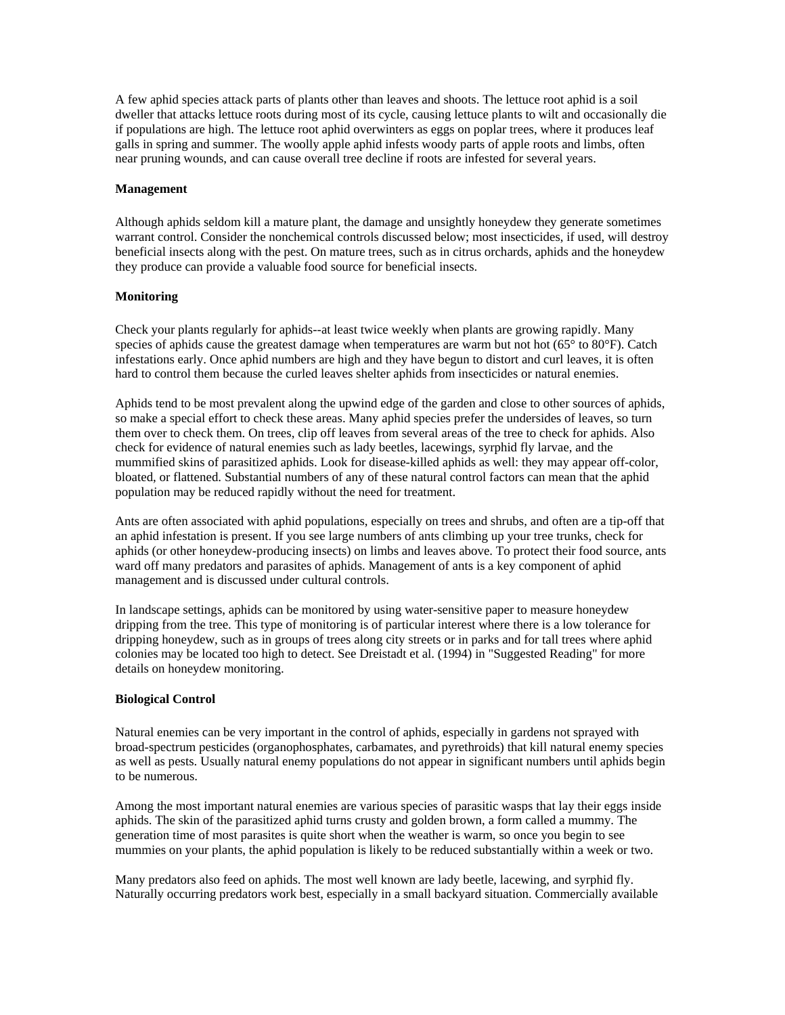<span id="page-41-0"></span>A few aphid species attack parts of plants other than leaves and shoots. The lettuce root aphid is a soil dweller that attacks lettuce roots during most of its cycle, causing lettuce plants to wilt and occasionally die if populations are high. The lettuce root aphid overwinters as eggs on poplar trees, where it produces leaf galls in spring and summer. The woolly apple aphid infests woody parts of apple roots and limbs, often near pruning wounds, and can cause overall tree decline if roots are infested for several years.

#### **Management**

Although aphids seldom kill a mature plant, the damage and unsightly honeydew they generate sometimes warrant control. Consider the nonchemical controls discussed below; most insecticides, if used, will destroy beneficial insects along with the pest. On mature trees, such as in citrus orchards, aphids and the honeydew they produce can provide a valuable food source for beneficial insects.

#### **Monitoring**

Check your plants regularly for aphids--at least twice weekly when plants are growing rapidly. Many species of aphids cause the greatest damage when temperatures are warm but not hot (65° to 80°F). Catch infestations early. Once aphid numbers are high and they have begun to distort and curl leaves, it is often hard to control them because the curled leaves shelter aphids from insecticides or natural enemies.

Aphids tend to be most prevalent along the upwind edge of the garden and close to other sources of aphids, so make a special effort to check these areas. Many aphid species prefer the undersides of leaves, so turn them over to check them. On trees, clip off leaves from several areas of the tree to check for aphids. Also check for evidence of natural enemies such as lady beetles, lacewings, syrphid fly larvae, and the mummified skins of parasitized aphids. Look for disease-killed aphids as well: they may appear off-color, bloated, or flattened. Substantial numbers of any of these natural control factors can mean that the aphid population may be reduced rapidly without the need for treatment.

Ants are often associated with aphid populations, especially on trees and shrubs, and often are a tip-off that an aphid infestation is present. If you see large numbers of ants climbing up your tree trunks, check for aphids (or other honeydew-producing insects) on limbs and leaves above. To protect their food source, ants ward off many predators and parasites of aphids. Management of ants is a key component of aphid management and is discussed under cultural controls.

In landscape settings, aphids can be monitored by using water-sensitive paper to measure honeydew dripping from the tree. This type of monitoring is of particular interest where there is a low tolerance for dripping honeydew, such as in groups of trees along city streets or in parks and for tall trees where aphid colonies may be located too high to detect. See Dreistadt et al. (1994) in "Suggested Reading" for more details on honeydew monitoring.

#### **Biological Control**

Natural enemies can be very important in the control of aphids, especially in gardens not sprayed with broad-spectrum pesticides (organophosphates, carbamates, and pyrethroids) that kill natural enemy species as well as pests. Usually natural enemy populations do not appear in significant numbers until aphids begin to be numerous.

Among the most important natural enemies are various species of parasitic wasps that lay their eggs inside aphids. The skin of the parasitized aphid turns crusty and golden brown, a form called a mummy. The generation time of most parasites is quite short when the weather is warm, so once you begin to see mummies on your plants, the aphid population is likely to be reduced substantially within a week or two.

Many predators also feed on aphids. The most well known are lady beetle, lacewing, and syrphid fly. Naturally occurring predators work best, especially in a small backyard situation. Commercially available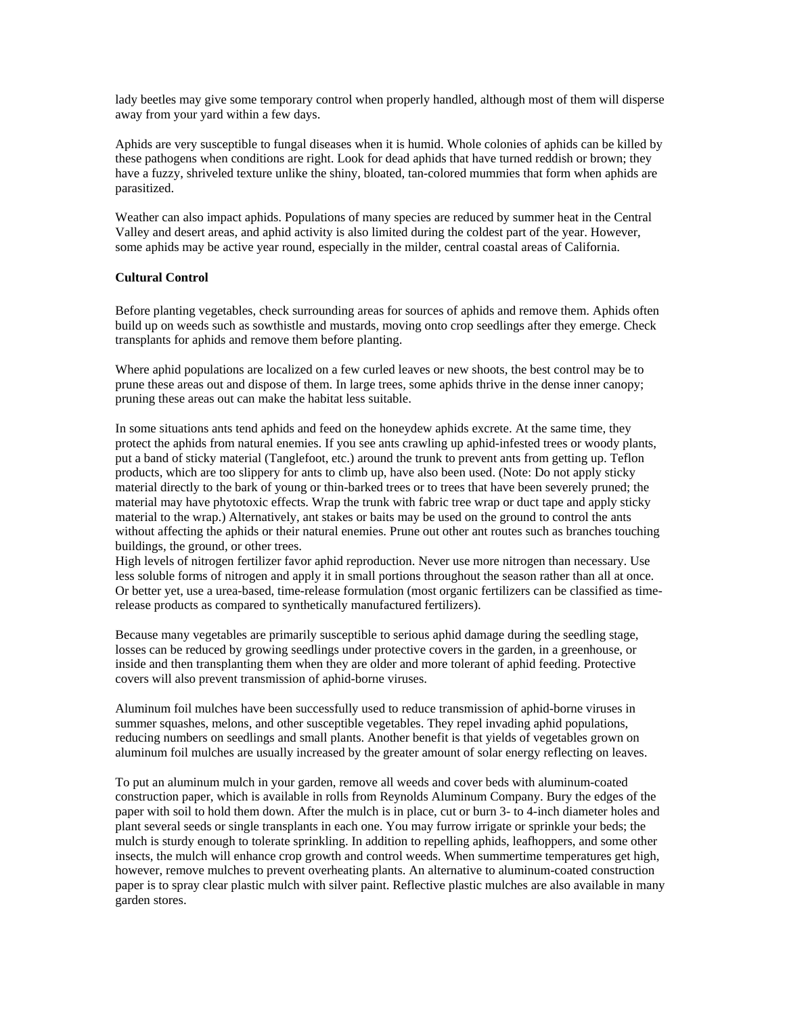<span id="page-42-0"></span>lady beetles may give some temporary control when properly handled, although most of them will disperse away from your yard within a few days.

Aphids are very susceptible to fungal diseases when it is humid. Whole colonies of aphids can be killed by these pathogens when conditions are right. Look for dead aphids that have turned reddish or brown; they have a fuzzy, shriveled texture unlike the shiny, bloated, tan-colored mummies that form when aphids are parasitized.

Weather can also impact aphids. Populations of many species are reduced by summer heat in the Central Valley and desert areas, and aphid activity is also limited during the coldest part of the year. However, some aphids may be active year round, especially in the milder, central coastal areas of California.

#### **Cultural Control**

Before planting vegetables, check surrounding areas for sources of aphids and remove them. Aphids often build up on weeds such as sowthistle and mustards, moving onto crop seedlings after they emerge. Check transplants for aphids and remove them before planting.

Where aphid populations are localized on a few curled leaves or new shoots, the best control may be to prune these areas out and dispose of them. In large trees, some aphids thrive in the dense inner canopy; pruning these areas out can make the habitat less suitable.

In some situations ants tend aphids and feed on the honeydew aphids excrete. At the same time, they protect the aphids from natural enemies. If you see ants crawling up aphid-infested trees or woody plants, put a band of sticky material (Tanglefoot, etc.) around the trunk to prevent ants from getting up. Teflon products, which are too slippery for ants to climb up, have also been used. (Note: Do not apply sticky material directly to the bark of young or thin-barked trees or to trees that have been severely pruned; the material may have phytotoxic effects. Wrap the trunk with fabric tree wrap or duct tape and apply sticky material to the wrap.) Alternatively, ant stakes or baits may be used on the ground to control the ants without affecting the aphids or their natural enemies. Prune out other ant routes such as branches touching buildings, the ground, or other trees.

High levels of nitrogen fertilizer favor aphid reproduction. Never use more nitrogen than necessary. Use less soluble forms of nitrogen and apply it in small portions throughout the season rather than all at once. Or better yet, use a urea-based, time-release formulation (most organic fertilizers can be classified as timerelease products as compared to synthetically manufactured fertilizers).

Because many vegetables are primarily susceptible to serious aphid damage during the seedling stage, losses can be reduced by growing seedlings under protective covers in the garden, in a greenhouse, or inside and then transplanting them when they are older and more tolerant of aphid feeding. Protective covers will also prevent transmission of aphid-borne viruses.

Aluminum foil mulches have been successfully used to reduce transmission of aphid-borne viruses in summer squashes, melons, and other susceptible vegetables. They repel invading aphid populations, reducing numbers on seedlings and small plants. Another benefit is that yields of vegetables grown on aluminum foil mulches are usually increased by the greater amount of solar energy reflecting on leaves.

To put an aluminum mulch in your garden, remove all weeds and cover beds with aluminum-coated construction paper, which is available in rolls from Reynolds Aluminum Company. Bury the edges of the paper with soil to hold them down. After the mulch is in place, cut or burn 3- to 4-inch diameter holes and plant several seeds or single transplants in each one. You may furrow irrigate or sprinkle your beds; the mulch is sturdy enough to tolerate sprinkling. In addition to repelling aphids, leafhoppers, and some other insects, the mulch will enhance crop growth and control weeds. When summertime temperatures get high, however, remove mulches to prevent overheating plants. An alternative to aluminum-coated construction paper is to spray clear plastic mulch with silver paint. Reflective plastic mulches are also available in many garden stores.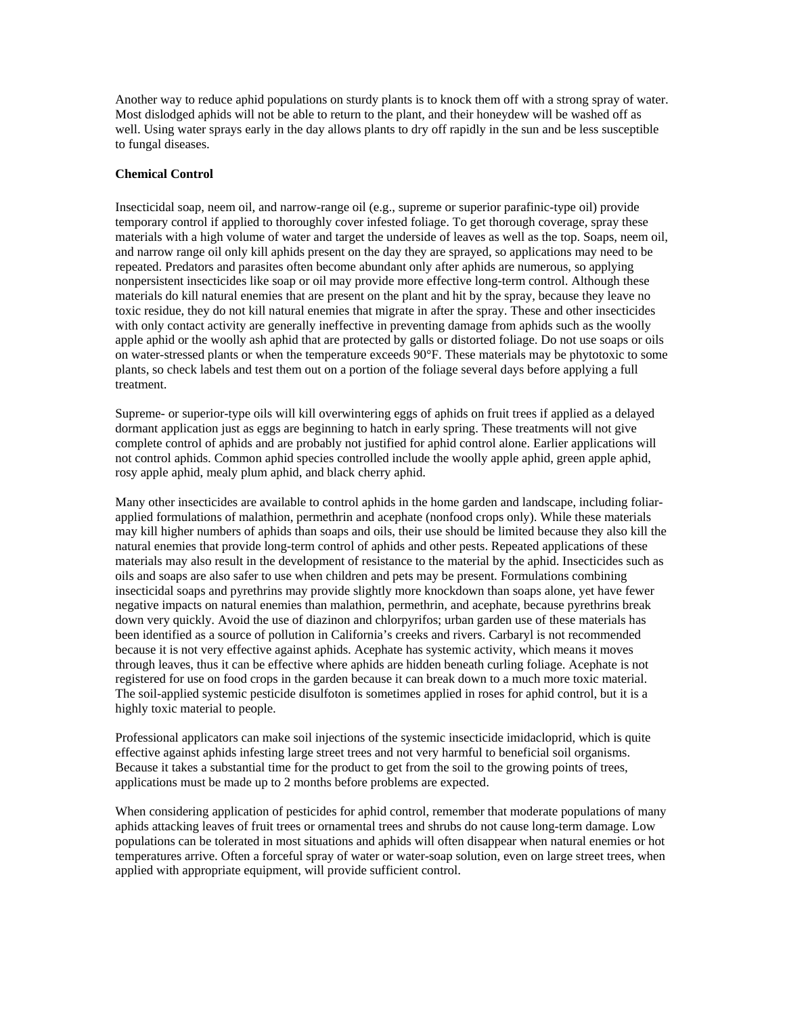<span id="page-43-0"></span>Another way to reduce aphid populations on sturdy plants is to knock them off with a strong spray of water. Most dislodged aphids will not be able to return to the plant, and their honeydew will be washed off as well. Using water sprays early in the day allows plants to dry off rapidly in the sun and be less susceptible to fungal diseases.

#### **Chemical Control**

Insecticidal soap, neem oil, and narrow-range oil (e.g., supreme or superior parafinic-type oil) provide temporary control if applied to thoroughly cover infested foliage. To get thorough coverage, spray these materials with a high volume of water and target the underside of leaves as well as the top. Soaps, neem oil, and narrow range oil only kill aphids present on the day they are sprayed, so applications may need to be repeated. Predators and parasites often become abundant only after aphids are numerous, so applying nonpersistent insecticides like soap or oil may provide more effective long-term control. Although these materials do kill natural enemies that are present on the plant and hit by the spray, because they leave no toxic residue, they do not kill natural enemies that migrate in after the spray. These and other insecticides with only contact activity are generally ineffective in preventing damage from aphids such as the woolly apple aphid or the woolly ash aphid that are protected by galls or distorted foliage. Do not use soaps or oils on water-stressed plants or when the temperature exceeds 90°F. These materials may be phytotoxic to some plants, so check labels and test them out on a portion of the foliage several days before applying a full treatment.

Supreme- or superior-type oils will kill overwintering eggs of aphids on fruit trees if applied as a delayed dormant application just as eggs are beginning to hatch in early spring. These treatments will not give complete control of aphids and are probably not justified for aphid control alone. Earlier applications will not control aphids. Common aphid species controlled include the woolly apple aphid, green apple aphid, rosy apple aphid, mealy plum aphid, and black cherry aphid.

Many other insecticides are available to control aphids in the home garden and landscape, including foliarapplied formulations of malathion, permethrin and acephate (nonfood crops only). While these materials may kill higher numbers of aphids than soaps and oils, their use should be limited because they also kill the natural enemies that provide long-term control of aphids and other pests. Repeated applications of these materials may also result in the development of resistance to the material by the aphid. Insecticides such as oils and soaps are also safer to use when children and pets may be present. Formulations combining insecticidal soaps and pyrethrins may provide slightly more knockdown than soaps alone, yet have fewer negative impacts on natural enemies than malathion, permethrin, and acephate, because pyrethrins break down very quickly. Avoid the use of diazinon and chlorpyrifos; urban garden use of these materials has been identified as a source of pollution in California's creeks and rivers. Carbaryl is not recommended because it is not very effective against aphids. Acephate has systemic activity, which means it moves through leaves, thus it can be effective where aphids are hidden beneath curling foliage. Acephate is not registered for use on food crops in the garden because it can break down to a much more toxic material. The soil-applied systemic pesticide disulfoton is sometimes applied in roses for aphid control, but it is a highly toxic material to people.

Professional applicators can make soil injections of the systemic insecticide imidacloprid, which is quite effective against aphids infesting large street trees and not very harmful to beneficial soil organisms. Because it takes a substantial time for the product to get from the soil to the growing points of trees, applications must be made up to 2 months before problems are expected.

When considering application of pesticides for aphid control, remember that moderate populations of many aphids attacking leaves of fruit trees or ornamental trees and shrubs do not cause long-term damage. Low populations can be tolerated in most situations and aphids will often disappear when natural enemies or hot temperatures arrive. Often a forceful spray of water or water-soap solution, even on large street trees, when applied with appropriate equipment, will provide sufficient control.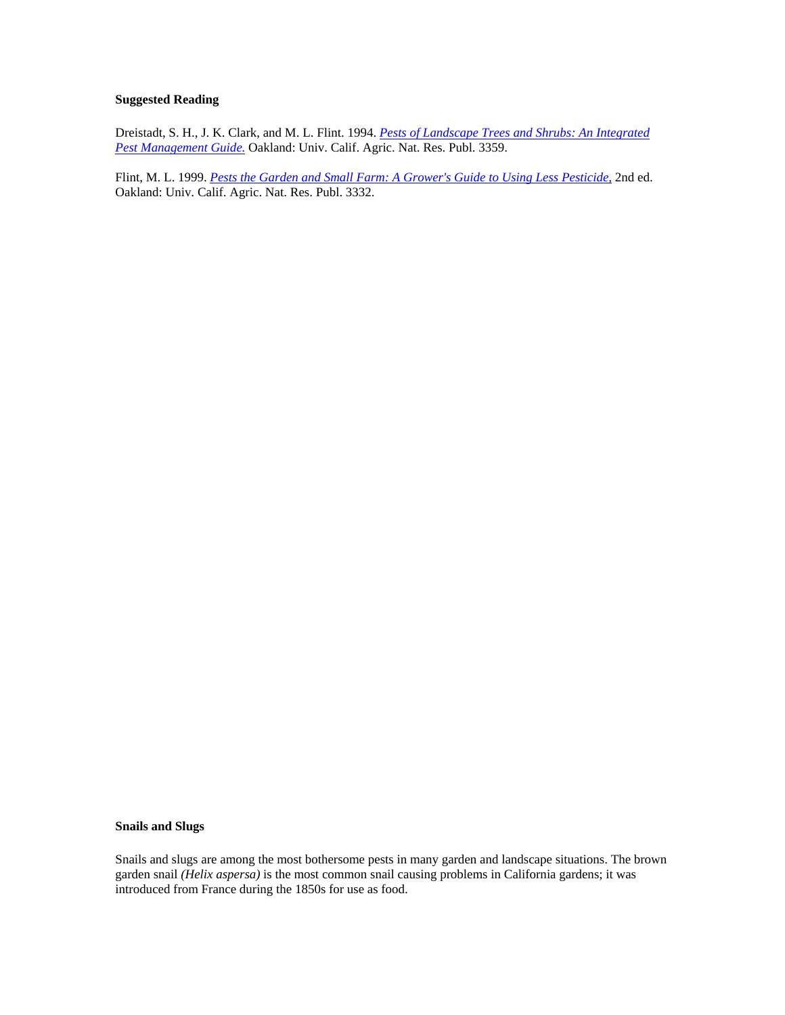## <span id="page-44-0"></span>**Suggested Reading**

Dreistadt, S. H., J. K. Clark, and M. L. Flint. 1994. *[Pests of Landscape Trees and Shrubs: An Integrated](http://www.ipm.ucdavis.edu/IPMPROJECT/ADS/manual_landscape.html)  [Pest Management Guide.](http://www.ipm.ucdavis.edu/IPMPROJECT/ADS/manual_landscape.html)* Oakland: Univ. Calif. Agric. Nat. Res. Publ. 3359.

Flint, M. L. 1999. *[Pests the Garden and Small Farm: A Grower's Guide to Using Less Pesticide,](http://www.ipm.ucdavis.edu/IPMPROJECT/ADS/manual_gardenfarms.html)* 2nd ed. Oakland: Univ. Calif. Agric. Nat. Res. Publ. 3332.

#### **Snails and Slugs**

Snails and slugs are among the most bothersome pests in many garden and landscape situations. The brown garden snail *(Helix aspersa)* is the most common snail causing problems in California gardens; it was introduced from France during the 1850s for use as food.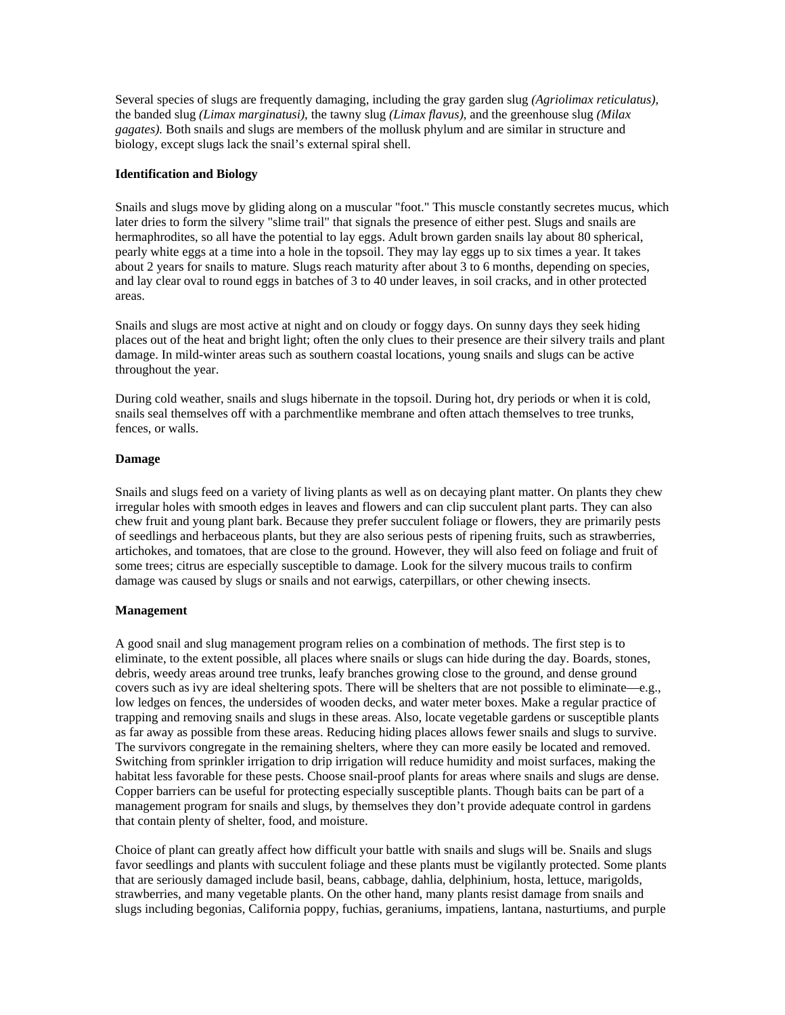<span id="page-45-0"></span>Several species of slugs are frequently damaging, including the gray garden slug *(Agriolimax reticulatus),* the banded slug *(Limax marginatusi),* the tawny slug *(Limax flavus),* and the greenhouse slug *(Milax gagates).* Both snails and slugs are members of the mollusk phylum and are similar in structure and biology, except slugs lack the snail's external spiral shell.

## **Identification and Biology**

Snails and slugs move by gliding along on a muscular "foot." This muscle constantly secretes mucus, which later dries to form the silvery "slime trail" that signals the presence of either pest. Slugs and snails are hermaphrodites, so all have the potential to lay eggs. Adult brown garden snails lay about 80 spherical, pearly white eggs at a time into a hole in the topsoil. They may lay eggs up to six times a year. It takes about 2 years for snails to mature. Slugs reach maturity after about 3 to 6 months, depending on species, and lay clear oval to round eggs in batches of 3 to 40 under leaves, in soil cracks, and in other protected areas.

Snails and slugs are most active at night and on cloudy or foggy days. On sunny days they seek hiding places out of the heat and bright light; often the only clues to their presence are their silvery trails and plant damage. In mild-winter areas such as southern coastal locations, young snails and slugs can be active throughout the year.

During cold weather, snails and slugs hibernate in the topsoil. During hot, dry periods or when it is cold, snails seal themselves off with a parchmentlike membrane and often attach themselves to tree trunks, fences, or walls.

## **Damage**

Snails and slugs feed on a variety of living plants as well as on decaying plant matter. On plants they chew irregular holes with smooth edges in leaves and flowers and can clip succulent plant parts. They can also chew fruit and young plant bark. Because they prefer succulent foliage or flowers, they are primarily pests of seedlings and herbaceous plants, but they are also serious pests of ripening fruits, such as strawberries, artichokes, and tomatoes, that are close to the ground. However, they will also feed on foliage and fruit of some trees; citrus are especially susceptible to damage. Look for the silvery mucous trails to confirm damage was caused by slugs or snails and not earwigs, caterpillars, or other chewing insects.

## **Management**

A good snail and slug management program relies on a combination of methods. The first step is to eliminate, to the extent possible, all places where snails or slugs can hide during the day. Boards, stones, debris, weedy areas around tree trunks, leafy branches growing close to the ground, and dense ground covers such as ivy are ideal sheltering spots. There will be shelters that are not possible to eliminate—e.g., low ledges on fences, the undersides of wooden decks, and water meter boxes. Make a regular practice of trapping and removing snails and slugs in these areas. Also, locate vegetable gardens or susceptible plants as far away as possible from these areas. Reducing hiding places allows fewer snails and slugs to survive. The survivors congregate in the remaining shelters, where they can more easily be located and removed. Switching from sprinkler irrigation to drip irrigation will reduce humidity and moist surfaces, making the habitat less favorable for these pests. Choose snail-proof plants for areas where snails and slugs are dense. Copper barriers can be useful for protecting especially susceptible plants. Though baits can be part of a management program for snails and slugs, by themselves they don't provide adequate control in gardens that contain plenty of shelter, food, and moisture.

Choice of plant can greatly affect how difficult your battle with snails and slugs will be. Snails and slugs favor seedlings and plants with succulent foliage and these plants must be vigilantly protected. Some plants that are seriously damaged include basil, beans, cabbage, dahlia, delphinium, hosta, lettuce, marigolds, strawberries, and many vegetable plants. On the other hand, many plants resist damage from snails and slugs including begonias, California poppy, fuchias, geraniums, impatiens, lantana, nasturtiums, and purple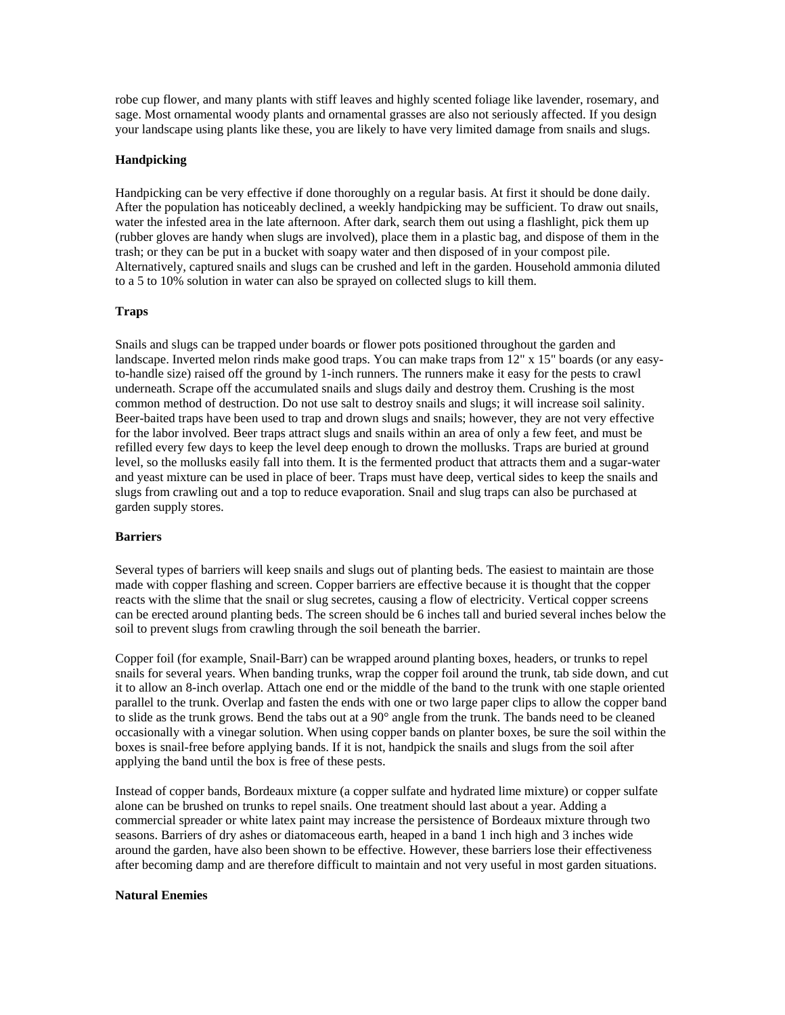<span id="page-46-0"></span>robe cup flower, and many plants with stiff leaves and highly scented foliage like lavender, rosemary, and sage. Most ornamental woody plants and ornamental grasses are also not seriously affected. If you design your landscape using plants like these, you are likely to have very limited damage from snails and slugs.

## **Handpicking**

Handpicking can be very effective if done thoroughly on a regular basis. At first it should be done daily. After the population has noticeably declined, a weekly handpicking may be sufficient. To draw out snails, water the infested area in the late afternoon. After dark, search them out using a flashlight, pick them up (rubber gloves are handy when slugs are involved), place them in a plastic bag, and dispose of them in the trash; or they can be put in a bucket with soapy water and then disposed of in your compost pile. Alternatively, captured snails and slugs can be crushed and left in the garden. Household ammonia diluted to a 5 to 10% solution in water can also be sprayed on collected slugs to kill them.

#### **Traps**

Snails and slugs can be trapped under boards or flower pots positioned throughout the garden and landscape. Inverted melon rinds make good traps. You can make traps from 12" x 15" boards (or any easyto-handle size) raised off the ground by 1-inch runners. The runners make it easy for the pests to crawl underneath. Scrape off the accumulated snails and slugs daily and destroy them. Crushing is the most common method of destruction. Do not use salt to destroy snails and slugs; it will increase soil salinity. Beer-baited traps have been used to trap and drown slugs and snails; however, they are not very effective for the labor involved. Beer traps attract slugs and snails within an area of only a few feet, and must be refilled every few days to keep the level deep enough to drown the mollusks. Traps are buried at ground level, so the mollusks easily fall into them. It is the fermented product that attracts them and a sugar-water and yeast mixture can be used in place of beer. Traps must have deep, vertical sides to keep the snails and slugs from crawling out and a top to reduce evaporation. Snail and slug traps can also be purchased at garden supply stores.

#### **Barriers**

Several types of barriers will keep snails and slugs out of planting beds. The easiest to maintain are those made with copper flashing and screen. Copper barriers are effective because it is thought that the copper reacts with the slime that the snail or slug secretes, causing a flow of electricity. Vertical copper screens can be erected around planting beds. The screen should be 6 inches tall and buried several inches below the soil to prevent slugs from crawling through the soil beneath the barrier.

Copper foil (for example, Snail-Barr) can be wrapped around planting boxes, headers, or trunks to repel snails for several years. When banding trunks, wrap the copper foil around the trunk, tab side down, and cut it to allow an 8-inch overlap. Attach one end or the middle of the band to the trunk with one staple oriented parallel to the trunk. Overlap and fasten the ends with one or two large paper clips to allow the copper band to slide as the trunk grows. Bend the tabs out at a 90° angle from the trunk. The bands need to be cleaned occasionally with a vinegar solution. When using copper bands on planter boxes, be sure the soil within the boxes is snail-free before applying bands. If it is not, handpick the snails and slugs from the soil after applying the band until the box is free of these pests.

Instead of copper bands, Bordeaux mixture (a copper sulfate and hydrated lime mixture) or copper sulfate alone can be brushed on trunks to repel snails. One treatment should last about a year. Adding a commercial spreader or white latex paint may increase the persistence of Bordeaux mixture through two seasons. Barriers of dry ashes or diatomaceous earth, heaped in a band 1 inch high and 3 inches wide around the garden, have also been shown to be effective. However, these barriers lose their effectiveness after becoming damp and are therefore difficult to maintain and not very useful in most garden situations.

#### **Natural Enemies**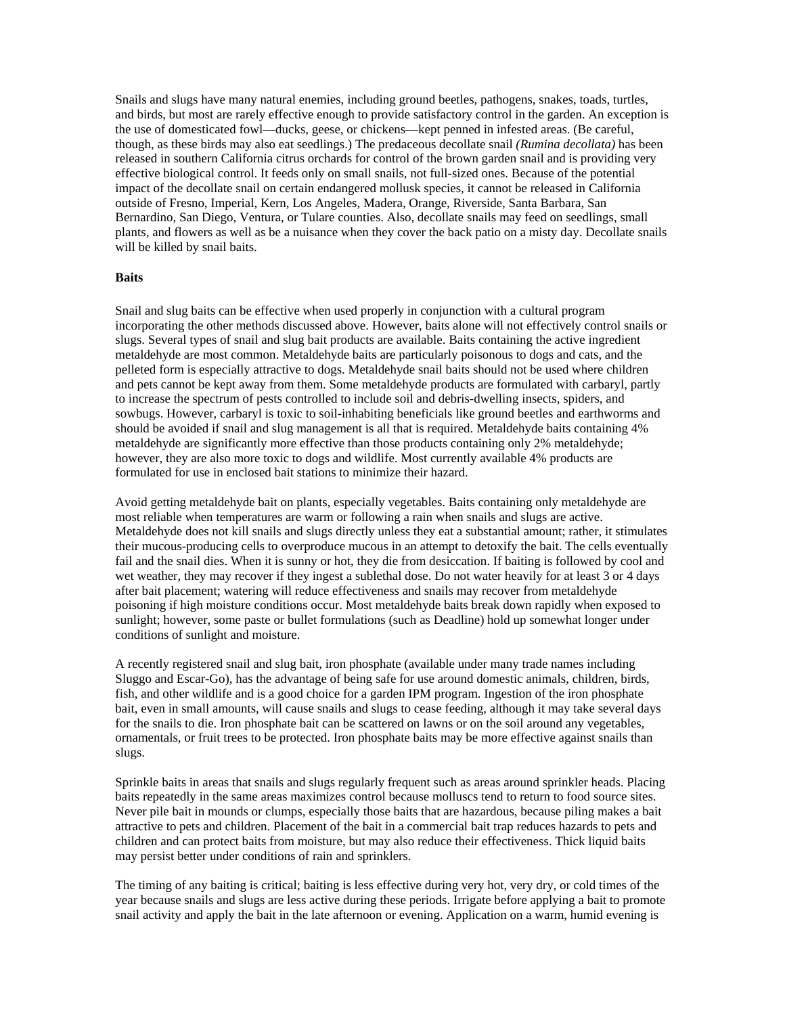<span id="page-47-0"></span>Snails and slugs have many natural enemies, including ground beetles, pathogens, snakes, toads, turtles, and birds, but most are rarely effective enough to provide satisfactory control in the garden. An exception is the use of domesticated fowl—ducks, geese, or chickens—kept penned in infested areas. (Be careful, though, as these birds may also eat seedlings.) The predaceous decollate snail *(Rumina decollata)* has been released in southern California citrus orchards for control of the brown garden snail and is providing very effective biological control. It feeds only on small snails, not full-sized ones. Because of the potential impact of the decollate snail on certain endangered mollusk species, it cannot be released in California outside of Fresno, Imperial, Kern, Los Angeles, Madera, Orange, Riverside, Santa Barbara, San Bernardino, San Diego, Ventura, or Tulare counties. Also, decollate snails may feed on seedlings, small plants, and flowers as well as be a nuisance when they cover the back patio on a misty day. Decollate snails will be killed by snail baits.

#### **Baits**

Snail and slug baits can be effective when used properly in conjunction with a cultural program incorporating the other methods discussed above. However, baits alone will not effectively control snails or slugs. Several types of snail and slug bait products are available. Baits containing the active ingredient metaldehyde are most common. Metaldehyde baits are particularly poisonous to dogs and cats, and the pelleted form is especially attractive to dogs. Metaldehyde snail baits should not be used where children and pets cannot be kept away from them. Some metaldehyde products are formulated with carbaryl, partly to increase the spectrum of pests controlled to include soil and debris-dwelling insects, spiders, and sowbugs. However, carbaryl is toxic to soil-inhabiting beneficials like ground beetles and earthworms and should be avoided if snail and slug management is all that is required. Metaldehyde baits containing 4% metaldehyde are significantly more effective than those products containing only 2% metaldehyde; however, they are also more toxic to dogs and wildlife. Most currently available 4% products are formulated for use in enclosed bait stations to minimize their hazard.

Avoid getting metaldehyde bait on plants, especially vegetables. Baits containing only metaldehyde are most reliable when temperatures are warm or following a rain when snails and slugs are active. Metaldehyde does not kill snails and slugs directly unless they eat a substantial amount; rather, it stimulates their mucous-producing cells to overproduce mucous in an attempt to detoxify the bait. The cells eventually fail and the snail dies. When it is sunny or hot, they die from desiccation. If baiting is followed by cool and wet weather, they may recover if they ingest a sublethal dose. Do not water heavily for at least 3 or 4 days after bait placement; watering will reduce effectiveness and snails may recover from metaldehyde poisoning if high moisture conditions occur. Most metaldehyde baits break down rapidly when exposed to sunlight; however, some paste or bullet formulations (such as Deadline) hold up somewhat longer under conditions of sunlight and moisture.

A recently registered snail and slug bait, iron phosphate (available under many trade names including Sluggo and Escar-Go), has the advantage of being safe for use around domestic animals, children, birds, fish, and other wildlife and is a good choice for a garden IPM program. Ingestion of the iron phosphate bait, even in small amounts, will cause snails and slugs to cease feeding, although it may take several days for the snails to die. Iron phosphate bait can be scattered on lawns or on the soil around any vegetables, ornamentals, or fruit trees to be protected. Iron phosphate baits may be more effective against snails than slugs.

Sprinkle baits in areas that snails and slugs regularly frequent such as areas around sprinkler heads. Placing baits repeatedly in the same areas maximizes control because molluscs tend to return to food source sites. Never pile bait in mounds or clumps, especially those baits that are hazardous, because piling makes a bait attractive to pets and children. Placement of the bait in a commercial bait trap reduces hazards to pets and children and can protect baits from moisture, but may also reduce their effectiveness. Thick liquid baits may persist better under conditions of rain and sprinklers.

The timing of any baiting is critical; baiting is less effective during very hot, very dry, or cold times of the year because snails and slugs are less active during these periods. Irrigate before applying a bait to promote snail activity and apply the bait in the late afternoon or evening. Application on a warm, humid evening is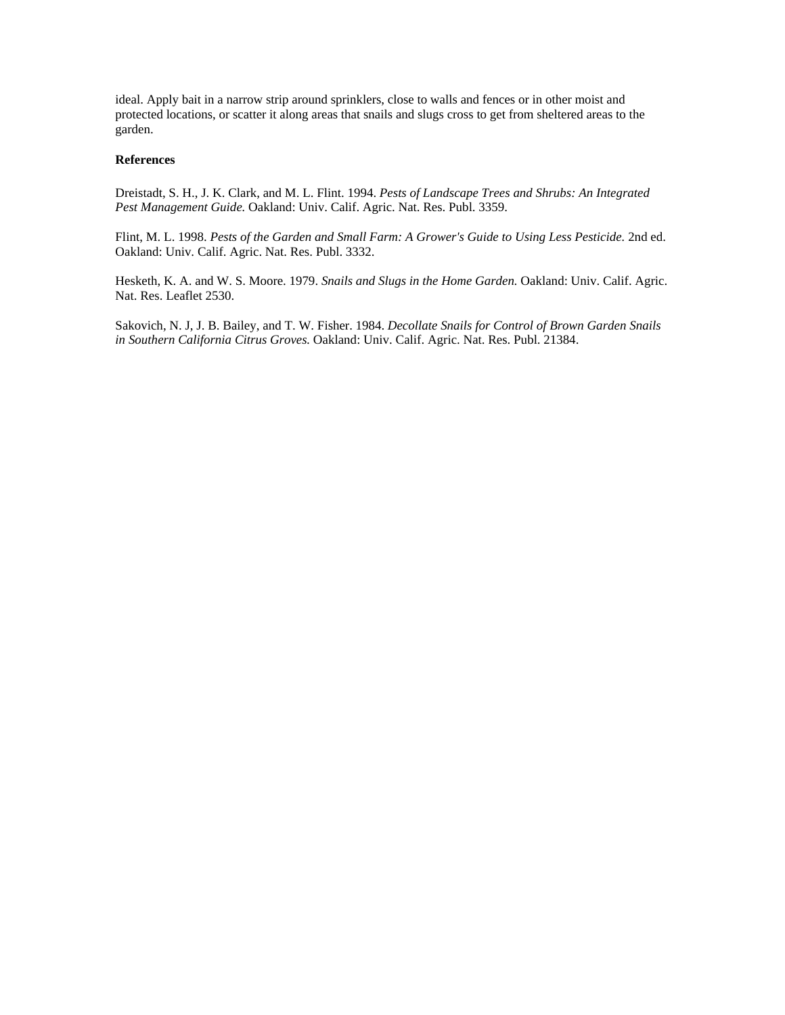<span id="page-48-0"></span>ideal. Apply bait in a narrow strip around sprinklers, close to walls and fences or in other moist and protected locations, or scatter it along areas that snails and slugs cross to get from sheltered areas to the garden.

## **References**

Dreistadt, S. H., J. K. Clark, and M. L. Flint. 1994. *Pests of Landscape Trees and Shrubs: An Integrated Pest Management Guide.* Oakland: Univ. Calif. Agric. Nat. Res. Publ. 3359.

Flint, M. L. 1998. *Pests of the Garden and Small Farm: A Grower's Guide to Using Less Pesticide.* 2nd ed. Oakland: Univ. Calif. Agric. Nat. Res. Publ. 3332.

Hesketh, K. A. and W. S. Moore. 1979. *Snails and Slugs in the Home Garden.* Oakland: Univ. Calif. Agric. Nat. Res. Leaflet 2530.

Sakovich, N. J, J. B. Bailey, and T. W. Fisher. 1984. *Decollate Snails for Control of Brown Garden Snails in Southern California Citrus Groves.* Oakland: Univ. Calif. Agric. Nat. Res. Publ. 21384.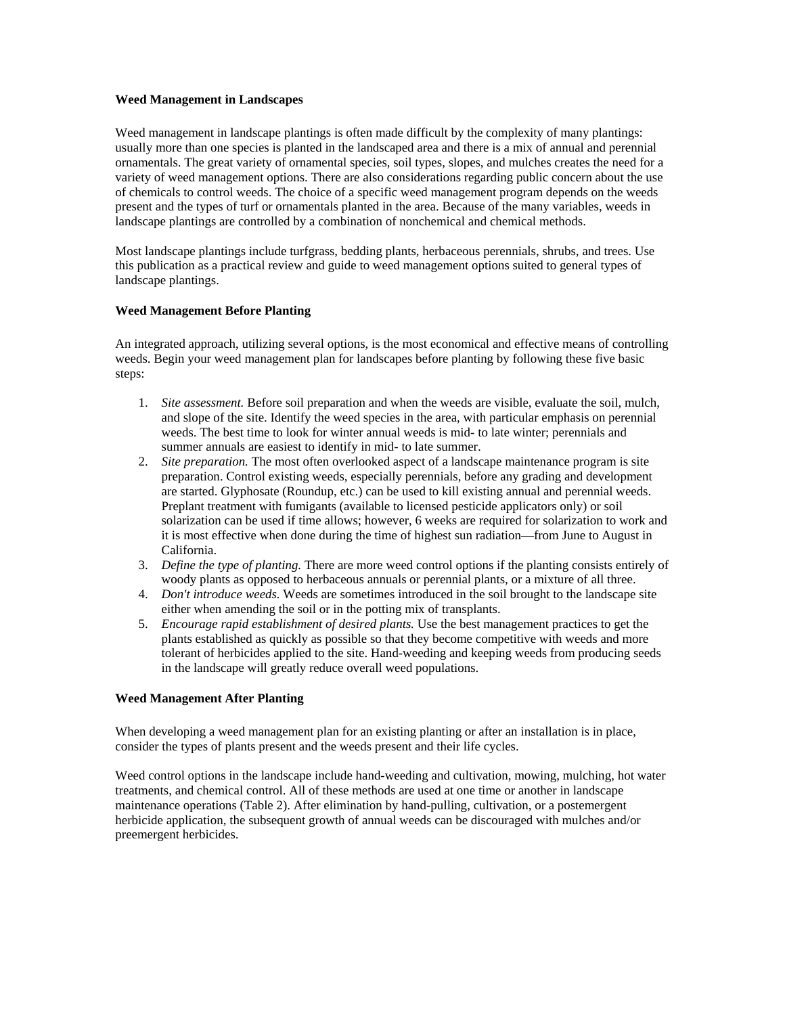#### <span id="page-49-0"></span>**Weed Management in Landscapes**

Weed management in landscape plantings is often made difficult by the complexity of many plantings: usually more than one species is planted in the landscaped area and there is a mix of annual and perennial ornamentals. The great variety of ornamental species, soil types, slopes, and mulches creates the need for a variety of weed management options. There are also considerations regarding public concern about the use of chemicals to control weeds. The choice of a specific weed management program depends on the weeds present and the types of turf or ornamentals planted in the area. Because of the many variables, weeds in landscape plantings are controlled by a combination of nonchemical and chemical methods.

Most landscape plantings include turfgrass, bedding plants, herbaceous perennials, shrubs, and trees. Use this publication as a practical review and guide to weed management options suited to general types of landscape plantings.

## **Weed Management Before Planting**

An integrated approach, utilizing several options, is the most economical and effective means of controlling weeds. Begin your weed management plan for landscapes before planting by following these five basic steps:

- 1. *Site assessment.* Before soil preparation and when the weeds are visible, evaluate the soil, mulch, and slope of the site. Identify the weed species in the area, with particular emphasis on perennial weeds. The best time to look for winter annual weeds is mid- to late winter; perennials and summer annuals are easiest to identify in mid- to late summer.
- 2. *Site preparation.* The most often overlooked aspect of a landscape maintenance program is site preparation. Control existing weeds, especially perennials, before any grading and development are started. Glyphosate (Roundup, etc.) can be used to kill existing annual and perennial weeds. Preplant treatment with fumigants (available to licensed pesticide applicators only) or soil solarization can be used if time allows; however, 6 weeks are required for solarization to work and it is most effective when done during the time of highest sun radiation—from June to August in California.
- 3. *Define the type of planting.* There are more weed control options if the planting consists entirely of woody plants as opposed to herbaceous annuals or perennial plants, or a mixture of all three.
- 4. *Don't introduce weeds.* Weeds are sometimes introduced in the soil brought to the landscape site either when amending the soil or in the potting mix of transplants.
- 5. *Encourage rapid establishment of desired plants.* Use the best management practices to get the plants established as quickly as possible so that they become competitive with weeds and more tolerant of herbicides applied to the site. Hand-weeding and keeping weeds from producing seeds in the landscape will greatly reduce overall weed populations.

## **Weed Management After Planting**

When developing a weed management plan for an existing planting or after an installation is in place, consider the types of plants present and the weeds present and their life cycles.

Weed control options in the landscape include hand-weeding and cultivation, mowing, mulching, hot water treatments, and chemical control. All of these methods are used at one time or another in landscape maintenance operations (Table 2). After elimination by hand-pulling, cultivation, or a postemergent herbicide application, the subsequent growth of annual weeds can be discouraged with mulches and/or preemergent herbicides.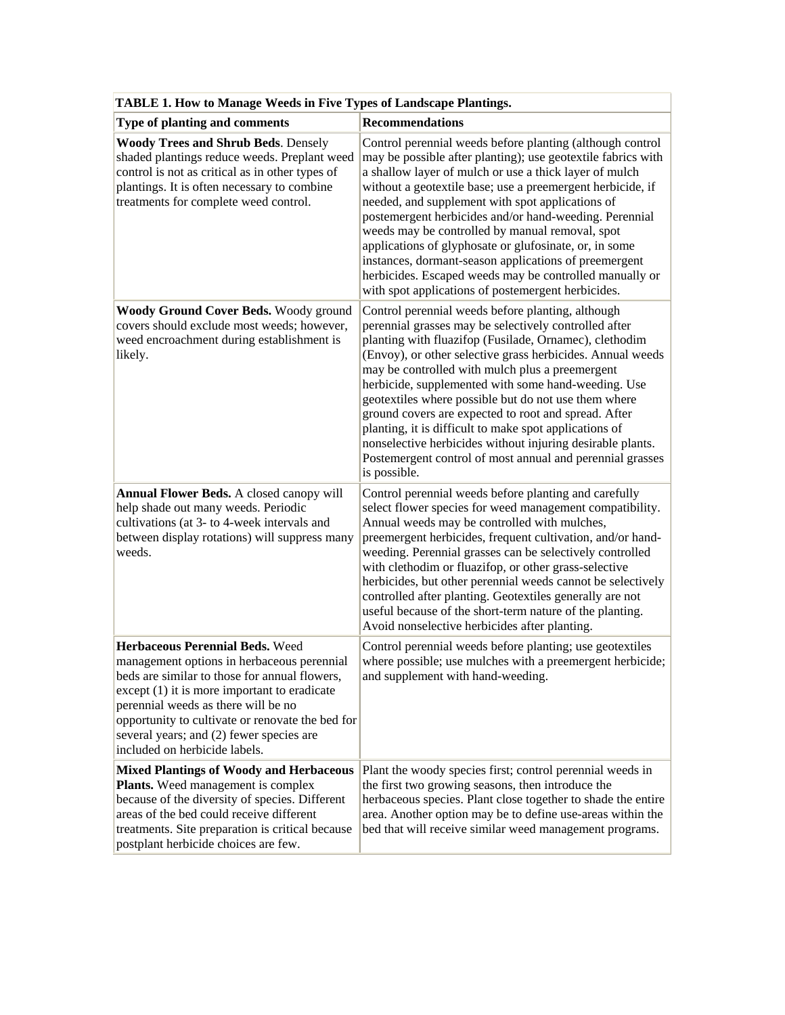| TABLE 1. How to Manage Weeds in Five Types of Landscape Plantings.                                                                                                                                                                                                                                                                                       |                                                                                                                                                                                                                                                                                                                                                                                                                                                                                                                                                                                                                                                                   |  |  |
|----------------------------------------------------------------------------------------------------------------------------------------------------------------------------------------------------------------------------------------------------------------------------------------------------------------------------------------------------------|-------------------------------------------------------------------------------------------------------------------------------------------------------------------------------------------------------------------------------------------------------------------------------------------------------------------------------------------------------------------------------------------------------------------------------------------------------------------------------------------------------------------------------------------------------------------------------------------------------------------------------------------------------------------|--|--|
| Type of planting and comments                                                                                                                                                                                                                                                                                                                            | <b>Recommendations</b>                                                                                                                                                                                                                                                                                                                                                                                                                                                                                                                                                                                                                                            |  |  |
| <b>Woody Trees and Shrub Beds. Densely</b><br>shaded plantings reduce weeds. Preplant weed<br>control is not as critical as in other types of<br>plantings. It is often necessary to combine<br>treatments for complete weed control.                                                                                                                    | Control perennial weeds before planting (although control<br>may be possible after planting); use geotextile fabrics with<br>a shallow layer of mulch or use a thick layer of mulch<br>without a geotextile base; use a preemergent herbicide, if<br>needed, and supplement with spot applications of<br>postemergent herbicides and/or hand-weeding. Perennial<br>weeds may be controlled by manual removal, spot<br>applications of glyphosate or glufosinate, or, in some<br>instances, dormant-season applications of preemergent<br>herbicides. Escaped weeds may be controlled manually or<br>with spot applications of postemergent herbicides.            |  |  |
| Woody Ground Cover Beds. Woody ground<br>covers should exclude most weeds; however,<br>weed encroachment during establishment is<br>likely.                                                                                                                                                                                                              | Control perennial weeds before planting, although<br>perennial grasses may be selectively controlled after<br>planting with fluazifop (Fusilade, Ornamec), clethodim<br>(Envoy), or other selective grass herbicides. Annual weeds<br>may be controlled with mulch plus a preemergent<br>herbicide, supplemented with some hand-weeding. Use<br>geotextiles where possible but do not use them where<br>ground covers are expected to root and spread. After<br>planting, it is difficult to make spot applications of<br>nonselective herbicides without injuring desirable plants.<br>Postemergent control of most annual and perennial grasses<br>is possible. |  |  |
| Annual Flower Beds. A closed canopy will<br>help shade out many weeds. Periodic<br>cultivations (at 3- to 4-week intervals and<br>between display rotations) will suppress many<br>weeds.                                                                                                                                                                | Control perennial weeds before planting and carefully<br>select flower species for weed management compatibility.<br>Annual weeds may be controlled with mulches,<br>preemergent herbicides, frequent cultivation, and/or hand-<br>weeding. Perennial grasses can be selectively controlled<br>with clethodim or fluazifop, or other grass-selective<br>herbicides, but other perennial weeds cannot be selectively<br>controlled after planting. Geotextiles generally are not<br>useful because of the short-term nature of the planting.<br>Avoid nonselective herbicides after planting.                                                                      |  |  |
| Herbaceous Perennial Beds. Weed<br>management options in herbaceous perennial<br>beds are similar to those for annual flowers,<br>$except (1)$ it is more important to eradicate<br>perennial weeds as there will be no<br>opportunity to cultivate or renovate the bed for<br>several years; and (2) fewer species are<br>included on herbicide labels. | Control perennial weeds before planting; use geotextiles<br>where possible; use mulches with a preemergent herbicide;<br>and supplement with hand-weeding.                                                                                                                                                                                                                                                                                                                                                                                                                                                                                                        |  |  |
| <b>Mixed Plantings of Woody and Herbaceous</b><br>Plants. Weed management is complex<br>because of the diversity of species. Different<br>areas of the bed could receive different<br>treatments. Site preparation is critical because<br>postplant herbicide choices are few.                                                                           | Plant the woody species first; control perennial weeds in<br>the first two growing seasons, then introduce the<br>herbaceous species. Plant close together to shade the entire<br>area. Another option may be to define use-areas within the<br>bed that will receive similar weed management programs.                                                                                                                                                                                                                                                                                                                                                           |  |  |

| <b>TABLE 1. How to Manage Weeds in Five Types of Landscape Plantings.</b> |  |
|---------------------------------------------------------------------------|--|
|                                                                           |  |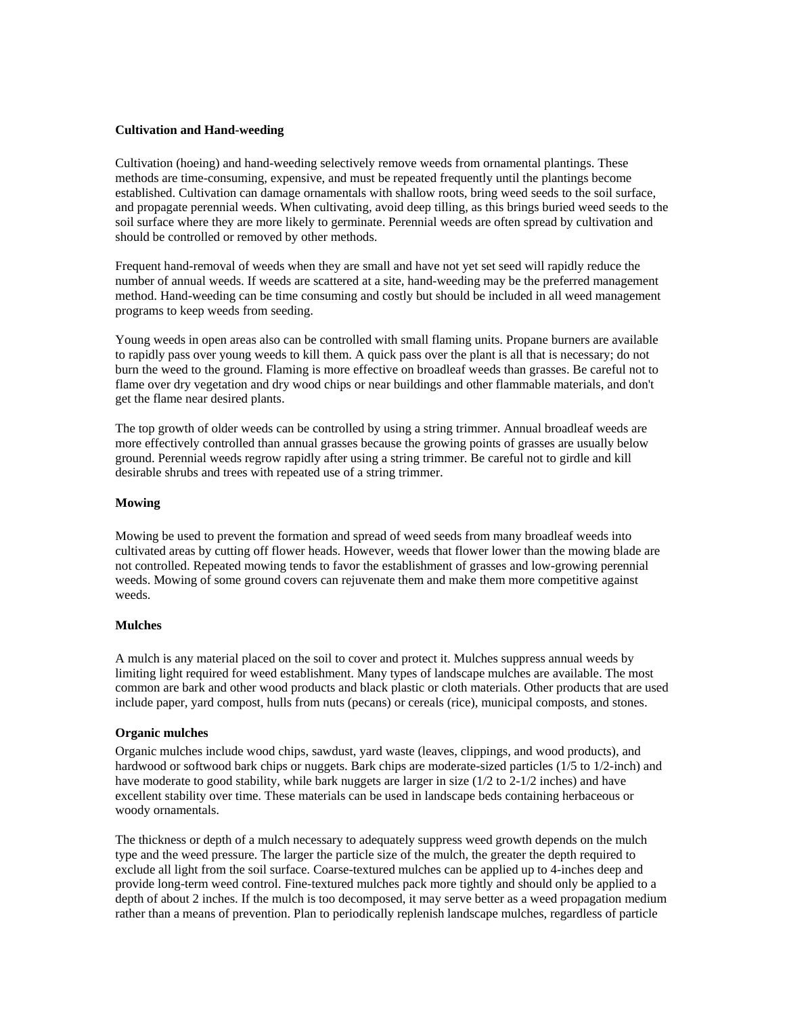## <span id="page-51-0"></span>**Cultivation and Hand-weeding**

Cultivation (hoeing) and hand-weeding selectively remove weeds from ornamental plantings. These methods are time-consuming, expensive, and must be repeated frequently until the plantings become established. Cultivation can damage ornamentals with shallow roots, bring weed seeds to the soil surface, and propagate perennial weeds. When cultivating, avoid deep tilling, as this brings buried weed seeds to the soil surface where they are more likely to germinate. Perennial weeds are often spread by cultivation and should be controlled or removed by other methods.

Frequent hand-removal of weeds when they are small and have not yet set seed will rapidly reduce the number of annual weeds. If weeds are scattered at a site, hand-weeding may be the preferred management method. Hand-weeding can be time consuming and costly but should be included in all weed management programs to keep weeds from seeding.

Young weeds in open areas also can be controlled with small flaming units. Propane burners are available to rapidly pass over young weeds to kill them. A quick pass over the plant is all that is necessary; do not burn the weed to the ground. Flaming is more effective on broadleaf weeds than grasses. Be careful not to flame over dry vegetation and dry wood chips or near buildings and other flammable materials, and don't get the flame near desired plants.

The top growth of older weeds can be controlled by using a string trimmer. Annual broadleaf weeds are more effectively controlled than annual grasses because the growing points of grasses are usually below ground. Perennial weeds regrow rapidly after using a string trimmer. Be careful not to girdle and kill desirable shrubs and trees with repeated use of a string trimmer.

## **Mowing**

Mowing be used to prevent the formation and spread of weed seeds from many broadleaf weeds into cultivated areas by cutting off flower heads. However, weeds that flower lower than the mowing blade are not controlled. Repeated mowing tends to favor the establishment of grasses and low-growing perennial weeds. Mowing of some ground covers can rejuvenate them and make them more competitive against weeds.

#### **Mulches**

A mulch is any material placed on the soil to cover and protect it. Mulches suppress annual weeds by limiting light required for weed establishment. Many types of landscape mulches are available. The most common are bark and other wood products and black plastic or cloth materials. Other products that are used include paper, yard compost, hulls from nuts (pecans) or cereals (rice), municipal composts, and stones.

## **Organic mulches**

Organic mulches include wood chips, sawdust, yard waste (leaves, clippings, and wood products), and hardwood or softwood bark chips or nuggets. Bark chips are moderate-sized particles (1/5 to 1/2-inch) and have moderate to good stability, while bark nuggets are larger in size (1/2 to 2-1/2 inches) and have excellent stability over time. These materials can be used in landscape beds containing herbaceous or woody ornamentals.

The thickness or depth of a mulch necessary to adequately suppress weed growth depends on the mulch type and the weed pressure. The larger the particle size of the mulch, the greater the depth required to exclude all light from the soil surface. Coarse-textured mulches can be applied up to 4-inches deep and provide long-term weed control. Fine-textured mulches pack more tightly and should only be applied to a depth of about 2 inches. If the mulch is too decomposed, it may serve better as a weed propagation medium rather than a means of prevention. Plan to periodically replenish landscape mulches, regardless of particle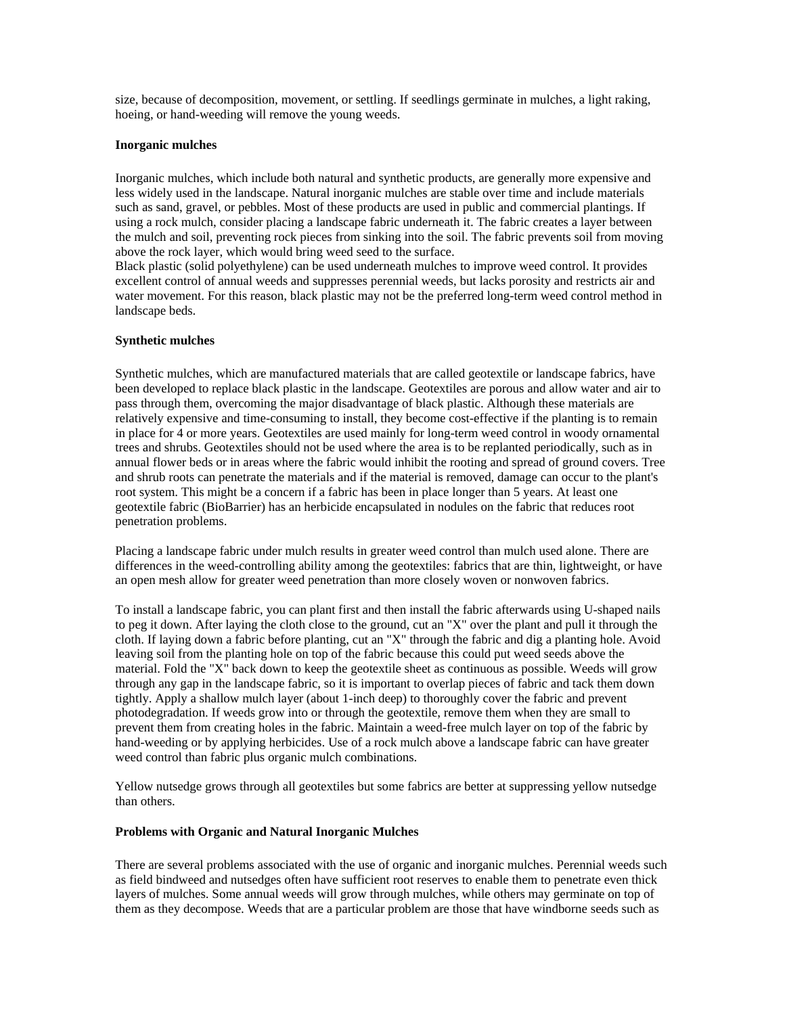<span id="page-52-0"></span>size, because of decomposition, movement, or settling. If seedlings germinate in mulches, a light raking, hoeing, or hand-weeding will remove the young weeds.

## **Inorganic mulches**

Inorganic mulches, which include both natural and synthetic products, are generally more expensive and less widely used in the landscape. Natural inorganic mulches are stable over time and include materials such as sand, gravel, or pebbles. Most of these products are used in public and commercial plantings. If using a rock mulch, consider placing a landscape fabric underneath it. The fabric creates a layer between the mulch and soil, preventing rock pieces from sinking into the soil. The fabric prevents soil from moving above the rock layer, which would bring weed seed to the surface.

Black plastic (solid polyethylene) can be used underneath mulches to improve weed control. It provides excellent control of annual weeds and suppresses perennial weeds, but lacks porosity and restricts air and water movement. For this reason, black plastic may not be the preferred long-term weed control method in landscape beds.

## **Synthetic mulches**

Synthetic mulches, which are manufactured materials that are called geotextile or landscape fabrics, have been developed to replace black plastic in the landscape. Geotextiles are porous and allow water and air to pass through them, overcoming the major disadvantage of black plastic. Although these materials are relatively expensive and time-consuming to install, they become cost-effective if the planting is to remain in place for 4 or more years. Geotextiles are used mainly for long-term weed control in woody ornamental trees and shrubs. Geotextiles should not be used where the area is to be replanted periodically, such as in annual flower beds or in areas where the fabric would inhibit the rooting and spread of ground covers. Tree and shrub roots can penetrate the materials and if the material is removed, damage can occur to the plant's root system. This might be a concern if a fabric has been in place longer than 5 years. At least one geotextile fabric (BioBarrier) has an herbicide encapsulated in nodules on the fabric that reduces root penetration problems.

Placing a landscape fabric under mulch results in greater weed control than mulch used alone. There are differences in the weed-controlling ability among the geotextiles: fabrics that are thin, lightweight, or have an open mesh allow for greater weed penetration than more closely woven or nonwoven fabrics.

To install a landscape fabric, you can plant first and then install the fabric afterwards using U-shaped nails to peg it down. After laying the cloth close to the ground, cut an "X" over the plant and pull it through the cloth. If laying down a fabric before planting, cut an "X" through the fabric and dig a planting hole. Avoid leaving soil from the planting hole on top of the fabric because this could put weed seeds above the material. Fold the "X" back down to keep the geotextile sheet as continuous as possible. Weeds will grow through any gap in the landscape fabric, so it is important to overlap pieces of fabric and tack them down tightly. Apply a shallow mulch layer (about 1-inch deep) to thoroughly cover the fabric and prevent photodegradation. If weeds grow into or through the geotextile, remove them when they are small to prevent them from creating holes in the fabric. Maintain a weed-free mulch layer on top of the fabric by hand-weeding or by applying herbicides. Use of a rock mulch above a landscape fabric can have greater weed control than fabric plus organic mulch combinations.

Yellow nutsedge grows through all geotextiles but some fabrics are better at suppressing yellow nutsedge than others.

#### **Problems with Organic and Natural Inorganic Mulches**

There are several problems associated with the use of organic and inorganic mulches. Perennial weeds such as field bindweed and nutsedges often have sufficient root reserves to enable them to penetrate even thick layers of mulches. Some annual weeds will grow through mulches, while others may germinate on top of them as they decompose. Weeds that are a particular problem are those that have windborne seeds such as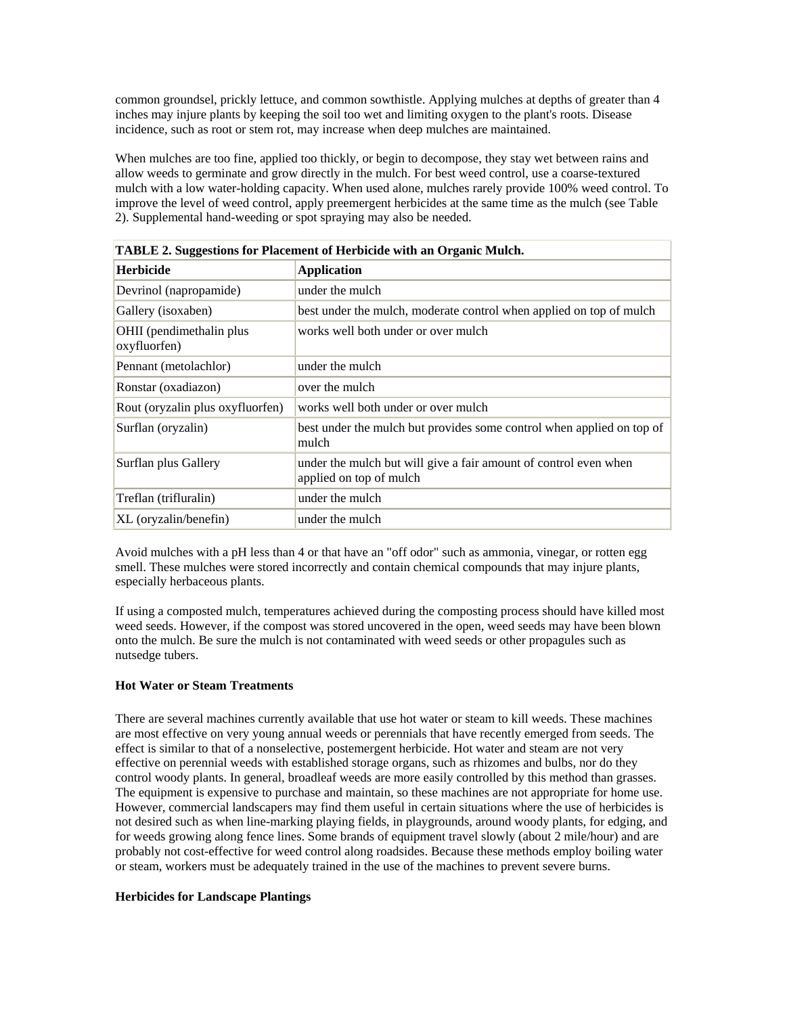<span id="page-53-0"></span>common groundsel, prickly lettuce, and common sowthistle. Applying mulches at depths of greater than 4 inches may injure plants by keeping the soil too wet and limiting oxygen to the plant's roots. Disease incidence, such as root or stem rot, may increase when deep mulches are maintained.

When mulches are too fine, applied too thickly, or begin to decompose, they stay wet between rains and allow weeds to germinate and grow directly in the mulch. For best weed control, use a coarse-textured mulch with a low water-holding capacity. When used alone, mulches rarely provide 100% weed control. To improve the level of weed control, apply preemergent herbicides at the same time as the mulch (see Table 2). Supplemental hand-weeding or spot spraying may also be needed.

| TABLE 2. Suggestions for Placement of Herbicide with an Organic Mulch. |                                                                                             |  |  |  |  |
|------------------------------------------------------------------------|---------------------------------------------------------------------------------------------|--|--|--|--|
| <b>Herbicide</b>                                                       | <b>Application</b>                                                                          |  |  |  |  |
| Devrinol (napropamide)                                                 | under the mulch                                                                             |  |  |  |  |
| Gallery (isoxaben)                                                     | best under the mulch, moderate control when applied on top of mulch                         |  |  |  |  |
| OHII (pendimethalin plus<br>oxyfluorfen)                               | works well both under or over mulch                                                         |  |  |  |  |
| Pennant (metolachlor)                                                  | under the mulch                                                                             |  |  |  |  |
| Ronstar (oxadiazon)                                                    | over the mulch                                                                              |  |  |  |  |
| Rout (oryzalin plus oxyfluorfen)                                       | works well both under or over mulch                                                         |  |  |  |  |
| Surflan (oryzalin)                                                     | best under the mulch but provides some control when applied on top of<br>mulch              |  |  |  |  |
| Surflan plus Gallery                                                   | under the mulch but will give a fair amount of control even when<br>applied on top of mulch |  |  |  |  |
| Treflan (trifluralin)                                                  | under the mulch                                                                             |  |  |  |  |
| XL (oryzalin/benefin)                                                  | under the mulch                                                                             |  |  |  |  |

|  |  | TABLE 2. Suggestions for Placement of Herbicide with an Organic Mulch. |
|--|--|------------------------------------------------------------------------|
|  |  |                                                                        |

Avoid mulches with a pH less than 4 or that have an "off odor" such as ammonia, vinegar, or rotten egg smell. These mulches were stored incorrectly and contain chemical compounds that may injure plants, especially herbaceous plants.

If using a composted mulch, temperatures achieved during the composting process should have killed most weed seeds. However, if the compost was stored uncovered in the open, weed seeds may have been blown onto the mulch. Be sure the mulch is not contaminated with weed seeds or other propagules such as nutsedge tubers.

## **Hot Water or Steam Treatments**

There are several machines currently available that use hot water or steam to kill weeds. These machines are most effective on very young annual weeds or perennials that have recently emerged from seeds. The effect is similar to that of a nonselective, postemergent herbicide. Hot water and steam are not very effective on perennial weeds with established storage organs, such as rhizomes and bulbs, nor do they control woody plants. In general, broadleaf weeds are more easily controlled by this method than grasses. The equipment is expensive to purchase and maintain, so these machines are not appropriate for home use. However, commercial landscapers may find them useful in certain situations where the use of herbicides is not desired such as when line-marking playing fields, in playgrounds, around woody plants, for edging, and for weeds growing along fence lines. Some brands of equipment travel slowly (about 2 mile/hour) and are probably not cost-effective for weed control along roadsides. Because these methods employ boiling water or steam, workers must be adequately trained in the use of the machines to prevent severe burns.

#### **Herbicides for Landscape Plantings**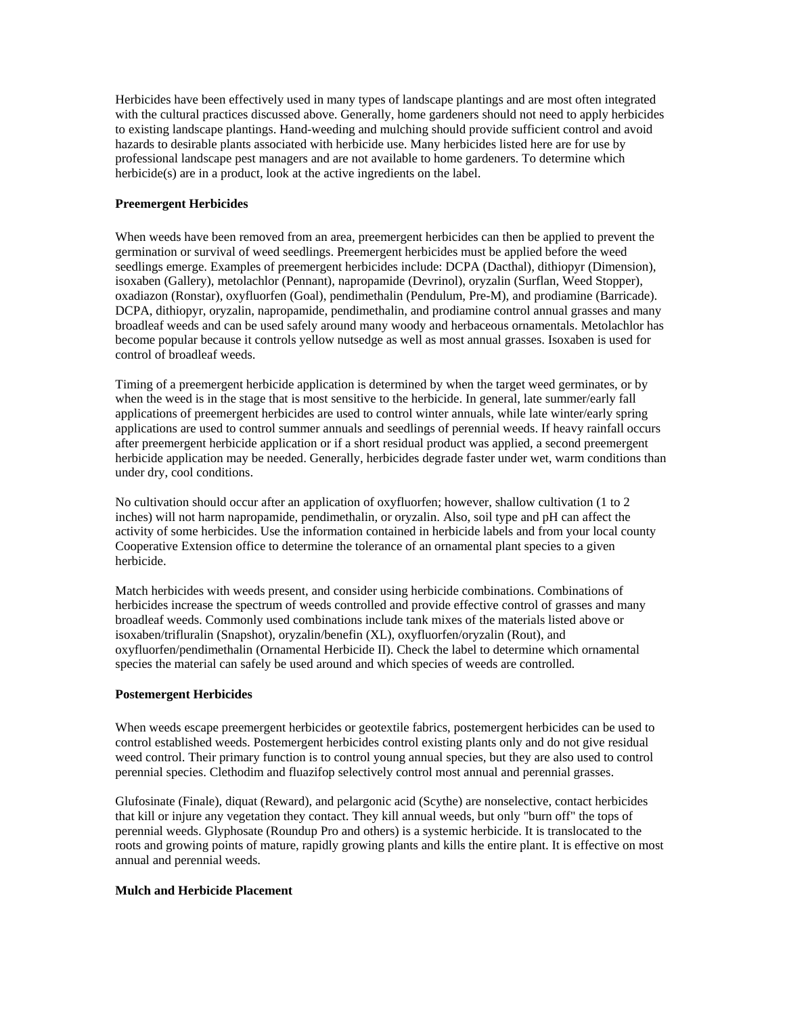<span id="page-54-0"></span>Herbicides have been effectively used in many types of landscape plantings and are most often integrated with the cultural practices discussed above. Generally, home gardeners should not need to apply herbicides to existing landscape plantings. Hand-weeding and mulching should provide sufficient control and avoid hazards to desirable plants associated with herbicide use. Many herbicides listed here are for use by professional landscape pest managers and are not available to home gardeners. To determine which herbicide(s) are in a product, look at the active ingredients on the label.

## **Preemergent Herbicides**

When weeds have been removed from an area, preemergent herbicides can then be applied to prevent the germination or survival of weed seedlings. Preemergent herbicides must be applied before the weed seedlings emerge. Examples of preemergent herbicides include: DCPA (Dacthal), dithiopyr (Dimension), isoxaben (Gallery), metolachlor (Pennant), napropamide (Devrinol), oryzalin (Surflan, Weed Stopper), oxadiazon (Ronstar), oxyfluorfen (Goal), pendimethalin (Pendulum, Pre-M), and prodiamine (Barricade). DCPA, dithiopyr, oryzalin, napropamide, pendimethalin, and prodiamine control annual grasses and many broadleaf weeds and can be used safely around many woody and herbaceous ornamentals. Metolachlor has become popular because it controls yellow nutsedge as well as most annual grasses. Isoxaben is used for control of broadleaf weeds.

Timing of a preemergent herbicide application is determined by when the target weed germinates, or by when the weed is in the stage that is most sensitive to the herbicide. In general, late summer/early fall applications of preemergent herbicides are used to control winter annuals, while late winter/early spring applications are used to control summer annuals and seedlings of perennial weeds. If heavy rainfall occurs after preemergent herbicide application or if a short residual product was applied, a second preemergent herbicide application may be needed. Generally, herbicides degrade faster under wet, warm conditions than under dry, cool conditions.

No cultivation should occur after an application of oxyfluorfen; however, shallow cultivation (1 to 2 inches) will not harm napropamide, pendimethalin, or oryzalin. Also, soil type and pH can affect the activity of some herbicides. Use the information contained in herbicide labels and from your local county Cooperative Extension office to determine the tolerance of an ornamental plant species to a given herbicide.

Match herbicides with weeds present, and consider using herbicide combinations. Combinations of herbicides increase the spectrum of weeds controlled and provide effective control of grasses and many broadleaf weeds. Commonly used combinations include tank mixes of the materials listed above or isoxaben/trifluralin (Snapshot), oryzalin/benefin (XL), oxyfluorfen/oryzalin (Rout), and oxyfluorfen/pendimethalin (Ornamental Herbicide II). Check the label to determine which ornamental species the material can safely be used around and which species of weeds are controlled.

#### **Postemergent Herbicides**

When weeds escape preemergent herbicides or geotextile fabrics, postemergent herbicides can be used to control established weeds. Postemergent herbicides control existing plants only and do not give residual weed control. Their primary function is to control young annual species, but they are also used to control perennial species. Clethodim and fluazifop selectively control most annual and perennial grasses.

Glufosinate (Finale), diquat (Reward), and pelargonic acid (Scythe) are nonselective, contact herbicides that kill or injure any vegetation they contact. They kill annual weeds, but only "burn off" the tops of perennial weeds. Glyphosate (Roundup Pro and others) is a systemic herbicide. It is translocated to the roots and growing points of mature, rapidly growing plants and kills the entire plant. It is effective on most annual and perennial weeds.

#### **Mulch and Herbicide Placement**